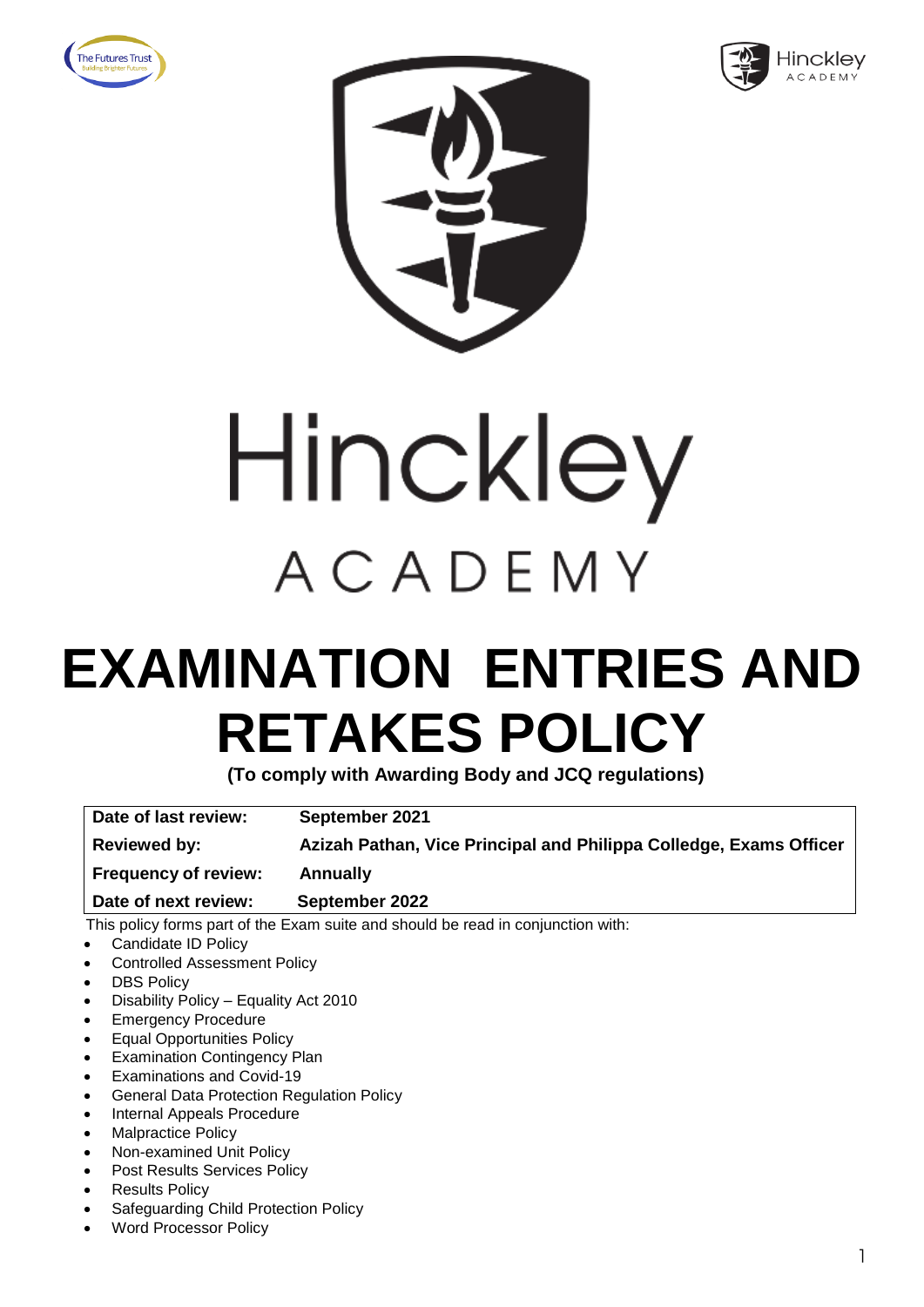







### **EXAMINATION ENTRIES AND RETAKES POLICY**

**(To comply with Awarding Body and JCQ regulations)**

**Date of last review: September 2021 Reviewed by: Azizah Pathan, Vice Principal and Philippa Colledge, Exams Officer Frequency of review: Annually**

 This policy forms part of the Exam suite and should be read in conjunction with: **Date of next review: September 2022**

- 
- Candidate ID Policy • Controlled Assessment Policy
- **DBS Policy**
- Disability Policy Equality Act 2010
- Emergency Procedure
- Equal Opportunities Policy
- **Examination Contingency Plan**
- Examinations and Covid-19
- General Data Protection Regulation Policy
- Internal Appeals Procedure
- Malpractice Policy
- Non-examined Unit Policy
- Post Results Services Policy
- **Results Policy**
- Safeguarding Child Protection Policy
- Word Processor Policy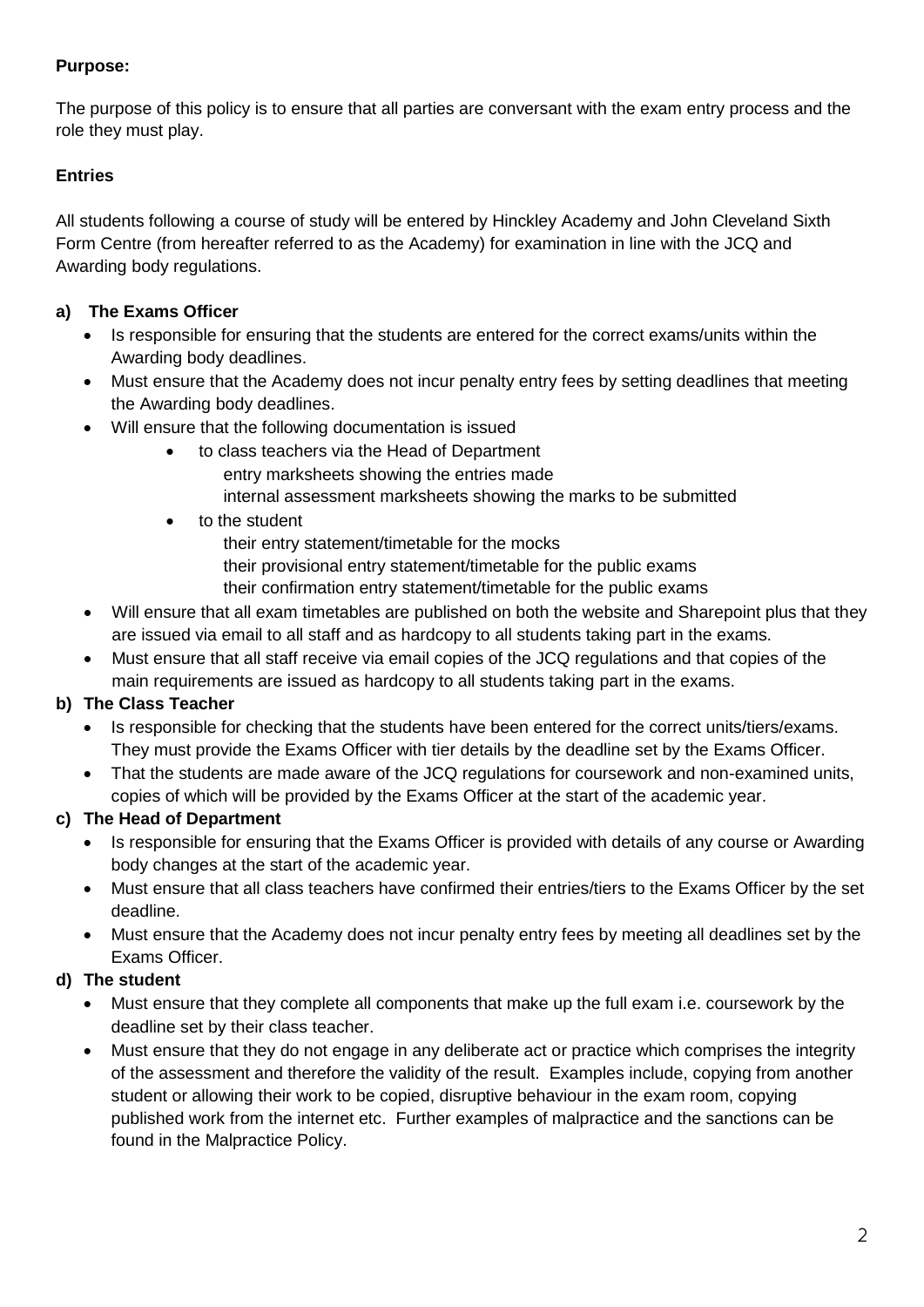The purpose of this policy is to ensure that all parties are conversant with the exam entry process and the role they must play.

#### **Entries**

All students following a course of study will be entered by Hinckley Academy and John Cleveland Sixth Form Centre (from hereafter referred to as the Academy) for examination in line with the JCQ and Awarding body regulations.

#### **a) The Exams Officer**

- Is responsible for ensuring that the students are entered for the correct exams/units within the Awarding body deadlines.
- Must ensure that the Academy does not incur penalty entry fees by setting deadlines that meeting the Awarding body deadlines.
- Will ensure that the following documentation is issued
	- to class teachers via the Head of Department
		- entry marksheets showing the entries made
			- internal assessment marksheets showing the marks to be submitted
	- to the student
		- their entry statement/timetable for the mocks
		- their provisional entry statement/timetable for the public exams
		- their confirmation entry statement/timetable for the public exams
- Will ensure that all exam timetables are published on both the website and Sharepoint plus that they are issued via email to all staff and as hardcopy to all students taking part in the exams.
- Must ensure that all staff receive via email copies of the JCQ regulations and that copies of the main requirements are issued as hardcopy to all students taking part in the exams.

#### **b) The Class Teacher**

- Is responsible for checking that the students have been entered for the correct units/tiers/exams. They must provide the Exams Officer with tier details by the deadline set by the Exams Officer.
- That the students are made aware of the JCQ regulations for coursework and non-examined units, copies of which will be provided by the Exams Officer at the start of the academic year.

#### **c) The Head of Department**

- Is responsible for ensuring that the Exams Officer is provided with details of any course or Awarding body changes at the start of the academic year.
- Must ensure that all class teachers have confirmed their entries/tiers to the Exams Officer by the set deadline.
- Must ensure that the Academy does not incur penalty entry fees by meeting all deadlines set by the Exams Officer.

#### **d) The student**

- Must ensure that they complete all components that make up the full exam i.e. coursework by the deadline set by their class teacher.
- Must ensure that they do not engage in any deliberate act or practice which comprises the integrity of the assessment and therefore the validity of the result. Examples include, copying from another student or allowing their work to be copied, disruptive behaviour in the exam room, copying published work from the internet etc. Further examples of malpractice and the sanctions can be found in the Malpractice Policy.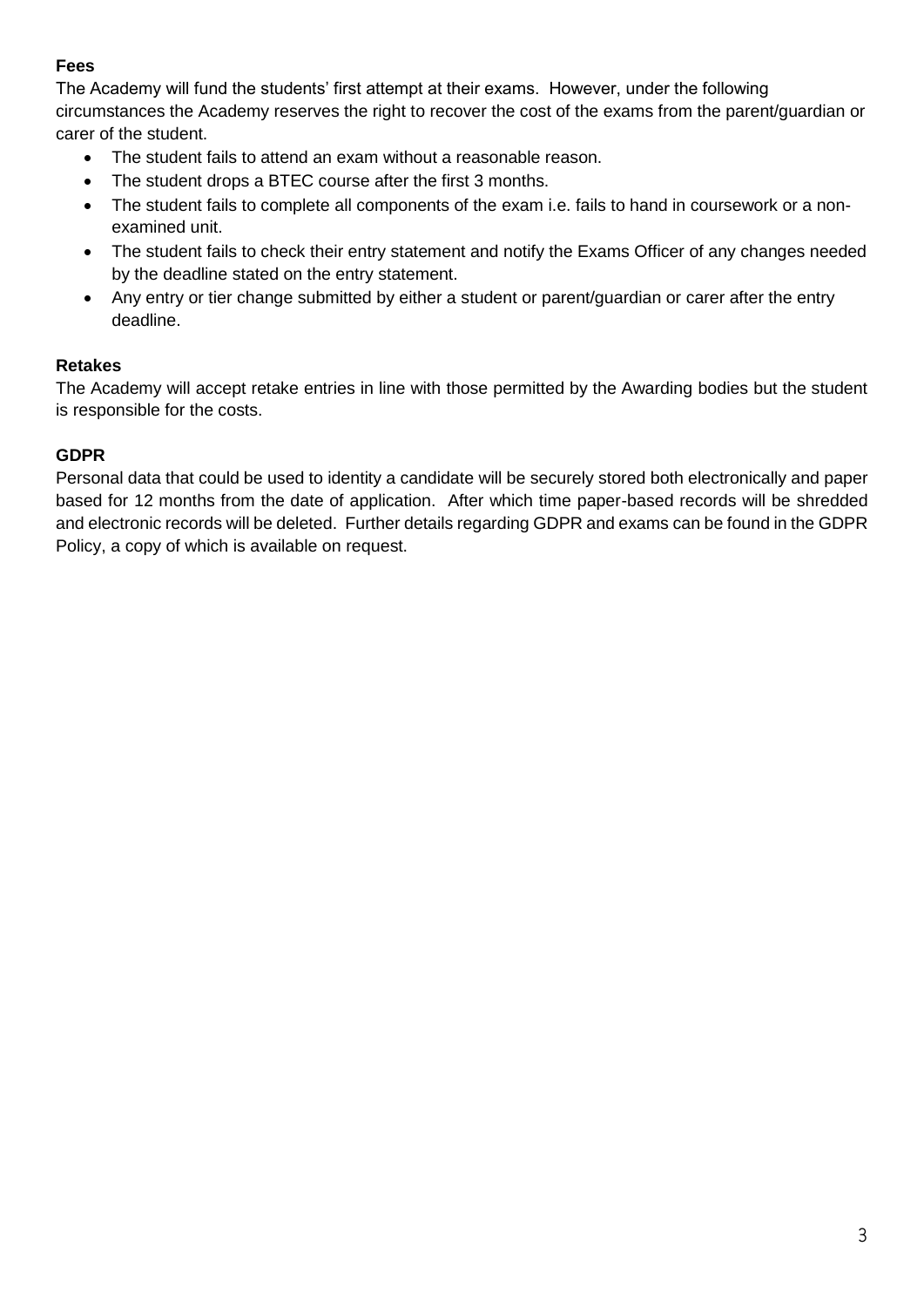#### **Fees**

The Academy will fund the students' first attempt at their exams. However, under the following circumstances the Academy reserves the right to recover the cost of the exams from the parent/guardian or carer of the student.

- The student fails to attend an exam without a reasonable reason.
- The student drops a BTEC course after the first 3 months.
- The student fails to complete all components of the exam i.e. fails to hand in coursework or a nonexamined unit.
- The student fails to check their entry statement and notify the Exams Officer of any changes needed by the deadline stated on the entry statement.
- Any entry or tier change submitted by either a student or parent/guardian or carer after the entry deadline.

#### **Retakes**

The Academy will accept retake entries in line with those permitted by the Awarding bodies but the student is responsible for the costs.

#### **GDPR**

Personal data that could be used to identity a candidate will be securely stored both electronically and paper based for 12 months from the date of application. After which time paper-based records will be shredded and electronic records will be deleted. Further details regarding GDPR and exams can be found in the GDPR Policy, a copy of which is available on request.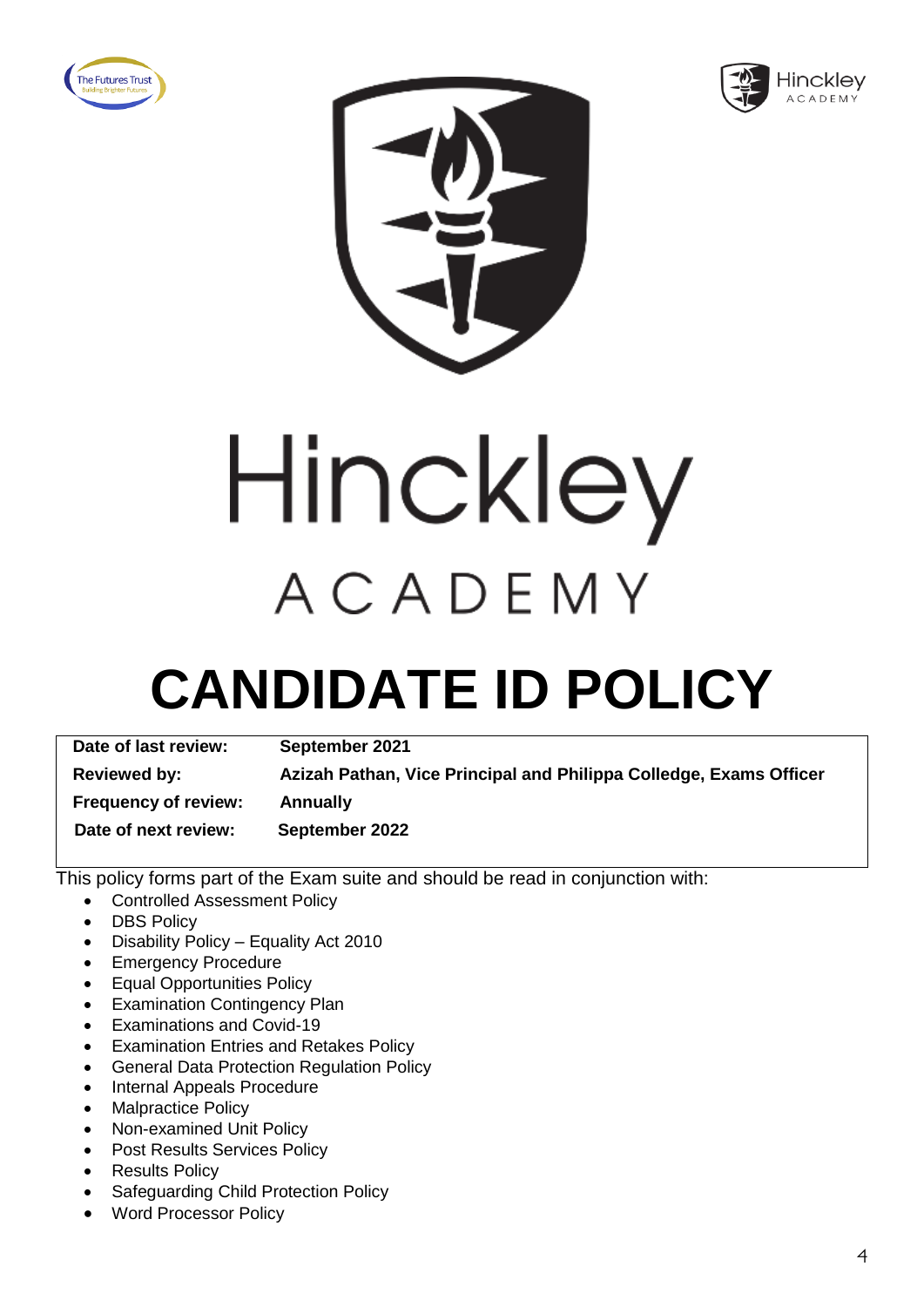





Hinckley ACADEMY

### **CANDIDATE ID POLICY**

| Date of last review:        | September 2021                                                     |
|-----------------------------|--------------------------------------------------------------------|
| <b>Reviewed by:</b>         | Azizah Pathan, Vice Principal and Philippa Colledge, Exams Officer |
| <b>Frequency of review:</b> | <b>Annually</b>                                                    |
| Date of next review:        | September 2022                                                     |

- Controlled Assessment Policy
- DBS Policy
- Disability Policy Equality Act 2010
- Emergency Procedure
- Equal Opportunities Policy
- Examination Contingency Plan
- Examinations and Covid-19
- Examination Entries and Retakes Policy
- General Data Protection Regulation Policy
- Internal Appeals Procedure
- Malpractice Policy
- Non-examined Unit Policy
- Post Results Services Policy
- Results Policy
- Safeguarding Child Protection Policy
- Word Processor Policy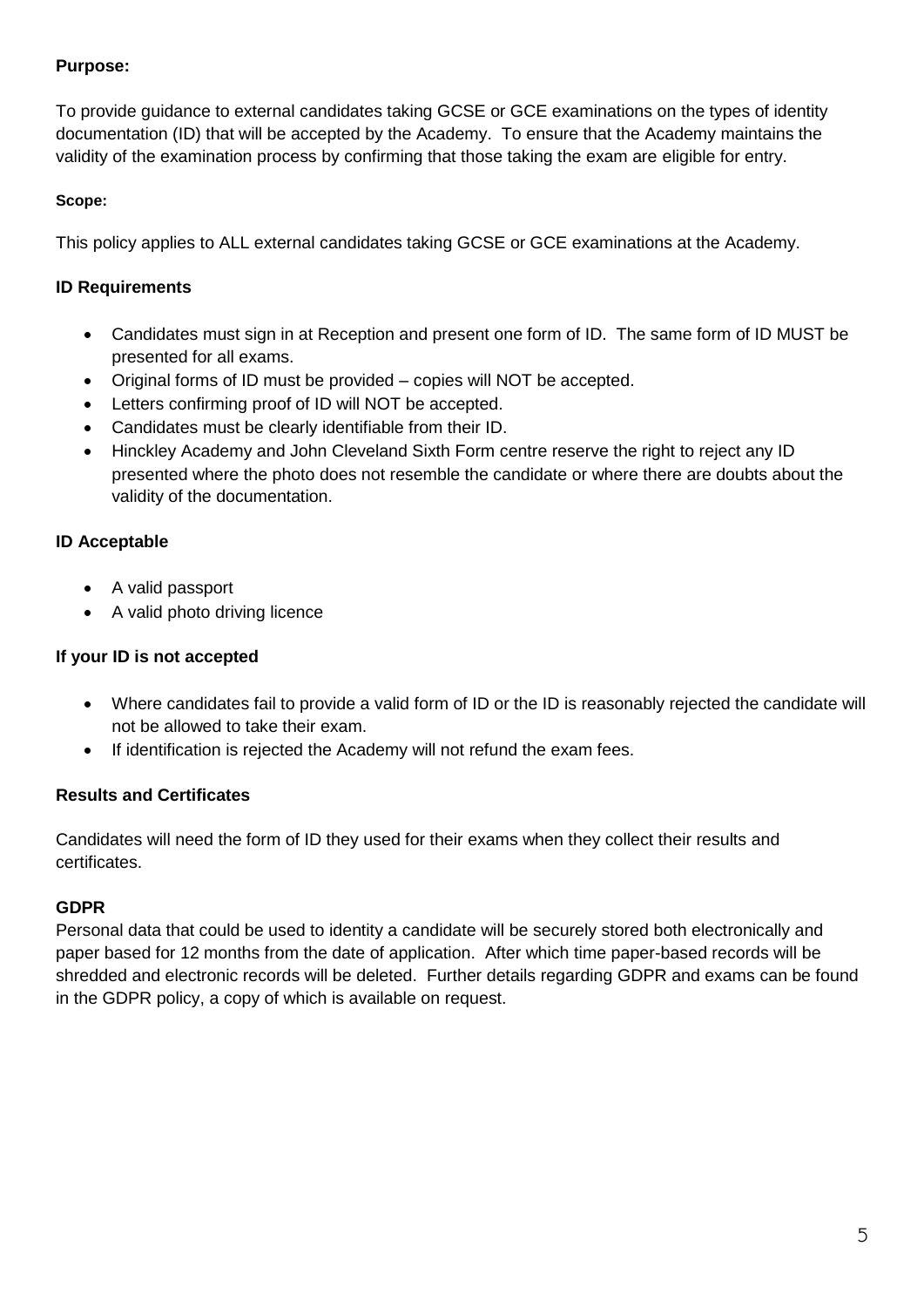To provide guidance to external candidates taking GCSE or GCE examinations on the types of identity documentation (ID) that will be accepted by the Academy. To ensure that the Academy maintains the validity of the examination process by confirming that those taking the exam are eligible for entry.

#### **Scope:**

This policy applies to ALL external candidates taking GCSE or GCE examinations at the Academy.

#### **ID Requirements**

- Candidates must sign in at Reception and present one form of ID. The same form of ID MUST be presented for all exams.
- Original forms of ID must be provided copies will NOT be accepted.
- Letters confirming proof of ID will NOT be accepted.
- Candidates must be clearly identifiable from their ID.
- Hinckley Academy and John Cleveland Sixth Form centre reserve the right to reject any ID presented where the photo does not resemble the candidate or where there are doubts about the validity of the documentation.

#### **ID Acceptable**

- A valid passport
- A valid photo driving licence

#### **If your ID is not accepted**

- Where candidates fail to provide a valid form of ID or the ID is reasonably rejected the candidate will not be allowed to take their exam.
- If identification is rejected the Academy will not refund the exam fees.

#### **Results and Certificates**

Candidates will need the form of ID they used for their exams when they collect their results and certificates.

#### **GDPR**

Personal data that could be used to identity a candidate will be securely stored both electronically and paper based for 12 months from the date of application. After which time paper-based records will be shredded and electronic records will be deleted. Further details regarding GDPR and exams can be found in the GDPR policy, a copy of which is available on request.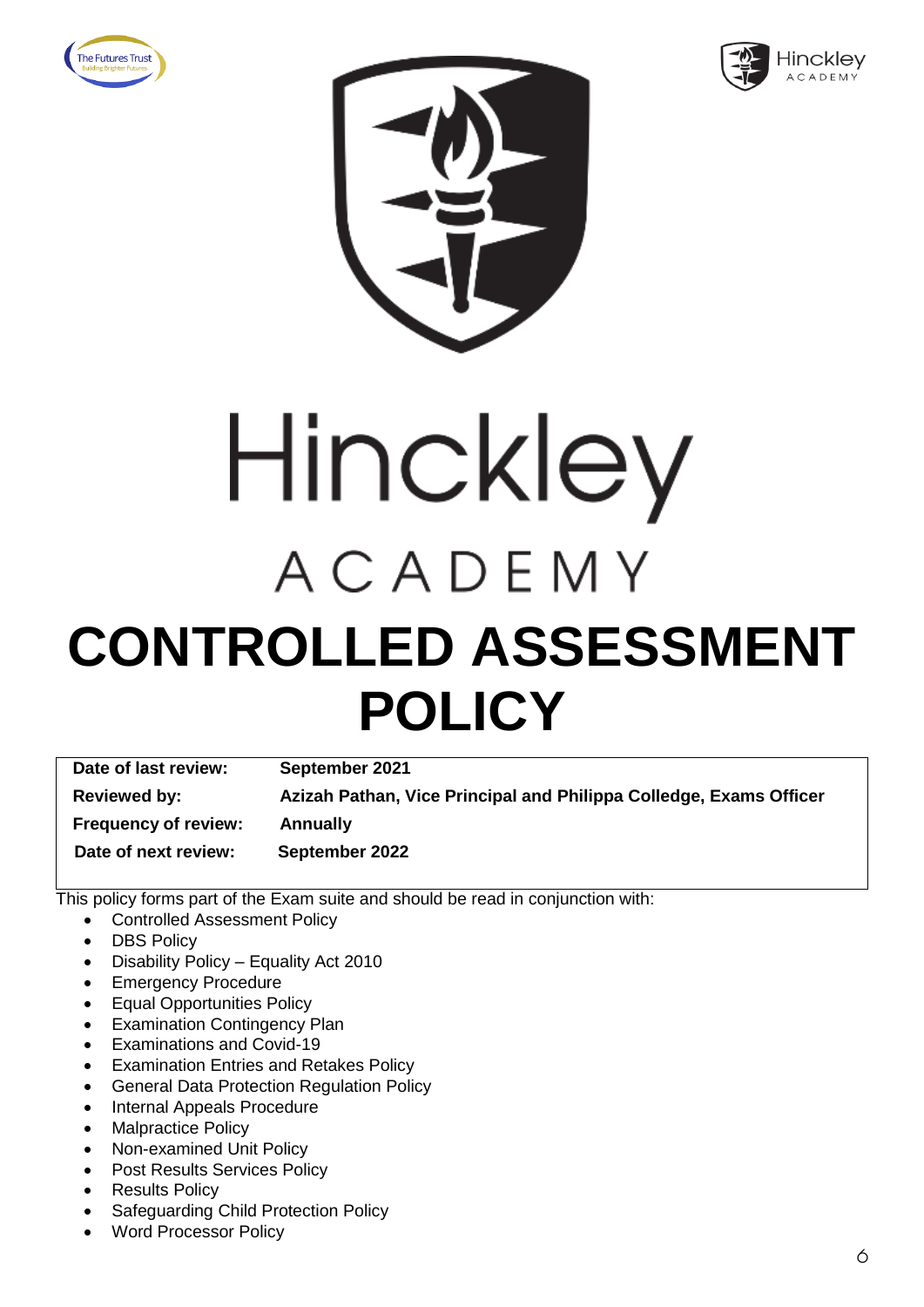





# Hinckley ACADEMY **CONTROLLED ASSESSMENT POLICY**

**Date of last review: September 2021 Reviewed by: Azizah Pathan, Vice Principal and Philippa Colledge, Exams Officer Frequency of review: Annually Date of next review: September 2022**

- Controlled Assessment Policy
- DBS Policy
- Disability Policy Equality Act 2010
- **Emergency Procedure**
- Equal Opportunities Policy
- Examination Contingency Plan
- Examinations and Covid-19
- Examination Entries and Retakes Policy
- General Data Protection Regulation Policy
- Internal Appeals Procedure
- Malpractice Policy
- Non-examined Unit Policy
- Post Results Services Policy
- Results Policy
- Safeguarding Child Protection Policy
- Word Processor Policy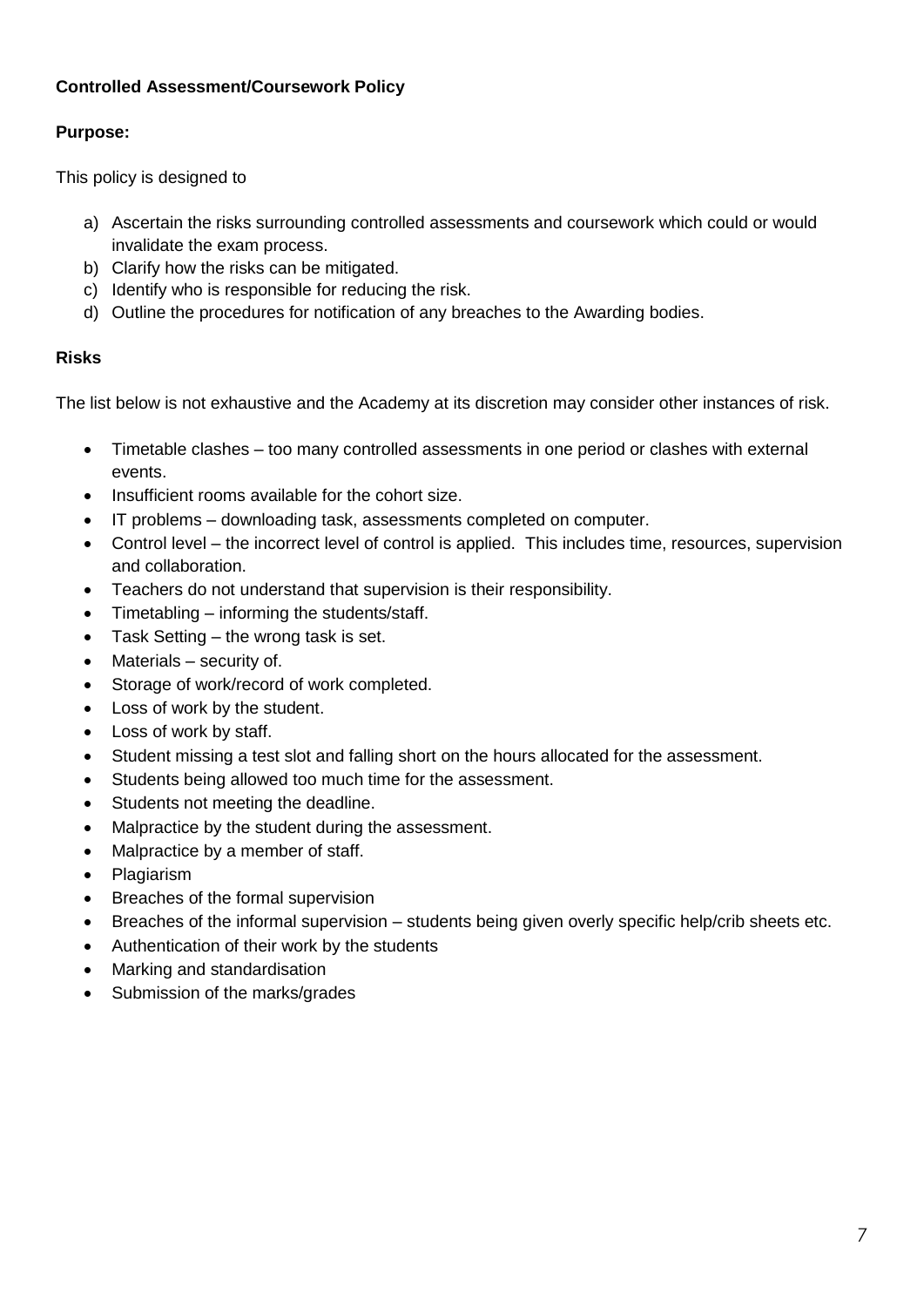#### **Controlled Assessment/Coursework Policy**

#### **Purpose:**

This policy is designed to

- a) Ascertain the risks surrounding controlled assessments and coursework which could or would invalidate the exam process.
- b) Clarify how the risks can be mitigated.
- c) Identify who is responsible for reducing the risk.
- d) Outline the procedures for notification of any breaches to the Awarding bodies.

#### **Risks**

The list below is not exhaustive and the Academy at its discretion may consider other instances of risk.

- Timetable clashes too many controlled assessments in one period or clashes with external events.
- Insufficient rooms available for the cohort size.
- IT problems downloading task, assessments completed on computer.
- Control level the incorrect level of control is applied. This includes time, resources, supervision and collaboration.
- Teachers do not understand that supervision is their responsibility.
- Timetabling informing the students/staff.
- Task Setting the wrong task is set.
- Materials security of.
- Storage of work/record of work completed.
- Loss of work by the student.
- Loss of work by staff.
- Student missing a test slot and falling short on the hours allocated for the assessment.
- Students being allowed too much time for the assessment.
- Students not meeting the deadline.
- Malpractice by the student during the assessment.
- Malpractice by a member of staff.
- Plagiarism
- Breaches of the formal supervision
- Breaches of the informal supervision students being given overly specific help/crib sheets etc.
- Authentication of their work by the students
- Marking and standardisation
- Submission of the marks/grades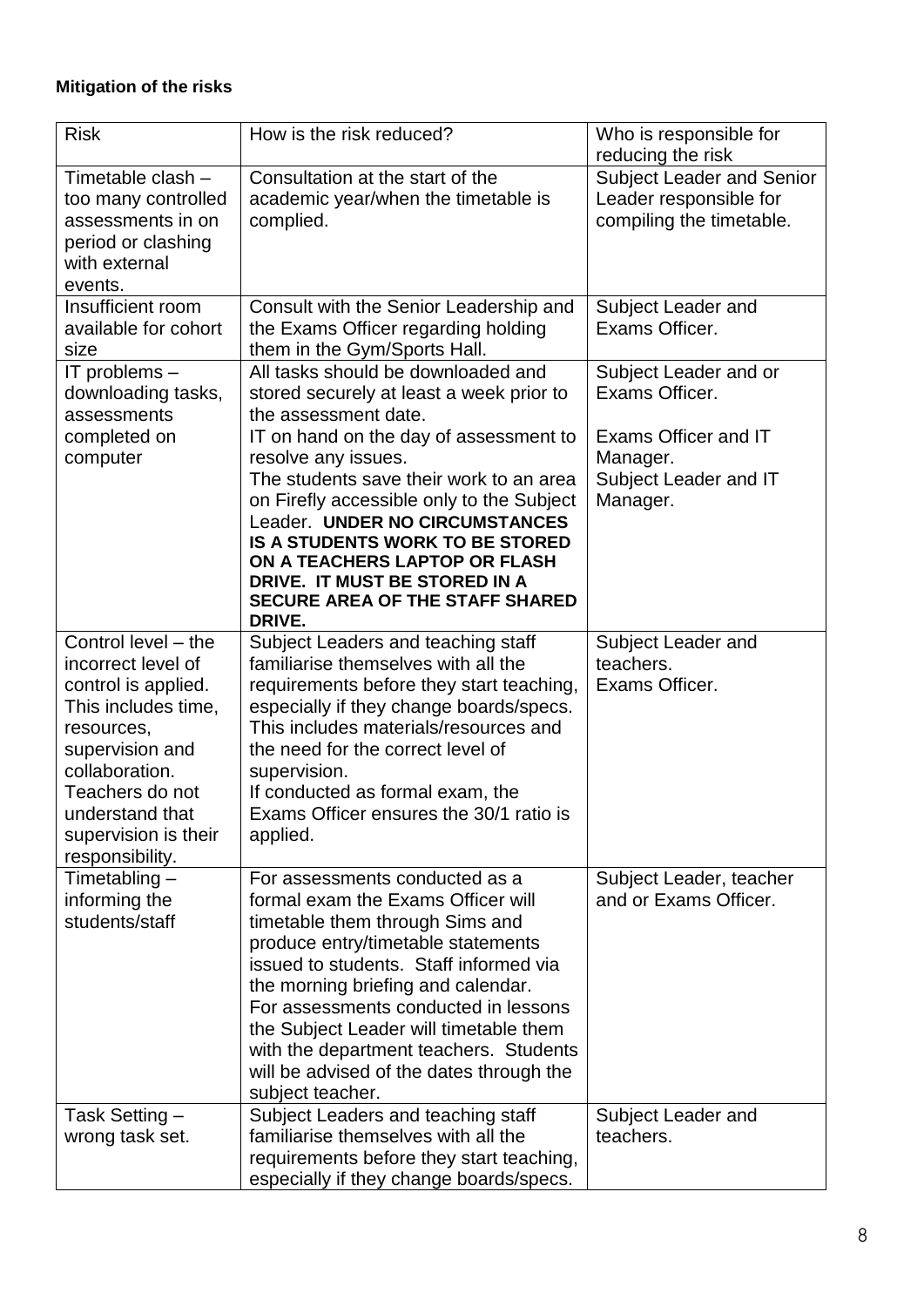#### **Mitigation of the risks**

| <b>Risk</b>                           | How is the risk reduced?                                                   | Who is responsible for                  |
|---------------------------------------|----------------------------------------------------------------------------|-----------------------------------------|
|                                       |                                                                            | reducing the risk                       |
| Timetable clash -                     | Consultation at the start of the                                           | <b>Subject Leader and Senior</b>        |
| too many controlled                   | academic year/when the timetable is                                        | Leader responsible for                  |
| assessments in on                     | complied.                                                                  | compiling the timetable.                |
| period or clashing                    |                                                                            |                                         |
| with external                         |                                                                            |                                         |
| events.                               |                                                                            |                                         |
| Insufficient room                     | Consult with the Senior Leadership and                                     | Subject Leader and                      |
| available for cohort                  | the Exams Officer regarding holding                                        | Exams Officer.                          |
| size                                  | them in the Gym/Sports Hall.<br>All tasks should be downloaded and         |                                         |
| IT problems $-$<br>downloading tasks, | stored securely at least a week prior to                                   | Subject Leader and or<br>Exams Officer. |
| assessments                           | the assessment date.                                                       |                                         |
| completed on                          | IT on hand on the day of assessment to                                     | Exams Officer and IT                    |
| computer                              | resolve any issues.                                                        | Manager.                                |
|                                       | The students save their work to an area                                    | Subject Leader and IT                   |
|                                       | on Firefly accessible only to the Subject                                  | Manager.                                |
|                                       | Leader. UNDER NO CIRCUMSTANCES                                             |                                         |
|                                       | <b>IS A STUDENTS WORK TO BE STORED</b>                                     |                                         |
|                                       | ON A TEACHERS LAPTOP OR FLASH                                              |                                         |
|                                       | DRIVE. IT MUST BE STORED IN A                                              |                                         |
|                                       | <b>SECURE AREA OF THE STAFF SHARED</b><br>DRIVE.                           |                                         |
| Control level - the                   | Subject Leaders and teaching staff                                         | Subject Leader and                      |
| incorrect level of                    | familiarise themselves with all the                                        | teachers.                               |
| control is applied.                   | requirements before they start teaching,                                   | Exams Officer.                          |
| This includes time,                   | especially if they change boards/specs.                                    |                                         |
| resources,                            | This includes materials/resources and                                      |                                         |
| supervision and                       | the need for the correct level of                                          |                                         |
| collaboration.                        | supervision.                                                               |                                         |
| Teachers do not                       | If conducted as formal exam, the                                           |                                         |
| understand that                       | Exams Officer ensures the 30/1 ratio is                                    |                                         |
| supervision is their                  | applied.                                                                   |                                         |
| responsibility.                       |                                                                            |                                         |
| Timetabling $-$                       | For assessments conducted as a                                             | Subject Leader, teacher                 |
| informing the                         | formal exam the Exams Officer will                                         | and or Exams Officer.                   |
| students/staff                        | timetable them through Sims and                                            |                                         |
|                                       | produce entry/timetable statements                                         |                                         |
|                                       | issued to students. Staff informed via                                     |                                         |
|                                       | the morning briefing and calendar.<br>For assessments conducted in lessons |                                         |
|                                       | the Subject Leader will timetable them                                     |                                         |
|                                       | with the department teachers. Students                                     |                                         |
|                                       | will be advised of the dates through the                                   |                                         |
|                                       | subject teacher.                                                           |                                         |
| Task Setting -                        | Subject Leaders and teaching staff                                         | Subject Leader and                      |
| wrong task set.                       | familiarise themselves with all the                                        | teachers.                               |
|                                       | requirements before they start teaching,                                   |                                         |
|                                       | especially if they change boards/specs.                                    |                                         |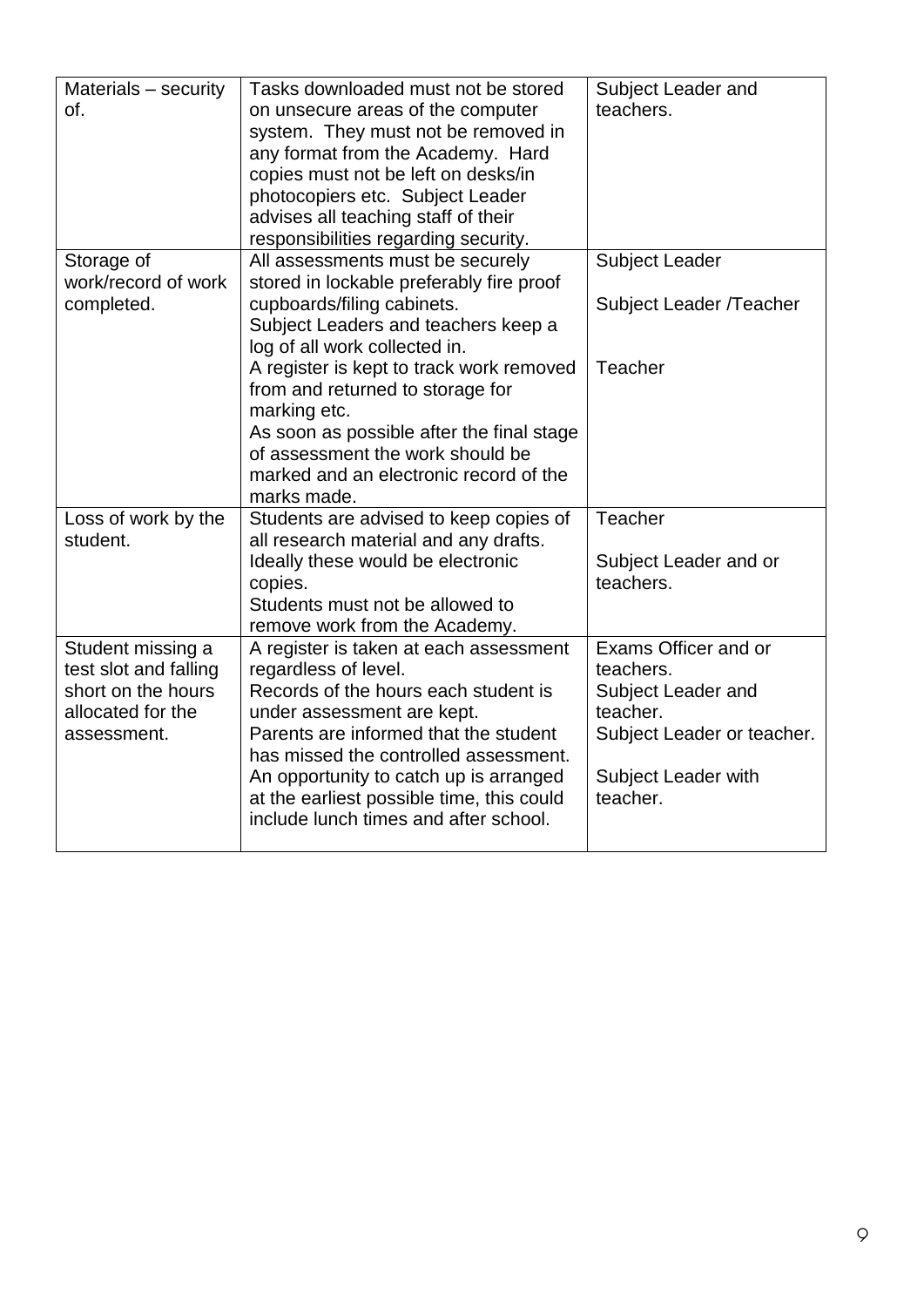| Materials - security<br>of.                                                                          | Tasks downloaded must not be stored<br>on unsecure areas of the computer<br>system. They must not be removed in<br>any format from the Academy. Hard<br>copies must not be left on desks/in<br>photocopiers etc. Subject Leader<br>advises all teaching staff of their<br>responsibilities regarding security.                                         | Subject Leader and<br>teachers.                                                                                                      |
|------------------------------------------------------------------------------------------------------|--------------------------------------------------------------------------------------------------------------------------------------------------------------------------------------------------------------------------------------------------------------------------------------------------------------------------------------------------------|--------------------------------------------------------------------------------------------------------------------------------------|
| Storage of<br>work/record of work<br>completed.                                                      | All assessments must be securely<br>stored in lockable preferably fire proof<br>cupboards/filing cabinets.<br>Subject Leaders and teachers keep a<br>log of all work collected in.<br>A register is kept to track work removed<br>from and returned to storage for                                                                                     | <b>Subject Leader</b><br>Subject Leader /Teacher<br>Teacher                                                                          |
|                                                                                                      | marking etc.<br>As soon as possible after the final stage<br>of assessment the work should be<br>marked and an electronic record of the<br>marks made.                                                                                                                                                                                                 |                                                                                                                                      |
| Loss of work by the<br>student.                                                                      | Students are advised to keep copies of<br>all research material and any drafts.<br>Ideally these would be electronic<br>copies.<br>Students must not be allowed to<br>remove work from the Academy.                                                                                                                                                    | Teacher<br>Subject Leader and or<br>teachers.                                                                                        |
| Student missing a<br>test slot and falling<br>short on the hours<br>allocated for the<br>assessment. | A register is taken at each assessment<br>regardless of level.<br>Records of the hours each student is<br>under assessment are kept.<br>Parents are informed that the student<br>has missed the controlled assessment.<br>An opportunity to catch up is arranged<br>at the earliest possible time, this could<br>include lunch times and after school. | Exams Officer and or<br>teachers.<br>Subject Leader and<br>teacher.<br>Subject Leader or teacher.<br>Subject Leader with<br>teacher. |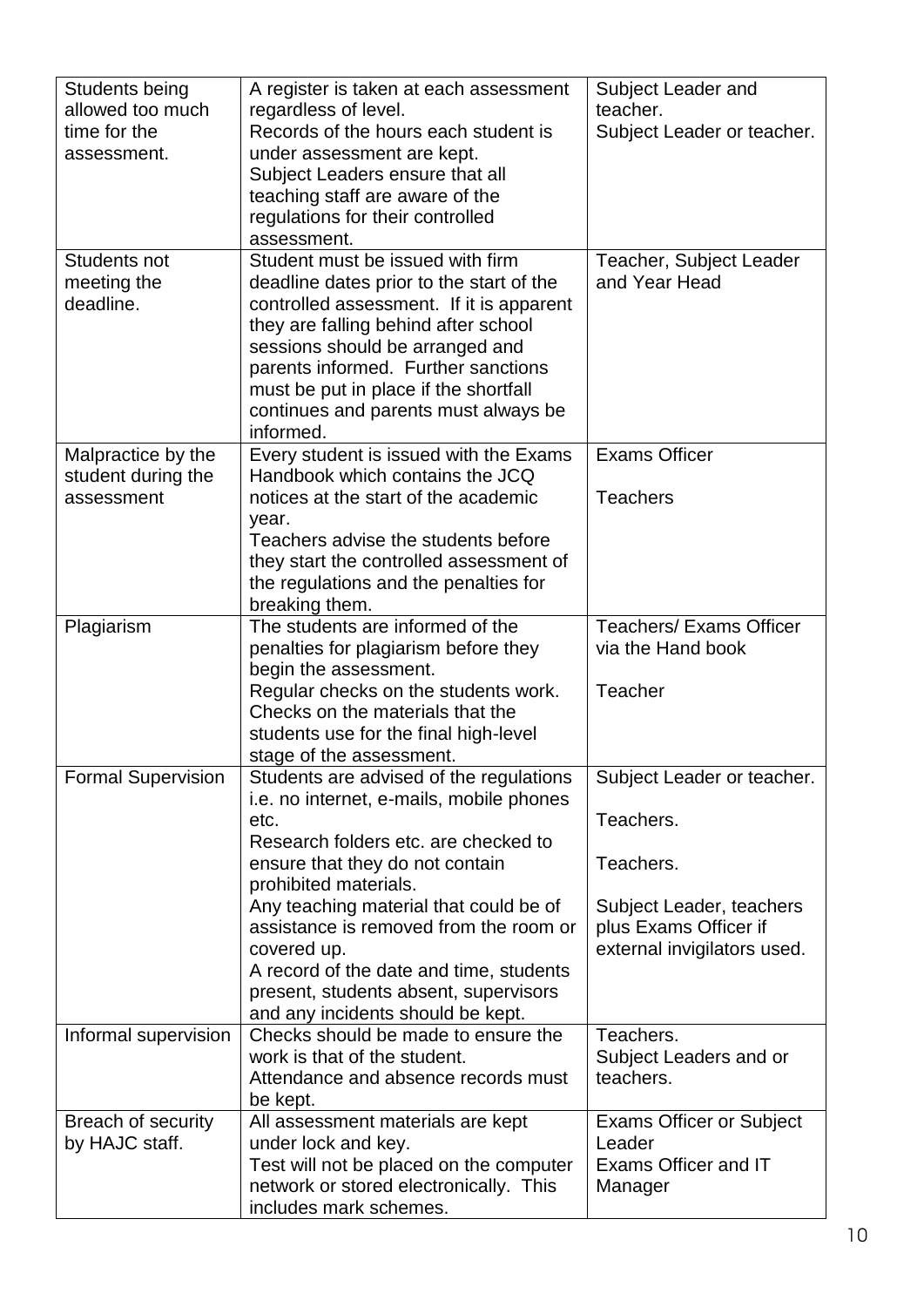| Students being            | A register is taken at each assessment                           | Subject Leader and              |
|---------------------------|------------------------------------------------------------------|---------------------------------|
| allowed too much          | regardless of level.                                             | teacher.                        |
| time for the              | Records of the hours each student is                             | Subject Leader or teacher.      |
| assessment.               | under assessment are kept.                                       |                                 |
|                           | Subject Leaders ensure that all                                  |                                 |
|                           | teaching staff are aware of the                                  |                                 |
|                           | regulations for their controlled                                 |                                 |
|                           | assessment.                                                      |                                 |
| Students not              | Student must be issued with firm                                 | Teacher, Subject Leader         |
| meeting the               | deadline dates prior to the start of the                         | and Year Head                   |
| deadline.                 | controlled assessment. If it is apparent                         |                                 |
|                           | they are falling behind after school                             |                                 |
|                           | sessions should be arranged and                                  |                                 |
|                           | parents informed. Further sanctions                              |                                 |
|                           | must be put in place if the shortfall                            |                                 |
|                           | continues and parents must always be                             |                                 |
|                           | informed.                                                        |                                 |
| Malpractice by the        | Every student is issued with the Exams                           | <b>Exams Officer</b>            |
| student during the        | Handbook which contains the JCQ                                  |                                 |
| assessment                | notices at the start of the academic                             | <b>Teachers</b>                 |
|                           | year.                                                            |                                 |
|                           | Teachers advise the students before                              |                                 |
|                           | they start the controlled assessment of                          |                                 |
|                           | the regulations and the penalties for                            |                                 |
|                           | breaking them.                                                   |                                 |
| Plagiarism                | The students are informed of the                                 | <b>Teachers/ Exams Officer</b>  |
|                           | penalties for plagiarism before they                             | via the Hand book               |
|                           | begin the assessment.                                            |                                 |
|                           | Regular checks on the students work.                             | <b>Teacher</b>                  |
|                           | Checks on the materials that the                                 |                                 |
|                           | students use for the final high-level                            |                                 |
|                           | stage of the assessment.                                         |                                 |
| <b>Formal Supervision</b> | Students are advised of the regulations                          | Subject Leader or teacher.      |
|                           | i.e. no internet, e-mails, mobile phones                         |                                 |
|                           | etc.                                                             | Teachers.                       |
|                           | Research folders etc. are checked to                             |                                 |
|                           | ensure that they do not contain                                  | Teachers.                       |
|                           | prohibited materials.                                            |                                 |
|                           | Any teaching material that could be of                           | Subject Leader, teachers        |
|                           | assistance is removed from the room or                           | plus Exams Officer if           |
|                           | covered up.                                                      | external invigilators used.     |
|                           | A record of the date and time, students                          |                                 |
|                           | present, students absent, supervisors                            |                                 |
|                           | and any incidents should be kept.                                |                                 |
| Informal supervision      | Checks should be made to ensure the                              | Teachers.                       |
|                           | work is that of the student.                                     | Subject Leaders and or          |
|                           | Attendance and absence records must                              | teachers.                       |
|                           | be kept.                                                         |                                 |
| Breach of security        | All assessment materials are kept                                | <b>Exams Officer or Subject</b> |
| by HAJC staff.            | under lock and key.                                              | Leader                          |
|                           | Test will not be placed on the computer                          | Exams Officer and IT            |
|                           | network or stored electronically. This<br>includes mark schemes. | Manager                         |
|                           |                                                                  |                                 |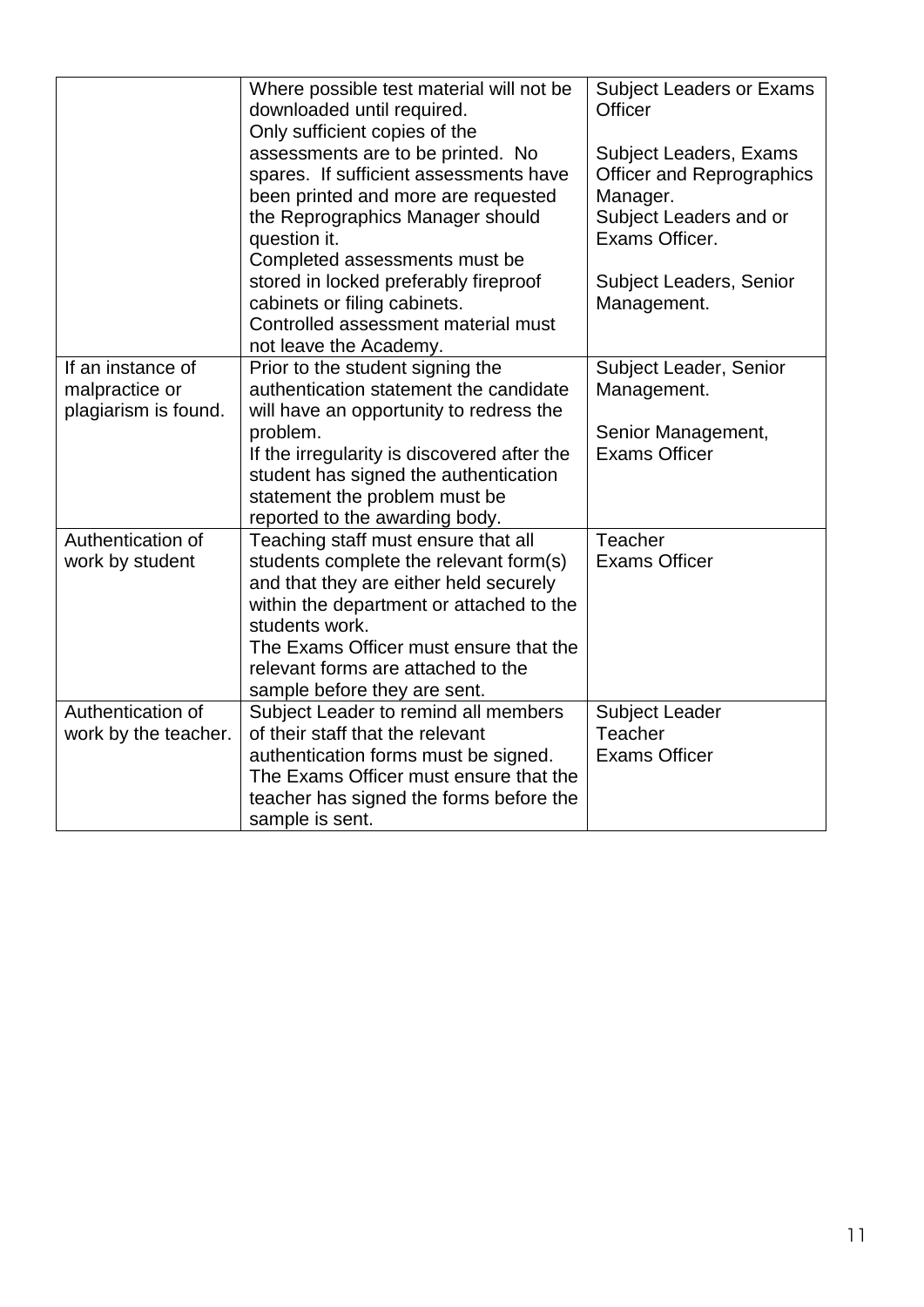|                                                             | Where possible test material will not be<br>downloaded until required.<br>Only sufficient copies of the<br>assessments are to be printed. No<br>spares. If sufficient assessments have<br>been printed and more are requested<br>the Reprographics Manager should<br>question it.<br>Completed assessments must be<br>stored in locked preferably fireproof<br>cabinets or filing cabinets.<br>Controlled assessment material must<br>not leave the Academy. | <b>Subject Leaders or Exams</b><br>Officer<br>Subject Leaders, Exams<br><b>Officer and Reprographics</b><br>Manager.<br>Subject Leaders and or<br>Exams Officer.<br><b>Subject Leaders, Senior</b><br>Management. |
|-------------------------------------------------------------|--------------------------------------------------------------------------------------------------------------------------------------------------------------------------------------------------------------------------------------------------------------------------------------------------------------------------------------------------------------------------------------------------------------------------------------------------------------|-------------------------------------------------------------------------------------------------------------------------------------------------------------------------------------------------------------------|
| If an instance of<br>malpractice or<br>plagiarism is found. | Prior to the student signing the<br>authentication statement the candidate<br>will have an opportunity to redress the<br>problem.<br>If the irregularity is discovered after the<br>student has signed the authentication<br>statement the problem must be<br>reported to the awarding body.                                                                                                                                                                 | Subject Leader, Senior<br>Management.<br>Senior Management,<br><b>Exams Officer</b>                                                                                                                               |
| Authentication of<br>work by student                        | Teaching staff must ensure that all<br>students complete the relevant form(s)<br>and that they are either held securely<br>within the department or attached to the<br>students work.<br>The Exams Officer must ensure that the<br>relevant forms are attached to the<br>sample before they are sent.                                                                                                                                                        | Teacher<br><b>Exams Officer</b>                                                                                                                                                                                   |
| Authentication of<br>work by the teacher.                   | Subject Leader to remind all members<br>of their staff that the relevant<br>authentication forms must be signed.<br>The Exams Officer must ensure that the<br>teacher has signed the forms before the<br>sample is sent.                                                                                                                                                                                                                                     | <b>Subject Leader</b><br>Teacher<br><b>Exams Officer</b>                                                                                                                                                          |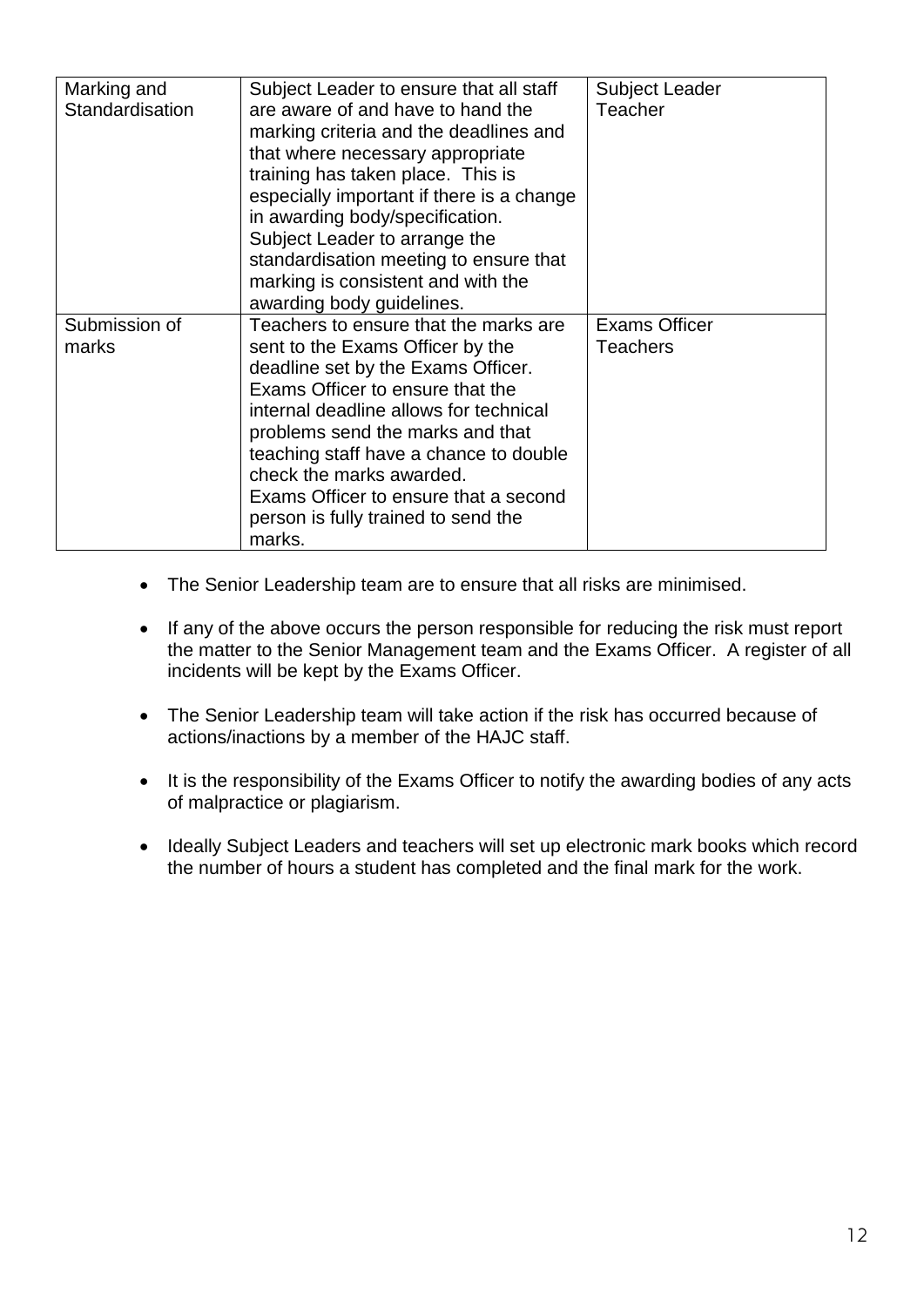| Marking and<br>Standardisation | Subject Leader to ensure that all staff<br>are aware of and have to hand the<br>marking criteria and the deadlines and<br>that where necessary appropriate<br>training has taken place. This is<br>especially important if there is a change<br>in awarding body/specification.<br>Subject Leader to arrange the<br>standardisation meeting to ensure that<br>marking is consistent and with the<br>awarding body guidelines. | <b>Subject Leader</b><br>Teacher        |
|--------------------------------|-------------------------------------------------------------------------------------------------------------------------------------------------------------------------------------------------------------------------------------------------------------------------------------------------------------------------------------------------------------------------------------------------------------------------------|-----------------------------------------|
| Submission of<br>marks         | Teachers to ensure that the marks are<br>sent to the Exams Officer by the<br>deadline set by the Exams Officer.<br>Exams Officer to ensure that the<br>internal deadline allows for technical<br>problems send the marks and that<br>teaching staff have a chance to double<br>check the marks awarded.<br>Exams Officer to ensure that a second<br>person is fully trained to send the<br>marks.                             | <b>Exams Officer</b><br><b>Teachers</b> |

- The Senior Leadership team are to ensure that all risks are minimised.
- If any of the above occurs the person responsible for reducing the risk must report the matter to the Senior Management team and the Exams Officer. A register of all incidents will be kept by the Exams Officer.
- The Senior Leadership team will take action if the risk has occurred because of actions/inactions by a member of the HAJC staff.
- It is the responsibility of the Exams Officer to notify the awarding bodies of any acts of malpractice or plagiarism.
- Ideally Subject Leaders and teachers will set up electronic mark books which record the number of hours a student has completed and the final mark for the work.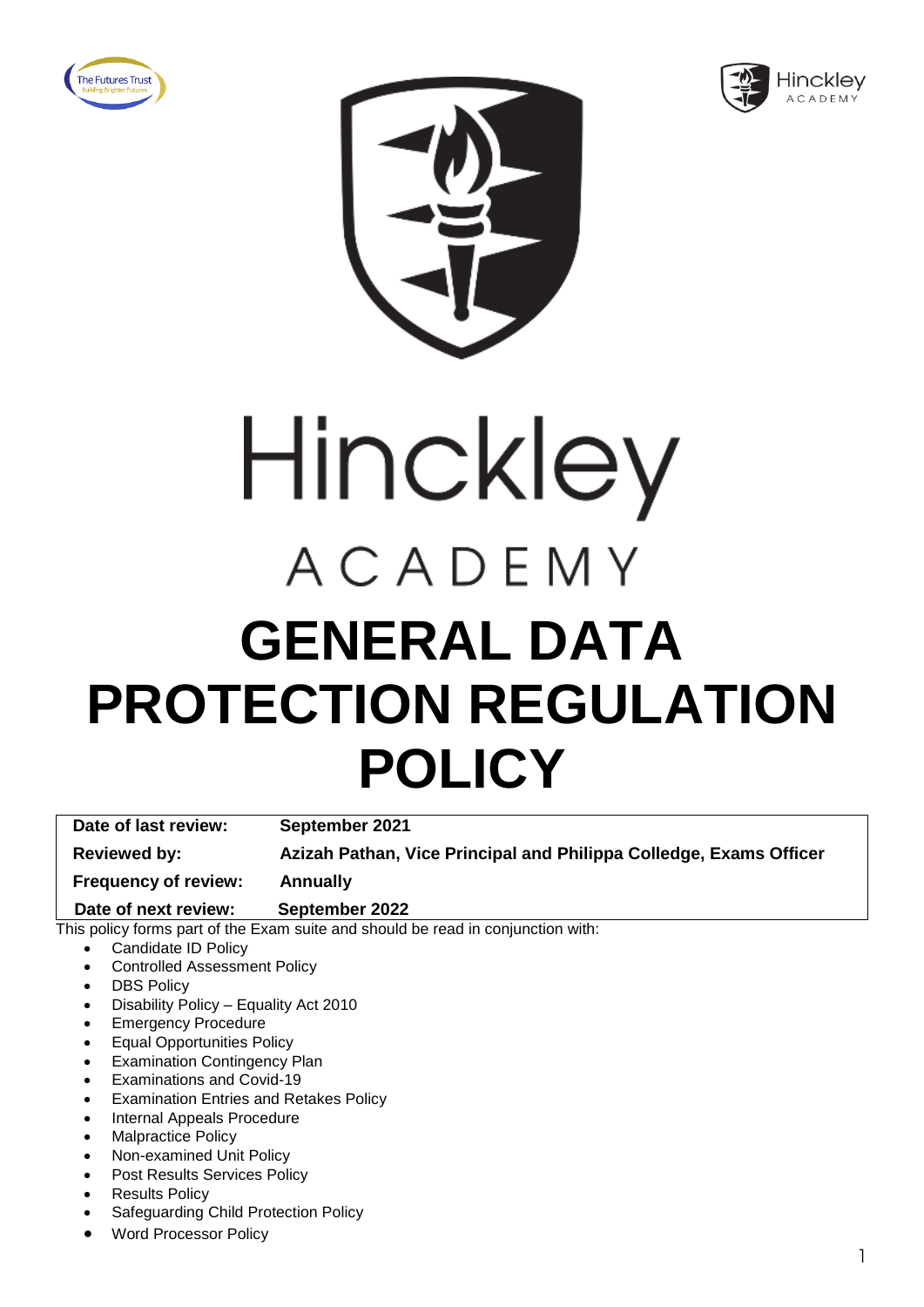





# Hinckley ACADEMY **GENERAL DATA PROTECTION REGULATION POLICY**

**Date of last review: September 2021 Reviewed by: Azizah Pathan, Vice Principal and Philippa Colledge, Exams Officer Frequency of review: Annually**

 **Date of next review: September 2022**

- Candidate ID Policy
- Controlled Assessment Policy
- **DBS Policy**
- Disability Policy Equality Act 2010
- Emergency Procedure
- Equal Opportunities Policy
- **Examination Contingency Plan**
- Examinations and Covid-19
- Examination Entries and Retakes Policy
- Internal Appeals Procedure
- Malpractice Policy
- Non-examined Unit Policy
- Post Results Services Policy
- **Results Policy**
- Safeguarding Child Protection Policy
- Word Processor Policy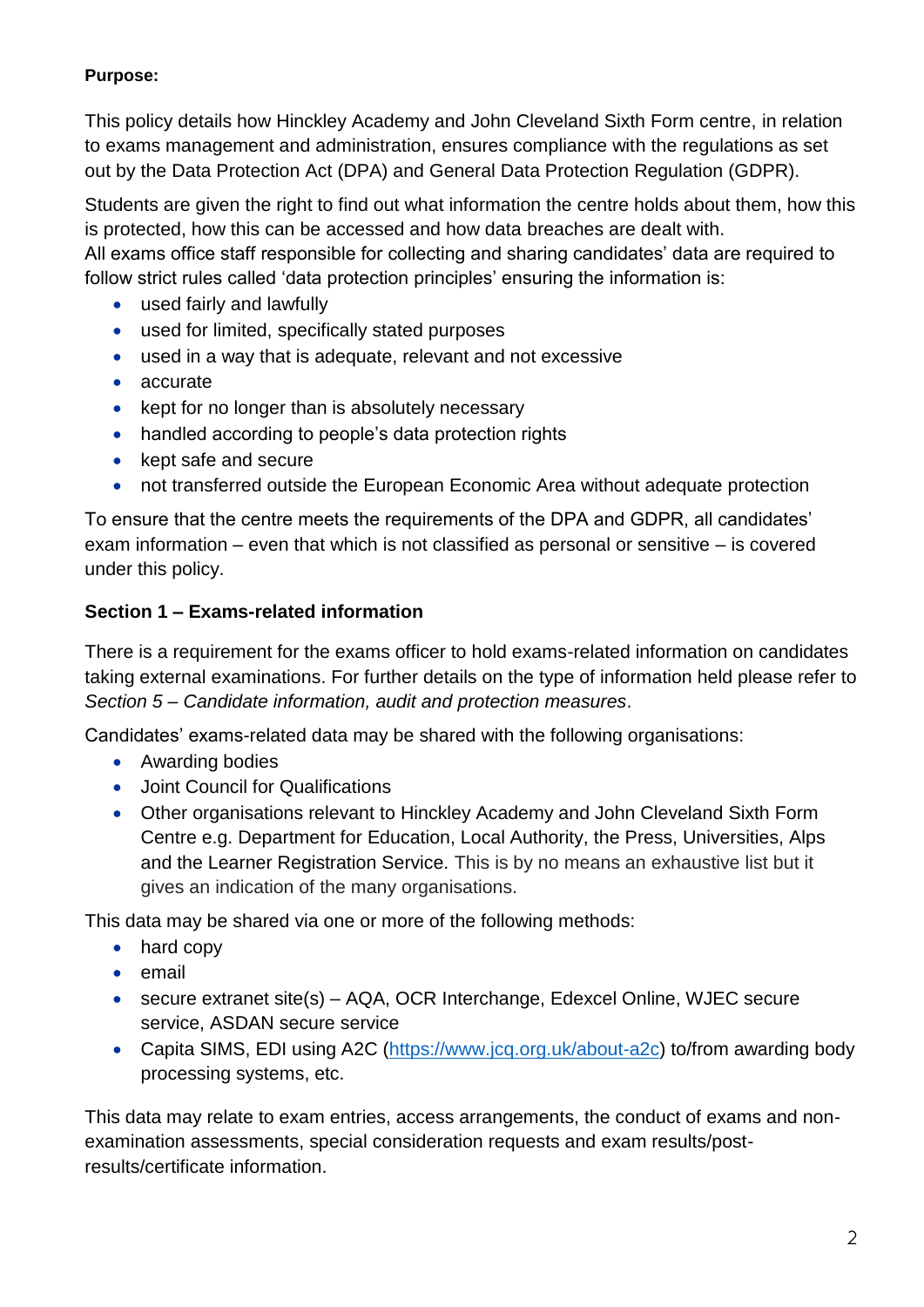This policy details how Hinckley Academy and John Cleveland Sixth Form centre, in relation to exams management and administration, ensures compliance with the regulations as set out by the Data Protection Act (DPA) and General Data Protection Regulation (GDPR).

Students are given the right to find out what information the centre holds about them, how this is protected, how this can be accessed and how data breaches are dealt with.

All exams office staff responsible for collecting and sharing candidates' data are required to follow strict rules called 'data protection principles' ensuring the information is:

- used fairly and lawfully
- used for limited, specifically stated purposes
- used in a way that is adequate, relevant and not excessive
- accurate
- kept for no longer than is absolutely necessary
- handled according to people's data protection rights
- kept safe and secure
- not transferred outside the European Economic Area without adequate protection

To ensure that the centre meets the requirements of the DPA and GDPR, all candidates' exam information – even that which is not classified as personal or sensitive – is covered under this policy.

#### **Section 1 – Exams-related information**

There is a requirement for the exams officer to hold exams-related information on candidates taking external examinations. For further details on the type of information held please refer to *Section 5 – Candidate information, audit and protection measures*.

Candidates' exams-related data may be shared with the following organisations:

- Awarding bodies
- Joint Council for Qualifications
- Other organisations relevant to Hinckley Academy and John Cleveland Sixth Form Centre e.g. Department for Education, Local Authority, the Press, Universities, Alps and the Learner Registration Service. This is by no means an exhaustive list but it gives an indication of the many organisations.

This data may be shared via one or more of the following methods:

- hard copy
- email
- secure extranet site(s) AQA, OCR Interchange, Edexcel Online, WJEC secure service, ASDAN secure service
- Capita SIMS, EDI using A2C (https://www.jcg.org.uk/about-a2c) to/from awarding body processing systems, etc.

This data may relate to exam entries, access arrangements, the conduct of exams and nonexamination assessments, special consideration requests and exam results/postresults/certificate information.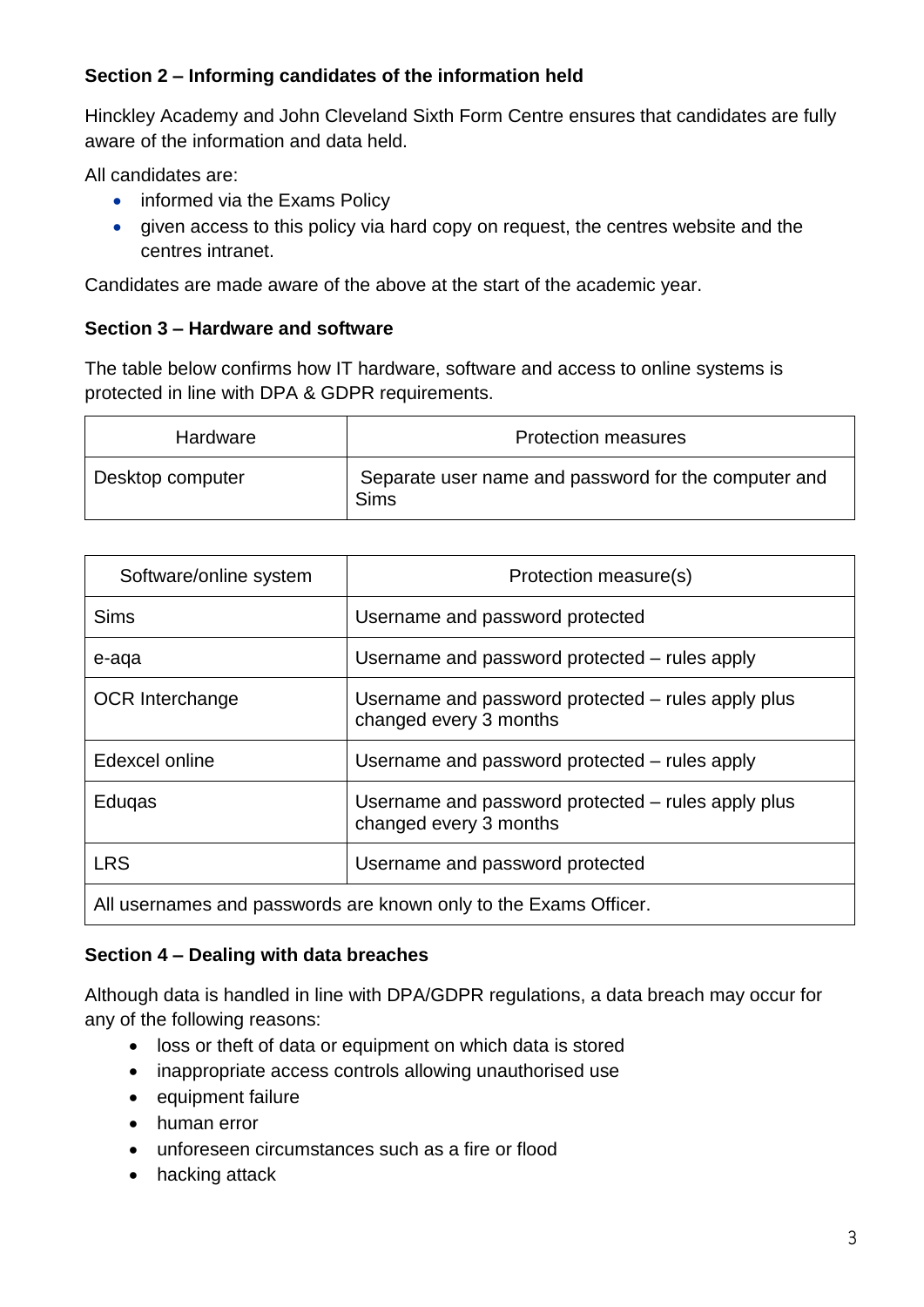#### **Section 2 – Informing candidates of the information held**

Hinckley Academy and John Cleveland Sixth Form Centre ensures that candidates are fully aware of the information and data held.

All candidates are:

- informed via the Exams Policy
- given access to this policy via hard copy on request, the centres website and the centres intranet.

Candidates are made aware of the above at the start of the academic year.

#### **Section 3 – Hardware and software**

The table below confirms how IT hardware, software and access to online systems is protected in line with DPA & GDPR requirements.

| Hardware         | <b>Protection measures</b>                                          |
|------------------|---------------------------------------------------------------------|
| Desktop computer | Separate user name and password for the computer and<br><b>Sims</b> |

| Software/online system | Protection measure(s)                                                        |
|------------------------|------------------------------------------------------------------------------|
| <b>Sims</b>            | Username and password protected                                              |
| e-aqa                  | Username and password protected - rules apply                                |
| <b>OCR</b> Interchange | Username and password protected – rules apply plus<br>changed every 3 months |
| Edexcel online         | Username and password protected – rules apply                                |
| Eduqas                 | Username and password protected – rules apply plus<br>changed every 3 months |
| <b>LRS</b>             | Username and password protected                                              |
|                        | All usernames and passwords are known only to the Exams Officer.             |

#### **Section 4 – Dealing with data breaches**

Although data is handled in line with DPA/GDPR regulations, a data breach may occur for any of the following reasons:

- loss or theft of data or equipment on which data is stored
- inappropriate access controls allowing unauthorised use
- equipment failure
- human error
- unforeseen circumstances such as a fire or flood
- hacking attack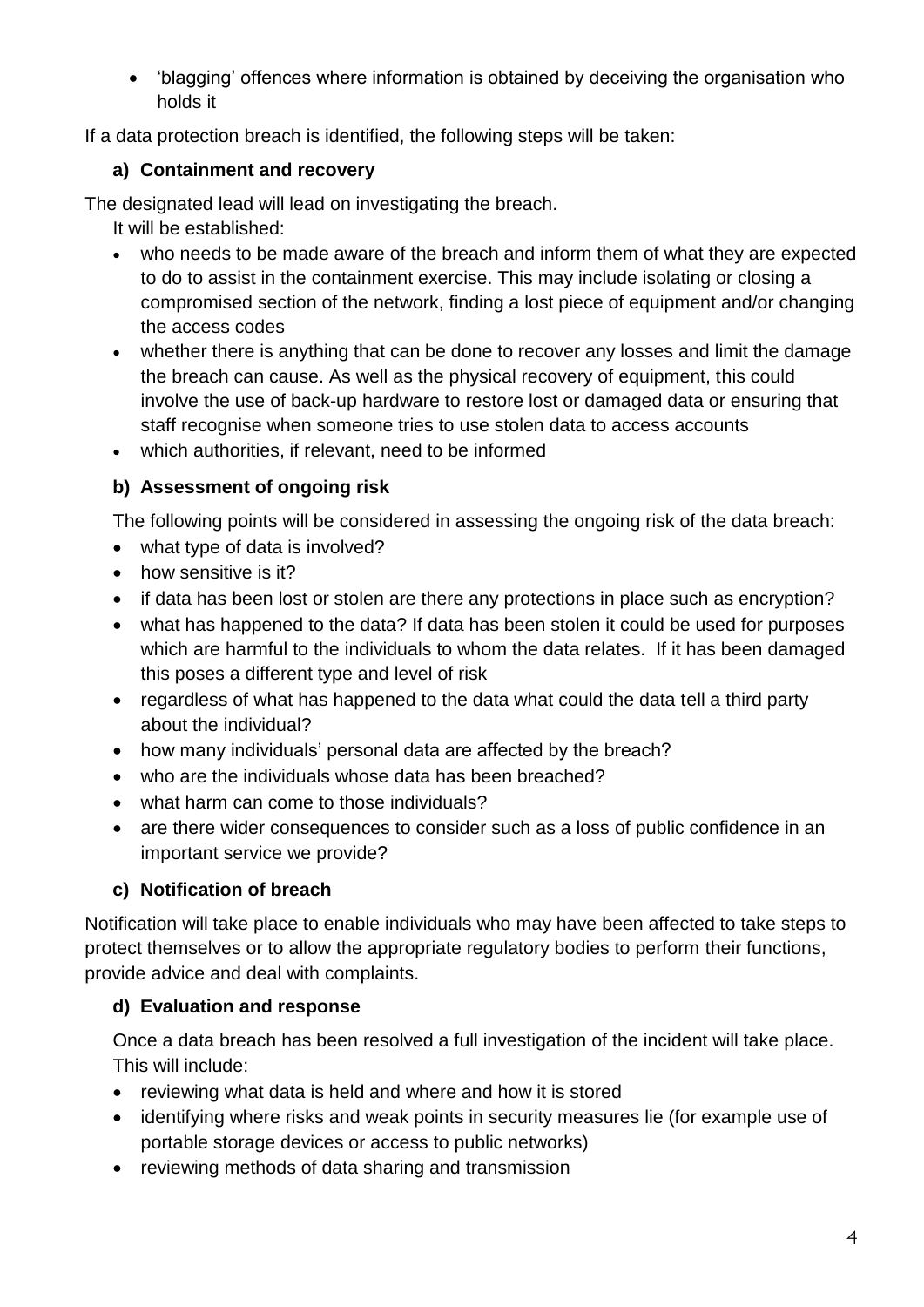• 'blagging' offences where information is obtained by deceiving the organisation who holds it

If a data protection breach is identified, the following steps will be taken:

#### **a) Containment and recovery**

The designated lead will lead on investigating the breach.

It will be established:

- who needs to be made aware of the breach and inform them of what they are expected to do to assist in the containment exercise. This may include isolating or closing a compromised section of the network, finding a lost piece of equipment and/or changing the access codes
- whether there is anything that can be done to recover any losses and limit the damage the breach can cause. As well as the physical recovery of equipment, this could involve the use of back-up hardware to restore lost or damaged data or ensuring that staff recognise when someone tries to use stolen data to access accounts
- which authorities, if relevant, need to be informed

#### **b) Assessment of ongoing risk**

The following points will be considered in assessing the ongoing risk of the data breach:

- what type of data is involved?
- how sensitive is it?
- if data has been lost or stolen are there any protections in place such as encryption?
- what has happened to the data? If data has been stolen it could be used for purposes which are harmful to the individuals to whom the data relates. If it has been damaged this poses a different type and level of risk
- regardless of what has happened to the data what could the data tell a third party about the individual?
- how many individuals' personal data are affected by the breach?
- who are the individuals whose data has been breached?
- what harm can come to those individuals?
- are there wider consequences to consider such as a loss of public confidence in an important service we provide?

#### **c) Notification of breach**

Notification will take place to enable individuals who may have been affected to take steps to protect themselves or to allow the appropriate regulatory bodies to perform their functions, provide advice and deal with complaints.

#### **d) Evaluation and response**

Once a data breach has been resolved a full investigation of the incident will take place. This will include:

- reviewing what data is held and where and how it is stored
- identifying where risks and weak points in security measures lie (for example use of portable storage devices or access to public networks)
- reviewing methods of data sharing and transmission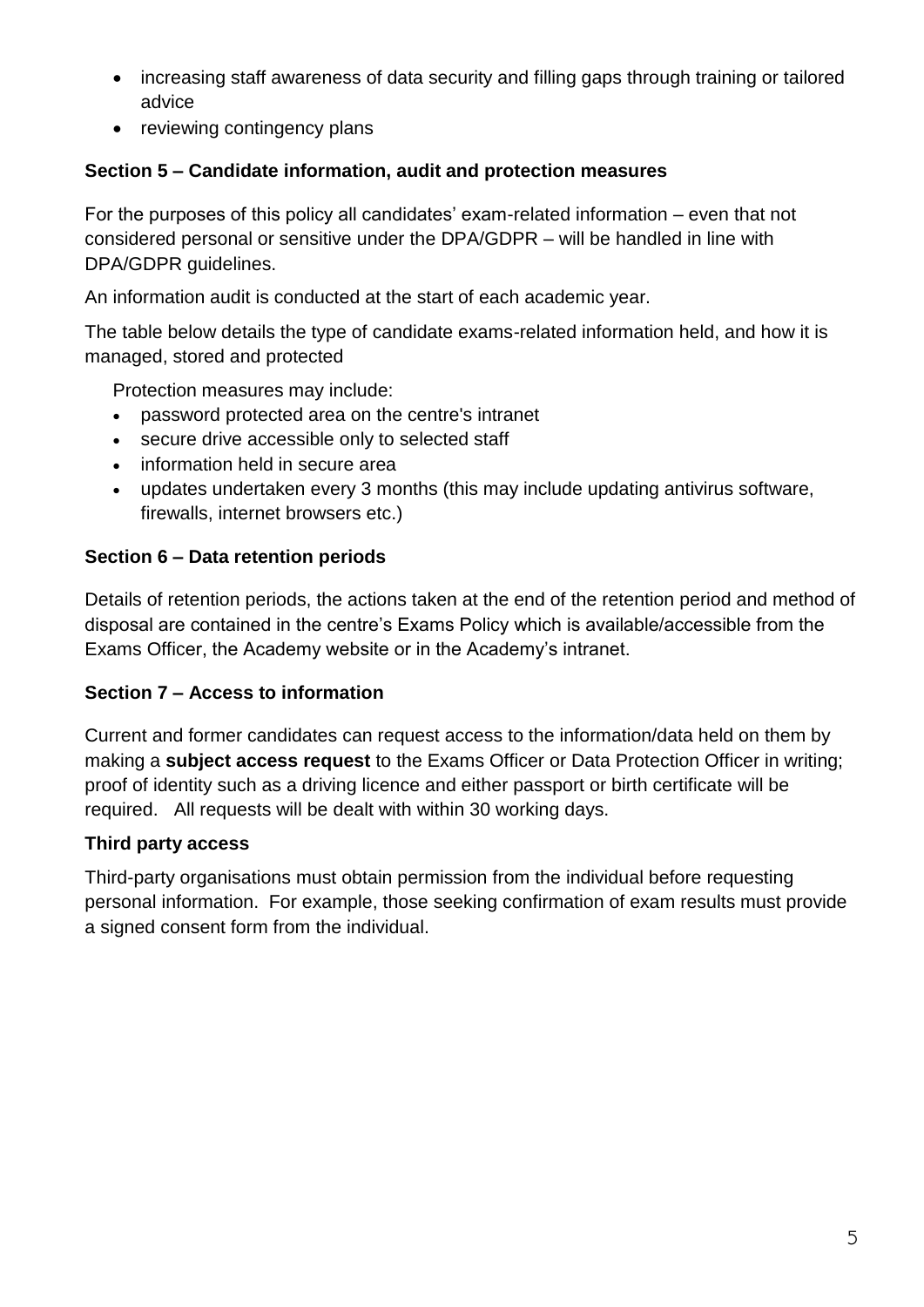- increasing staff awareness of data security and filling gaps through training or tailored advice
- reviewing contingency plans

#### **Section 5 – Candidate information, audit and protection measures**

For the purposes of this policy all candidates' exam-related information – even that not considered personal or sensitive under the DPA/GDPR – will be handled in line with DPA/GDPR guidelines.

An information audit is conducted at the start of each academic year.

The table below details the type of candidate exams-related information held, and how it is managed, stored and protected

Protection measures may include:

- password protected area on the centre's intranet
- secure drive accessible only to selected staff
- information held in secure area
- updates undertaken every 3 months (this may include updating antivirus software, firewalls, internet browsers etc.)

#### **Section 6 – Data retention periods**

Details of retention periods, the actions taken at the end of the retention period and method of disposal are contained in the centre's Exams Policy which is available/accessible from the Exams Officer, the Academy website or in the Academy's intranet.

#### **Section 7 – Access to information**

Current and former candidates can request access to the information/data held on them by making a **subject access request** to the Exams Officer or Data Protection Officer in writing; proof of identity such as a driving licence and either passport or birth certificate will be required. All requests will be dealt with within 30 working days.

#### **Third party access**

Third-party organisations must obtain permission from the individual before requesting personal information. For example, those seeking confirmation of exam results must provide a signed consent form from the individual.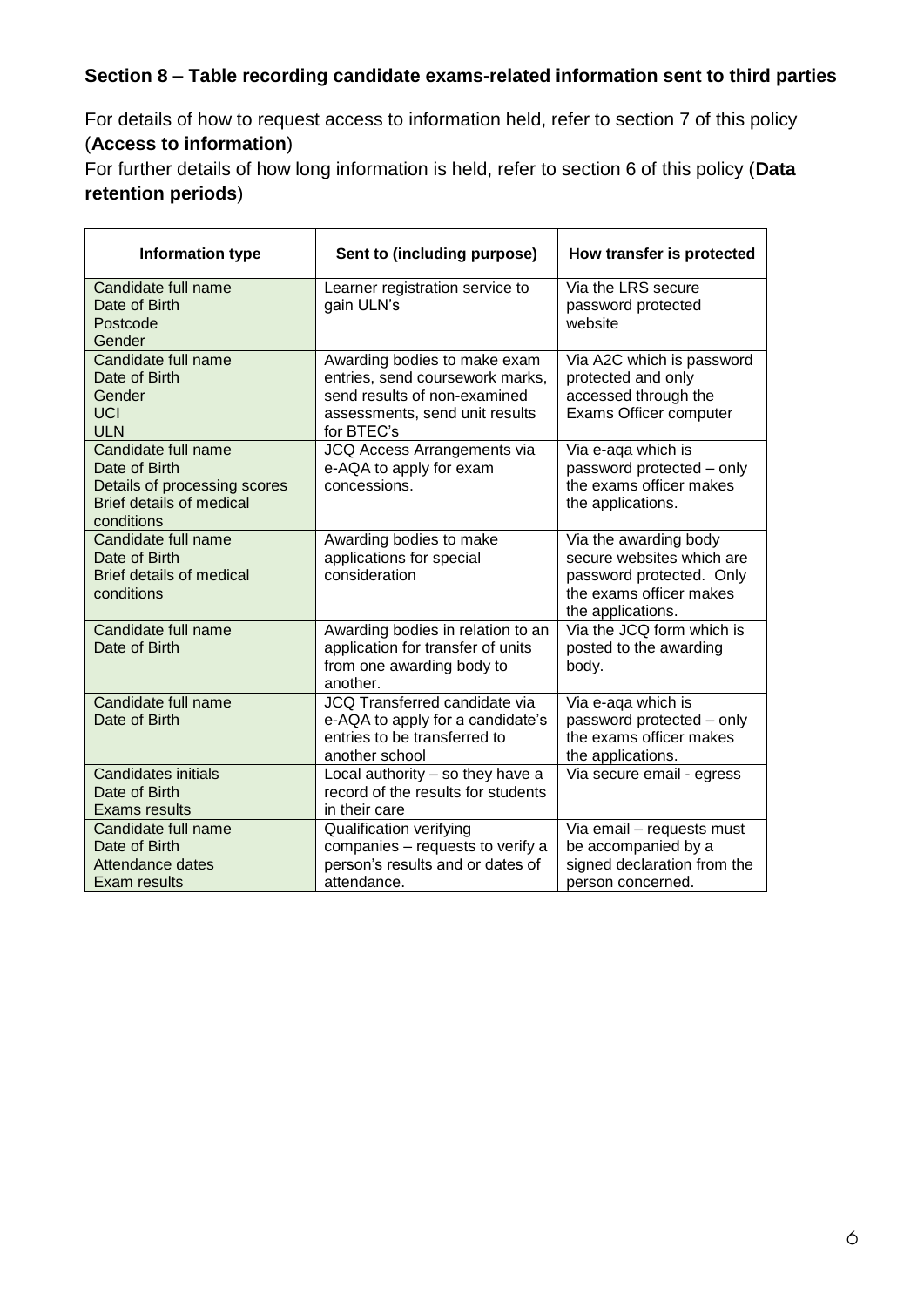#### **Section 8 – Table recording candidate exams-related information sent to third parties**

For details of how to request access to information held, refer to section 7 of this policy (**Access to information**)

For further details of how long information is held, refer to section 6 of this policy (**Data retention periods**)

| <b>Information type</b>                                                                                               | Sent to (including purpose)                                                                                                                     | How transfer is protected                                                                                                      |
|-----------------------------------------------------------------------------------------------------------------------|-------------------------------------------------------------------------------------------------------------------------------------------------|--------------------------------------------------------------------------------------------------------------------------------|
| Candidate full name<br>Date of Birth<br>Postcode<br>Gender                                                            | Learner registration service to<br>gain ULN's                                                                                                   | Via the LRS secure<br>password protected<br>website                                                                            |
| Candidate full name<br>Date of Birth<br>Gender<br><b>UCI</b><br><b>ULN</b>                                            | Awarding bodies to make exam<br>entries, send coursework marks,<br>send results of non-examined<br>assessments, send unit results<br>for BTEC's | Via A2C which is password<br>protected and only<br>accessed through the<br>Exams Officer computer                              |
| Candidate full name<br>Date of Birth<br>Details of processing scores<br><b>Brief details of medical</b><br>conditions | JCQ Access Arrangements via<br>e-AQA to apply for exam<br>concessions.                                                                          | Via e-aqa which is<br>password protected - only<br>the exams officer makes<br>the applications.                                |
| Candidate full name<br>Date of Birth<br>Brief details of medical<br>conditions                                        | Awarding bodies to make<br>applications for special<br>consideration                                                                            | Via the awarding body<br>secure websites which are<br>password protected. Only<br>the exams officer makes<br>the applications. |
| Candidate full name<br>Date of Birth                                                                                  | Awarding bodies in relation to an<br>application for transfer of units<br>from one awarding body to<br>another.                                 | Via the JCQ form which is<br>posted to the awarding<br>body.                                                                   |
| Candidate full name<br>Date of Birth                                                                                  | <b>JCQ Transferred candidate via</b><br>e-AQA to apply for a candidate's<br>entries to be transferred to<br>another school                      | Via e-aqa which is<br>password protected - only<br>the exams officer makes<br>the applications.                                |
| <b>Candidates initials</b><br>Date of Birth<br>Exams results                                                          | Local authority $-$ so they have a<br>record of the results for students<br>in their care                                                       | Via secure email - egress                                                                                                      |
| Candidate full name<br>Date of Birth<br><b>Attendance dates</b><br>Exam results                                       | <b>Qualification verifying</b><br>companies - requests to verify a<br>person's results and or dates of<br>attendance.                           | Via email - requests must<br>be accompanied by a<br>signed declaration from the<br>person concerned.                           |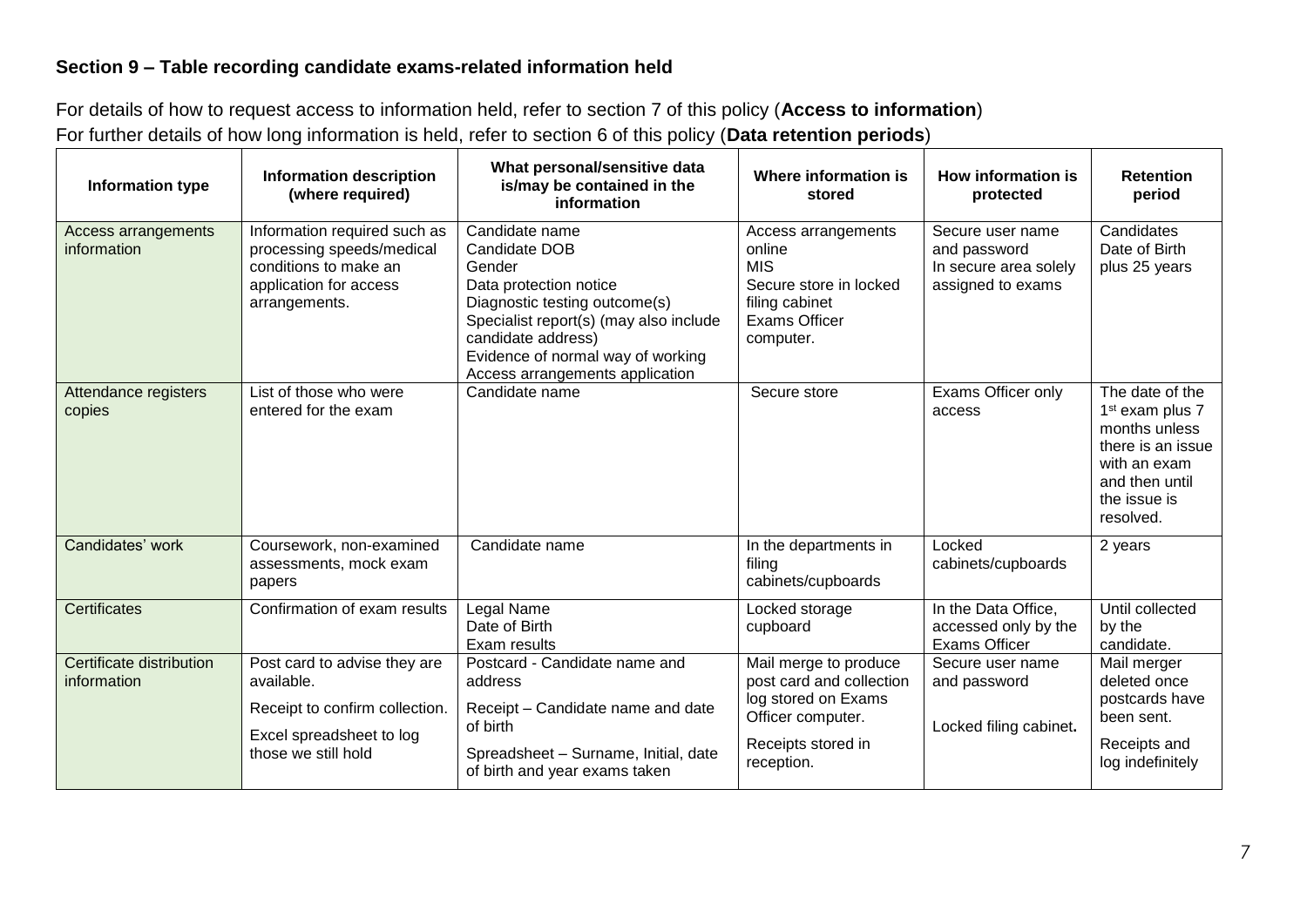#### **Section 9 – Table recording candidate exams-related information held**

For details of how to request access to information held, refer to section 7 of this policy (**Access to information**) For further details of how long information is held, refer to section 6 of this policy (**Data retention periods**)

| Information type                        | <b>Information description</b><br>(where required)                                                                              | What personal/sensitive data<br>is/may be contained in the<br>information                                                                                                                                                                    | Where information is<br>stored                                                                                                    | How information is<br>protected                                                | <b>Retention</b><br>period                                                                                                                          |
|-----------------------------------------|---------------------------------------------------------------------------------------------------------------------------------|----------------------------------------------------------------------------------------------------------------------------------------------------------------------------------------------------------------------------------------------|-----------------------------------------------------------------------------------------------------------------------------------|--------------------------------------------------------------------------------|-----------------------------------------------------------------------------------------------------------------------------------------------------|
| Access arrangements<br>information      | Information required such as<br>processing speeds/medical<br>conditions to make an<br>application for access<br>arrangements.   | Candidate name<br>Candidate DOB<br>Gender<br>Data protection notice<br>Diagnostic testing outcome(s)<br>Specialist report(s) (may also include<br>candidate address)<br>Evidence of normal way of working<br>Access arrangements application | Access arrangements<br>online<br><b>MIS</b><br>Secure store in locked<br>filing cabinet<br><b>Exams Officer</b><br>computer.      | Secure user name<br>and password<br>In secure area solely<br>assigned to exams | Candidates<br>Date of Birth<br>plus 25 years                                                                                                        |
| Attendance registers<br>copies          | List of those who were<br>entered for the exam                                                                                  | Candidate name                                                                                                                                                                                                                               | Secure store                                                                                                                      | Exams Officer only<br>access                                                   | The date of the<br>1 <sup>st</sup> exam plus 7<br>months unless<br>there is an issue<br>with an exam<br>and then until<br>the issue is<br>resolved. |
| Candidates' work                        | Coursework, non-examined<br>assessments, mock exam<br>papers                                                                    | Candidate name                                                                                                                                                                                                                               | In the departments in<br>filing<br>cabinets/cupboards                                                                             | Locked<br>cabinets/cupboards                                                   | 2 years                                                                                                                                             |
| Certificates                            | Confirmation of exam results                                                                                                    | Legal Name<br>Date of Birth<br>Exam results                                                                                                                                                                                                  | Locked storage<br>cupboard                                                                                                        | In the Data Office,<br>accessed only by the<br><b>Exams Officer</b>            | Until collected<br>by the<br>candidate.                                                                                                             |
| Certificate distribution<br>information | Post card to advise they are<br>available.<br>Receipt to confirm collection.<br>Excel spreadsheet to log<br>those we still hold | Postcard - Candidate name and<br>address<br>Receipt - Candidate name and date<br>of birth<br>Spreadsheet - Surname, Initial, date<br>of birth and year exams taken                                                                           | Mail merge to produce<br>post card and collection<br>log stored on Exams<br>Officer computer.<br>Receipts stored in<br>reception. | Secure user name<br>and password<br>Locked filing cabinet.                     | Mail merger<br>deleted once<br>postcards have<br>been sent.<br>Receipts and<br>log indefinitely                                                     |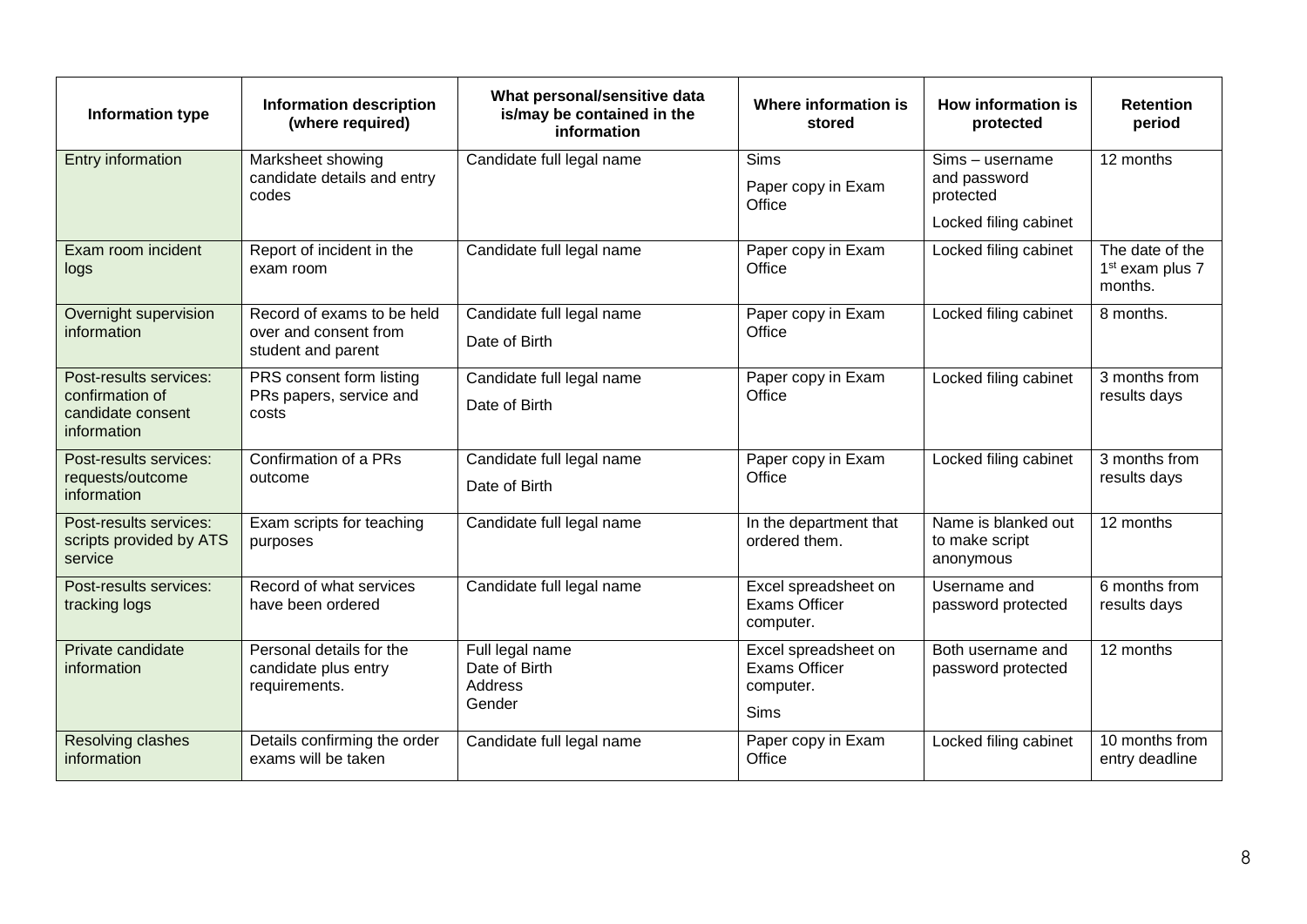| Information type                                                              | <b>Information description</b><br>(where required)                        | What personal/sensitive data<br>is/may be contained in the<br>information | Where information is<br>stored                                           | How information is<br>protected                                       | <b>Retention</b><br>period                                |
|-------------------------------------------------------------------------------|---------------------------------------------------------------------------|---------------------------------------------------------------------------|--------------------------------------------------------------------------|-----------------------------------------------------------------------|-----------------------------------------------------------|
| Entry information                                                             | Marksheet showing<br>candidate details and entry<br>codes                 | Candidate full legal name                                                 | <b>Sims</b><br>Paper copy in Exam<br>Office                              | Sims - username<br>and password<br>protected<br>Locked filing cabinet | 12 months                                                 |
| Exam room incident<br>logs                                                    | Report of incident in the<br>exam room                                    | Candidate full legal name                                                 | Paper copy in Exam<br>Office                                             | Locked filing cabinet                                                 | The date of the<br>1 <sup>st</sup> exam plus 7<br>months. |
| Overnight supervision<br>information                                          | Record of exams to be held<br>over and consent from<br>student and parent | Candidate full legal name<br>Date of Birth                                | Paper copy in Exam<br>Office                                             | Locked filing cabinet                                                 | 8 months.                                                 |
| Post-results services:<br>confirmation of<br>candidate consent<br>information | PRS consent form listing<br>PRs papers, service and<br>costs              | Candidate full legal name<br>Date of Birth                                | Paper copy in Exam<br>Office                                             | Locked filing cabinet                                                 | 3 months from<br>results days                             |
| Post-results services:<br>requests/outcome<br>information                     | Confirmation of a PRs<br>outcome                                          | Candidate full legal name<br>Date of Birth                                | Paper copy in Exam<br>Office                                             | Locked filing cabinet                                                 | 3 months from<br>results days                             |
| Post-results services:<br>scripts provided by ATS<br>service                  | Exam scripts for teaching<br>purposes                                     | Candidate full legal name                                                 | In the department that<br>ordered them.                                  | Name is blanked out<br>to make script<br>anonymous                    | 12 months                                                 |
| Post-results services:<br>tracking logs                                       | Record of what services<br>have been ordered                              | Candidate full legal name                                                 | Excel spreadsheet on<br><b>Exams Officer</b><br>computer.                | Username and<br>password protected                                    | 6 months from<br>results days                             |
| Private candidate<br>information                                              | Personal details for the<br>candidate plus entry<br>requirements.         | Full legal name<br>Date of Birth<br>Address<br>Gender                     | Excel spreadsheet on<br><b>Exams Officer</b><br>computer.<br><b>Sims</b> | Both username and<br>password protected                               | 12 months                                                 |
| Resolving clashes<br>information                                              | Details confirming the order<br>exams will be taken                       | Candidate full legal name                                                 | Paper copy in Exam<br>Office                                             | Locked filing cabinet                                                 | 10 months from<br>entry deadline                          |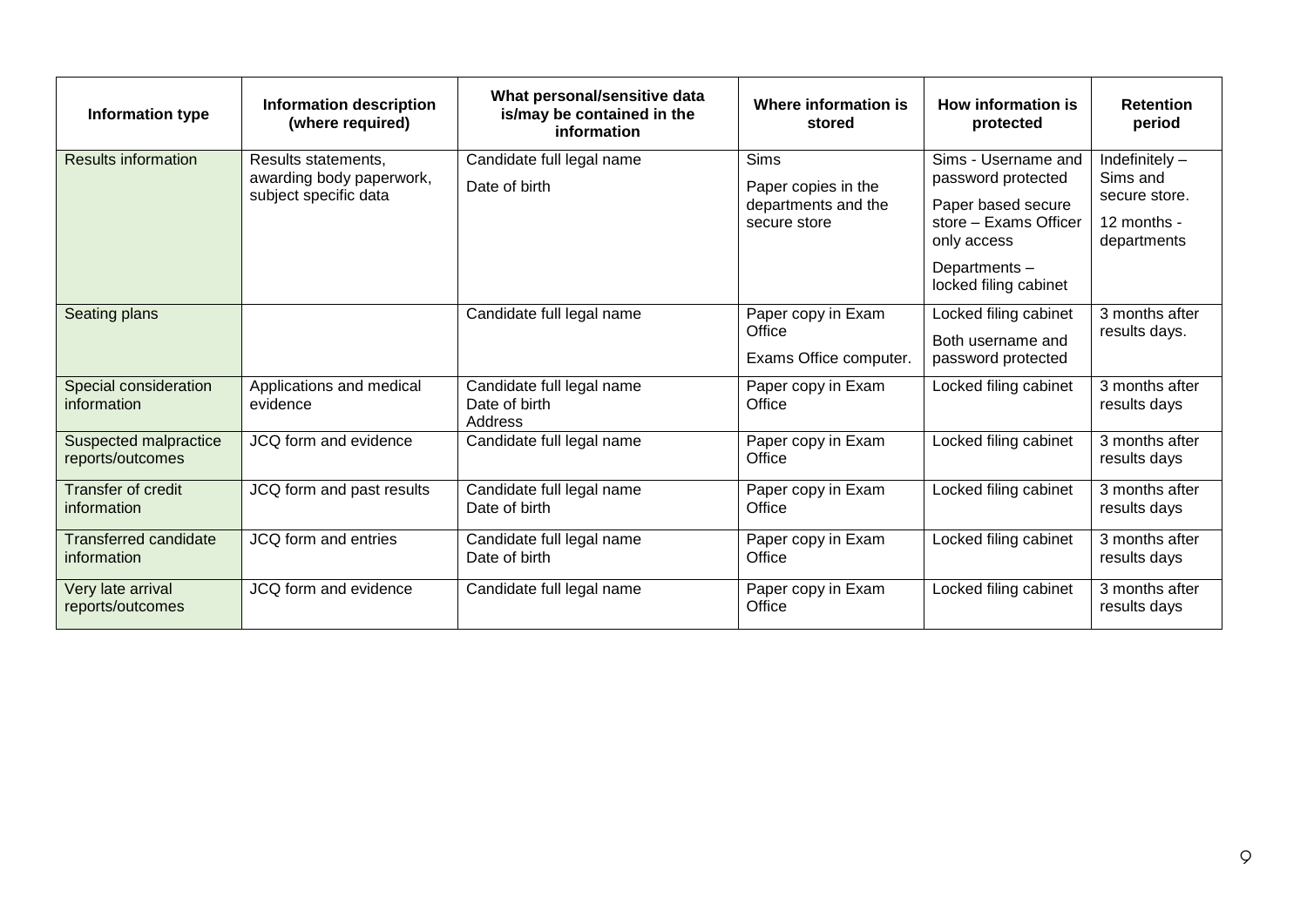| Information type                            | <b>Information description</b><br>(where required)                       | What personal/sensitive data<br>is/may be contained in the<br>information | Where information is<br>stored                                            | How information is<br>protected                                                                                                                  | <b>Retention</b><br>period                                                  |
|---------------------------------------------|--------------------------------------------------------------------------|---------------------------------------------------------------------------|---------------------------------------------------------------------------|--------------------------------------------------------------------------------------------------------------------------------------------------|-----------------------------------------------------------------------------|
| <b>Results information</b>                  | Results statements,<br>awarding body paperwork,<br>subject specific data | Candidate full legal name<br>Date of birth                                | <b>Sims</b><br>Paper copies in the<br>departments and the<br>secure store | Sims - Username and<br>password protected<br>Paper based secure<br>store - Exams Officer<br>only access<br>Departments-<br>locked filing cabinet | Indefinitely $-$<br>Sims and<br>secure store.<br>12 months -<br>departments |
| Seating plans                               |                                                                          | Candidate full legal name                                                 | Paper copy in Exam<br>Office<br>Exams Office computer.                    | Locked filing cabinet<br>Both username and<br>password protected                                                                                 | 3 months after<br>results days.                                             |
| Special consideration<br>information        | Applications and medical<br>evidence                                     | Candidate full legal name<br>Date of birth<br>Address                     | Paper copy in Exam<br>Office                                              | Locked filing cabinet                                                                                                                            | 3 months after<br>results days                                              |
| Suspected malpractice<br>reports/outcomes   | JCQ form and evidence                                                    | Candidate full legal name                                                 | Paper copy in Exam<br>Office                                              | Locked filing cabinet                                                                                                                            | 3 months after<br>results days                                              |
| Transfer of credit<br>information           | JCQ form and past results                                                | Candidate full legal name<br>Date of birth                                | Paper copy in Exam<br>Office                                              | Locked filing cabinet                                                                                                                            | 3 months after<br>results days                                              |
| <b>Transferred candidate</b><br>information | JCQ form and entries                                                     | Candidate full legal name<br>Date of birth                                | Paper copy in Exam<br>Office                                              | Locked filing cabinet                                                                                                                            | 3 months after<br>results days                                              |
| Very late arrival<br>reports/outcomes       | JCQ form and evidence                                                    | Candidate full legal name                                                 | Paper copy in Exam<br>Office                                              | Locked filing cabinet                                                                                                                            | 3 months after<br>results days                                              |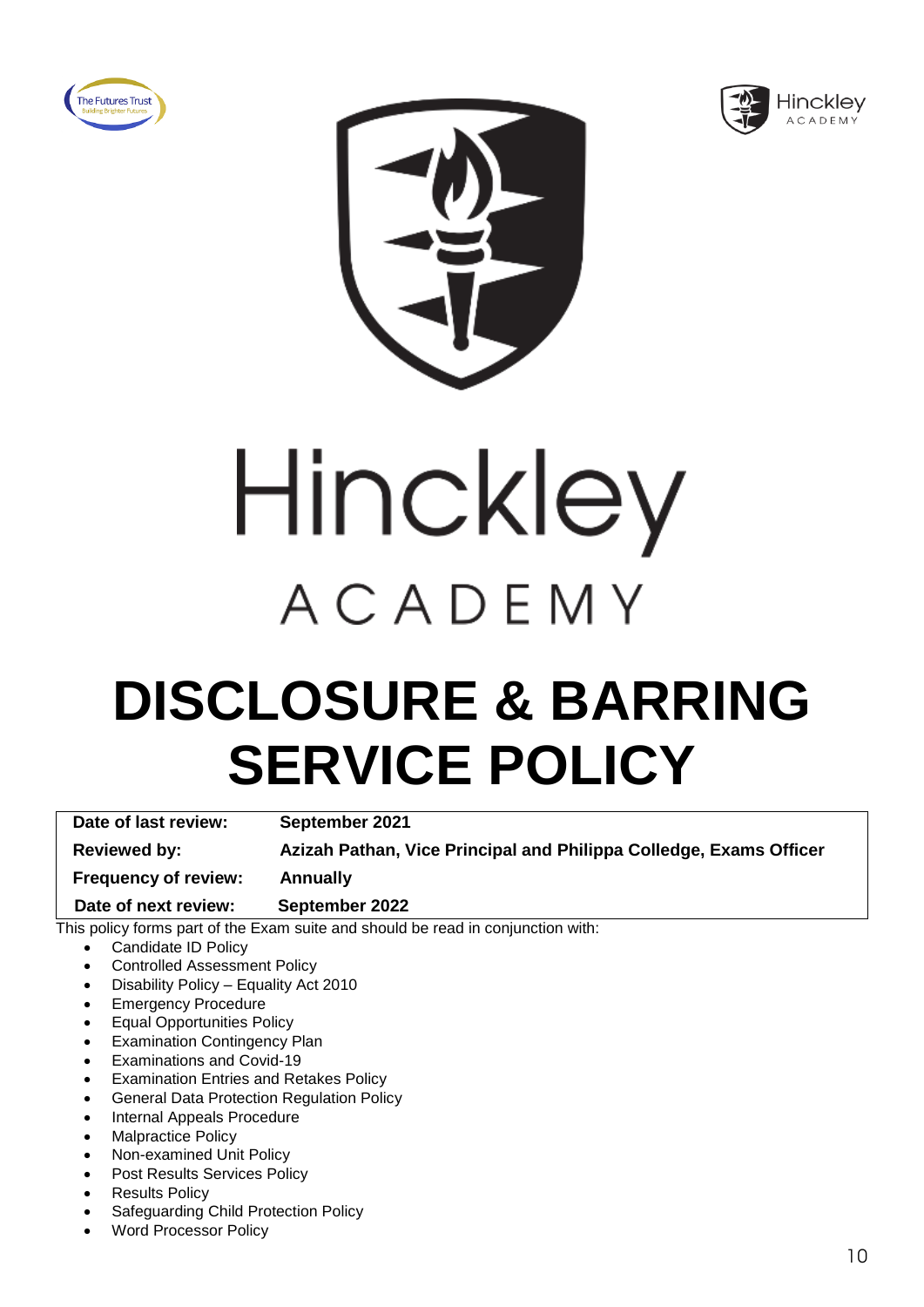





# Hinckley ACADEMY

### **DISCLOSURE & BARRING SERVICE POLICY**

**Date of last review: September 2021 Reviewed by: Azizah Pathan, Vice Principal and Philippa Colledge, Exams Officer Frequency of review: Annually Date of next review: September 2022**

- Candidate ID Policy
- Controlled Assessment Policy
- Disability Policy Equality Act 2010
- Emergency Procedure
- Equal Opportunities Policy
- **Examination Contingency Plan**
- Examinations and Covid-19
- Examination Entries and Retakes Policy
- General Data Protection Regulation Policy
- Internal Appeals Procedure
- Malpractice Policy
- Non-examined Unit Policy
- Post Results Services Policy
- **Results Policy**
- Safeguarding Child Protection Policy
- Word Processor Policy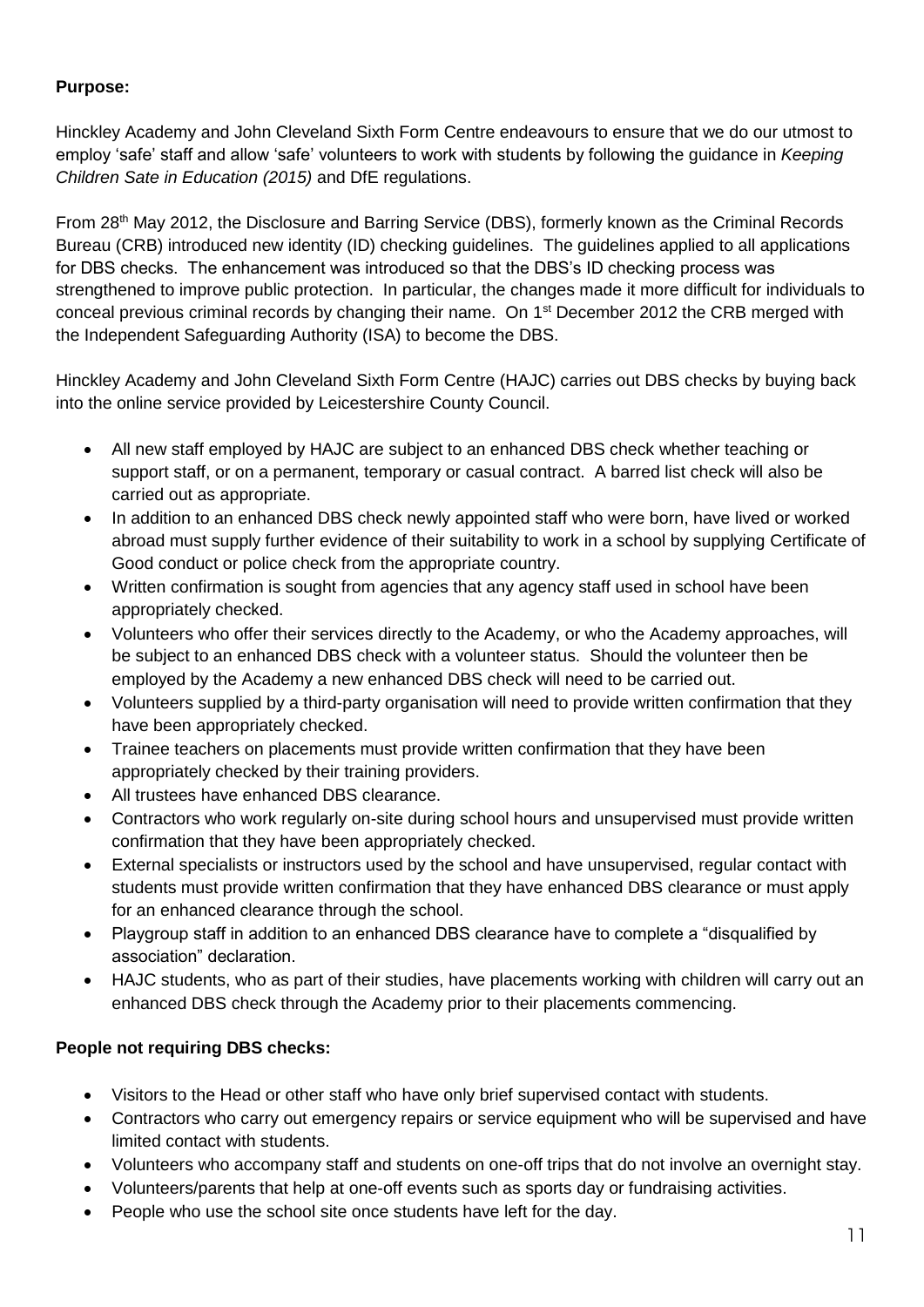Hinckley Academy and John Cleveland Sixth Form Centre endeavours to ensure that we do our utmost to employ 'safe' staff and allow 'safe' volunteers to work with students by following the guidance in *Keeping Children Sate in Education (2015)* and DfE regulations.

From 28th May 2012, the Disclosure and Barring Service (DBS), formerly known as the Criminal Records Bureau (CRB) introduced new identity (ID) checking guidelines. The guidelines applied to all applications for DBS checks. The enhancement was introduced so that the DBS's ID checking process was strengthened to improve public protection. In particular, the changes made it more difficult for individuals to conceal previous criminal records by changing their name. On 1<sup>st</sup> December 2012 the CRB merged with the Independent Safeguarding Authority (ISA) to become the DBS.

Hinckley Academy and John Cleveland Sixth Form Centre (HAJC) carries out DBS checks by buying back into the online service provided by Leicestershire County Council.

- All new staff employed by HAJC are subject to an enhanced DBS check whether teaching or support staff, or on a permanent, temporary or casual contract. A barred list check will also be carried out as appropriate.
- In addition to an enhanced DBS check newly appointed staff who were born, have lived or worked abroad must supply further evidence of their suitability to work in a school by supplying Certificate of Good conduct or police check from the appropriate country.
- Written confirmation is sought from agencies that any agency staff used in school have been appropriately checked.
- Volunteers who offer their services directly to the Academy, or who the Academy approaches, will be subject to an enhanced DBS check with a volunteer status. Should the volunteer then be employed by the Academy a new enhanced DBS check will need to be carried out.
- Volunteers supplied by a third-party organisation will need to provide written confirmation that they have been appropriately checked.
- Trainee teachers on placements must provide written confirmation that they have been appropriately checked by their training providers.
- All trustees have enhanced DBS clearance.
- Contractors who work regularly on-site during school hours and unsupervised must provide written confirmation that they have been appropriately checked.
- External specialists or instructors used by the school and have unsupervised, regular contact with students must provide written confirmation that they have enhanced DBS clearance or must apply for an enhanced clearance through the school.
- Playgroup staff in addition to an enhanced DBS clearance have to complete a "disqualified by association" declaration.
- HAJC students, who as part of their studies, have placements working with children will carry out an enhanced DBS check through the Academy prior to their placements commencing.

#### **People not requiring DBS checks:**

- Visitors to the Head or other staff who have only brief supervised contact with students.
- Contractors who carry out emergency repairs or service equipment who will be supervised and have limited contact with students.
- Volunteers who accompany staff and students on one-off trips that do not involve an overnight stay.
- Volunteers/parents that help at one-off events such as sports day or fundraising activities.
- People who use the school site once students have left for the day.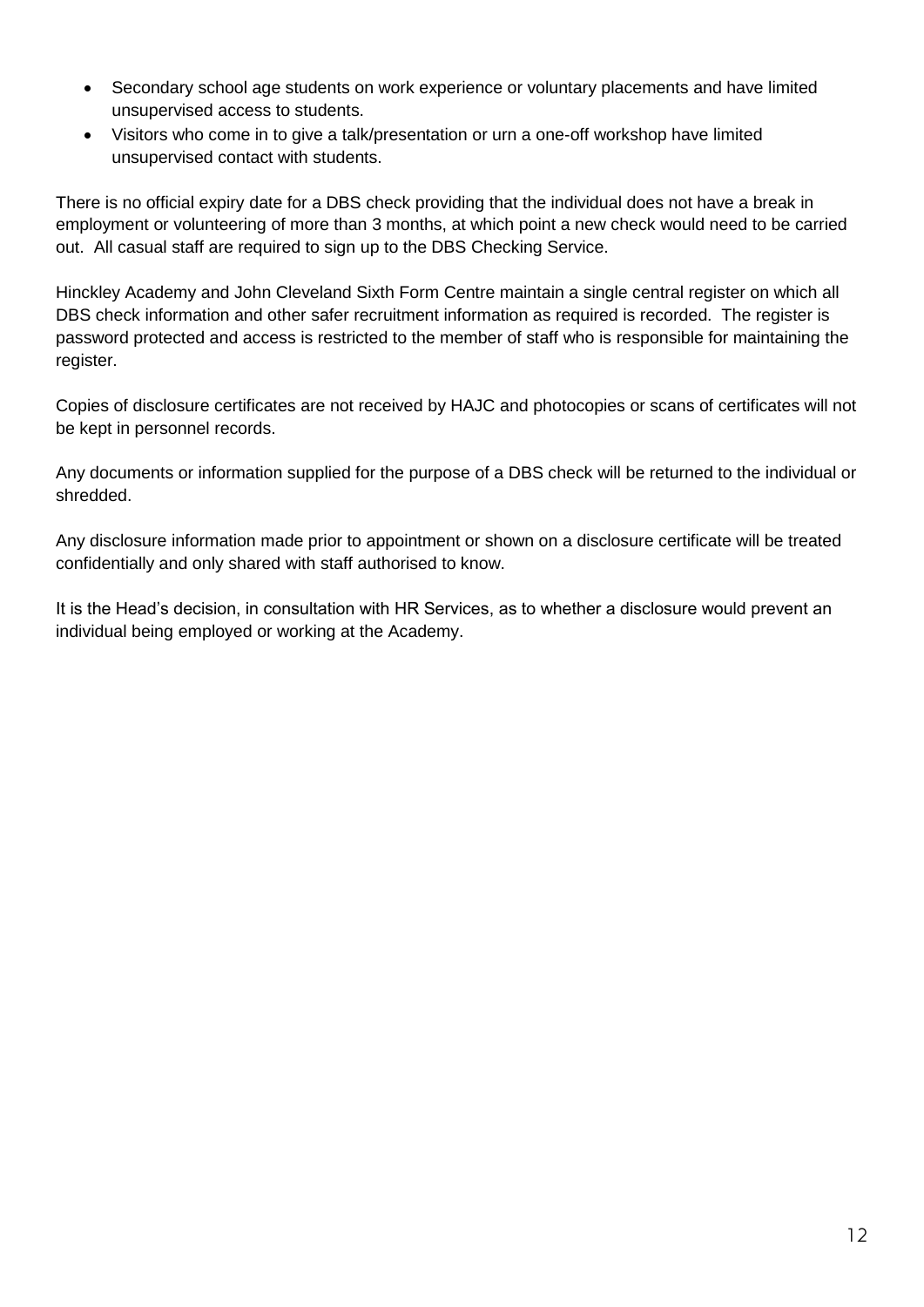- Secondary school age students on work experience or voluntary placements and have limited unsupervised access to students.
- Visitors who come in to give a talk/presentation or urn a one-off workshop have limited unsupervised contact with students.

There is no official expiry date for a DBS check providing that the individual does not have a break in employment or volunteering of more than 3 months, at which point a new check would need to be carried out. All casual staff are required to sign up to the DBS Checking Service.

Hinckley Academy and John Cleveland Sixth Form Centre maintain a single central register on which all DBS check information and other safer recruitment information as required is recorded. The register is password protected and access is restricted to the member of staff who is responsible for maintaining the register.

Copies of disclosure certificates are not received by HAJC and photocopies or scans of certificates will not be kept in personnel records.

Any documents or information supplied for the purpose of a DBS check will be returned to the individual or shredded.

Any disclosure information made prior to appointment or shown on a disclosure certificate will be treated confidentially and only shared with staff authorised to know.

It is the Head's decision, in consultation with HR Services, as to whether a disclosure would prevent an individual being employed or working at the Academy.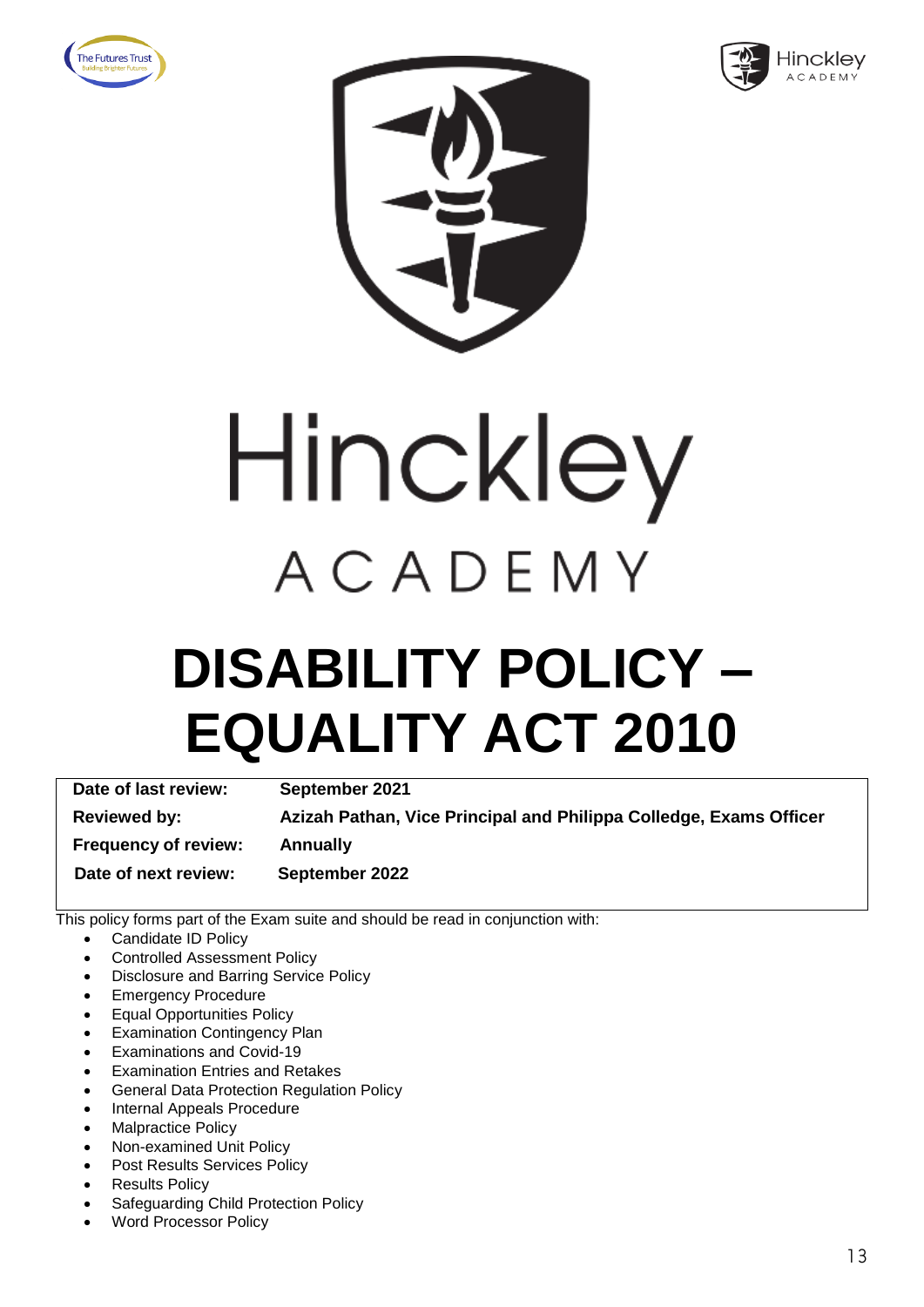







### **DISABILITY POLICY – EQUALITY ACT 2010**

**Date of last review: September 2021 Reviewed by: Azizah Pathan, Vice Principal and Philippa Colledge, Exams Officer Frequency of review: Annually Date of next review: September 2022**

- Candidate ID Policy
- Controlled Assessment Policy
- Disclosure and Barring Service Policy
- Emergency Procedure
- Equal Opportunities Policy
- **Examination Contingency Plan**
- Examinations and Covid-19
- **Examination Entries and Retakes**
- General Data Protection Regulation Policy
- Internal Appeals Procedure
- Malpractice Policy
- Non-examined Unit Policy
- Post Results Services Policy
- **Results Policy**
- Safeguarding Child Protection Policy
- Word Processor Policy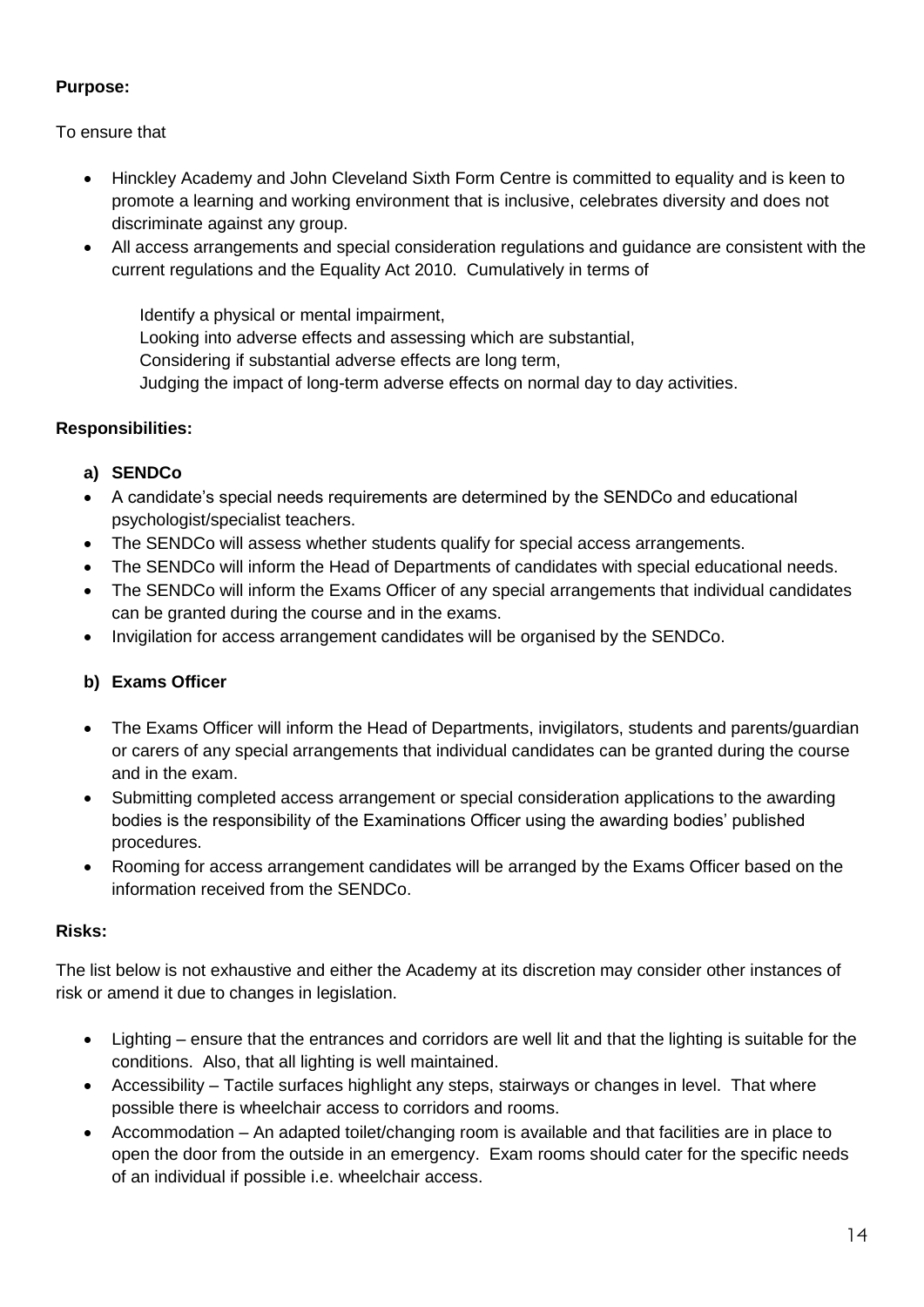To ensure that

- Hinckley Academy and John Cleveland Sixth Form Centre is committed to equality and is keen to promote a learning and working environment that is inclusive, celebrates diversity and does not discriminate against any group.
- All access arrangements and special consideration regulations and guidance are consistent with the current regulations and the Equality Act 2010. Cumulatively in terms of

Identify a physical or mental impairment, Looking into adverse effects and assessing which are substantial, Considering if substantial adverse effects are long term, Judging the impact of long-term adverse effects on normal day to day activities.

#### **Responsibilities:**

#### **a) SENDCo**

- A candidate's special needs requirements are determined by the SENDCo and educational psychologist/specialist teachers.
- The SENDCo will assess whether students qualify for special access arrangements.
- The SENDCo will inform the Head of Departments of candidates with special educational needs.
- The SENDCo will inform the Exams Officer of any special arrangements that individual candidates can be granted during the course and in the exams.
- Invigilation for access arrangement candidates will be organised by the SENDCo.

#### **b) Exams Officer**

- The Exams Officer will inform the Head of Departments, invigilators, students and parents/guardian or carers of any special arrangements that individual candidates can be granted during the course and in the exam.
- Submitting completed access arrangement or special consideration applications to the awarding bodies is the responsibility of the Examinations Officer using the awarding bodies' published procedures.
- Rooming for access arrangement candidates will be arranged by the Exams Officer based on the information received from the SENDCo.

#### **Risks:**

The list below is not exhaustive and either the Academy at its discretion may consider other instances of risk or amend it due to changes in legislation.

- Lighting ensure that the entrances and corridors are well lit and that the lighting is suitable for the conditions. Also, that all lighting is well maintained.
- Accessibility Tactile surfaces highlight any steps, stairways or changes in level. That where possible there is wheelchair access to corridors and rooms.
- Accommodation An adapted toilet/changing room is available and that facilities are in place to open the door from the outside in an emergency. Exam rooms should cater for the specific needs of an individual if possible i.e. wheelchair access.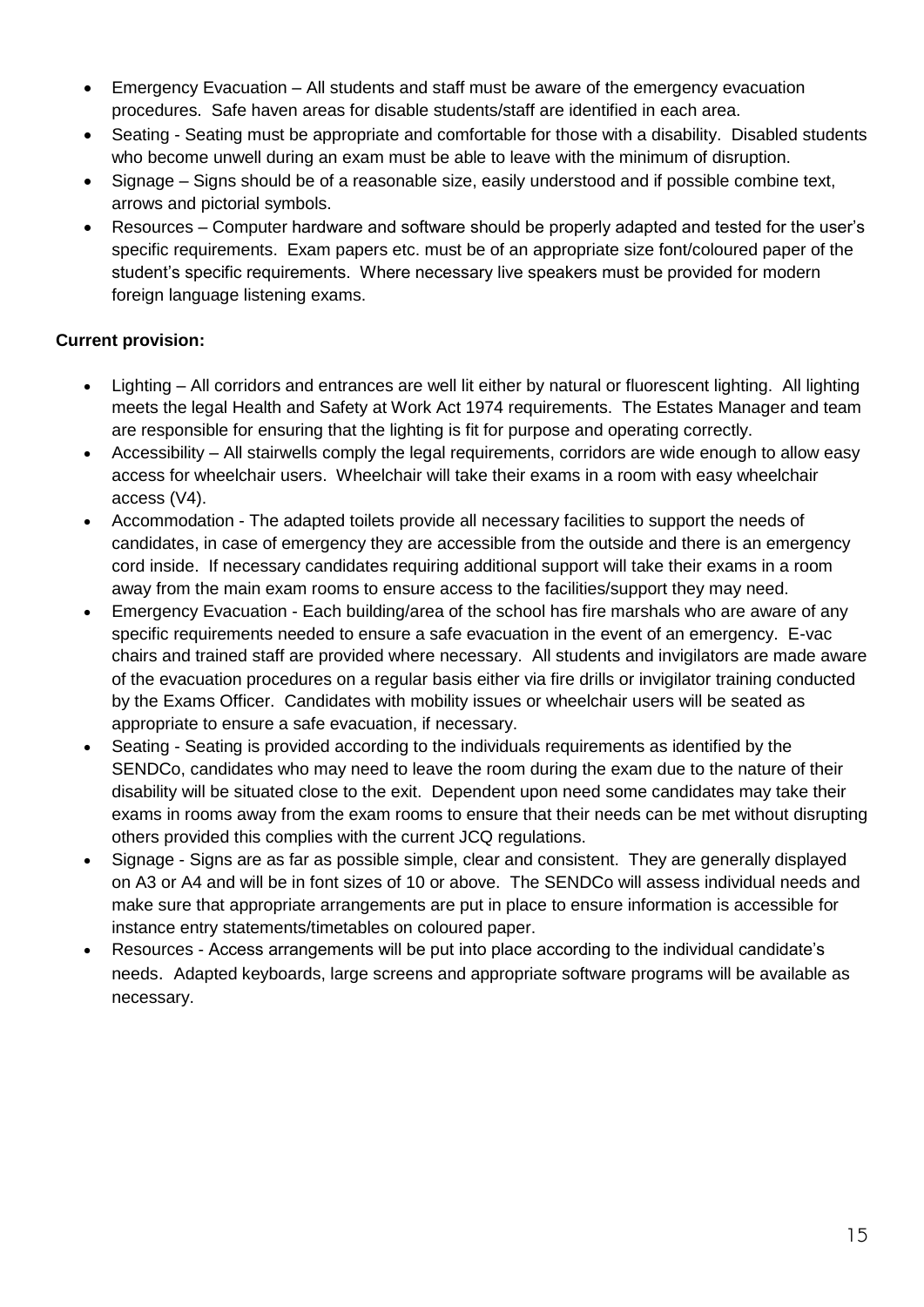- Emergency Evacuation All students and staff must be aware of the emergency evacuation procedures. Safe haven areas for disable students/staff are identified in each area.
- Seating Seating must be appropriate and comfortable for those with a disability. Disabled students who become unwell during an exam must be able to leave with the minimum of disruption.
- Signage Signs should be of a reasonable size, easily understood and if possible combine text, arrows and pictorial symbols.
- Resources Computer hardware and software should be properly adapted and tested for the user's specific requirements. Exam papers etc. must be of an appropriate size font/coloured paper of the student's specific requirements. Where necessary live speakers must be provided for modern foreign language listening exams.

#### **Current provision:**

- Lighting All corridors and entrances are well lit either by natural or fluorescent lighting. All lighting meets the legal Health and Safety at Work Act 1974 requirements. The Estates Manager and team are responsible for ensuring that the lighting is fit for purpose and operating correctly.
- Accessibility All stairwells comply the legal requirements, corridors are wide enough to allow easy access for wheelchair users. Wheelchair will take their exams in a room with easy wheelchair access (V4).
- Accommodation The adapted toilets provide all necessary facilities to support the needs of candidates, in case of emergency they are accessible from the outside and there is an emergency cord inside. If necessary candidates requiring additional support will take their exams in a room away from the main exam rooms to ensure access to the facilities/support they may need.
- Emergency Evacuation Each building/area of the school has fire marshals who are aware of any specific requirements needed to ensure a safe evacuation in the event of an emergency. E-vac chairs and trained staff are provided where necessary. All students and invigilators are made aware of the evacuation procedures on a regular basis either via fire drills or invigilator training conducted by the Exams Officer. Candidates with mobility issues or wheelchair users will be seated as appropriate to ensure a safe evacuation, if necessary.
- Seating Seating is provided according to the individuals requirements as identified by the SENDCo, candidates who may need to leave the room during the exam due to the nature of their disability will be situated close to the exit. Dependent upon need some candidates may take their exams in rooms away from the exam rooms to ensure that their needs can be met without disrupting others provided this complies with the current JCQ regulations.
- Signage Signs are as far as possible simple, clear and consistent. They are generally displayed on A3 or A4 and will be in font sizes of 10 or above. The SENDCo will assess individual needs and make sure that appropriate arrangements are put in place to ensure information is accessible for instance entry statements/timetables on coloured paper.
- Resources Access arrangements will be put into place according to the individual candidate's needs. Adapted keyboards, large screens and appropriate software programs will be available as necessary.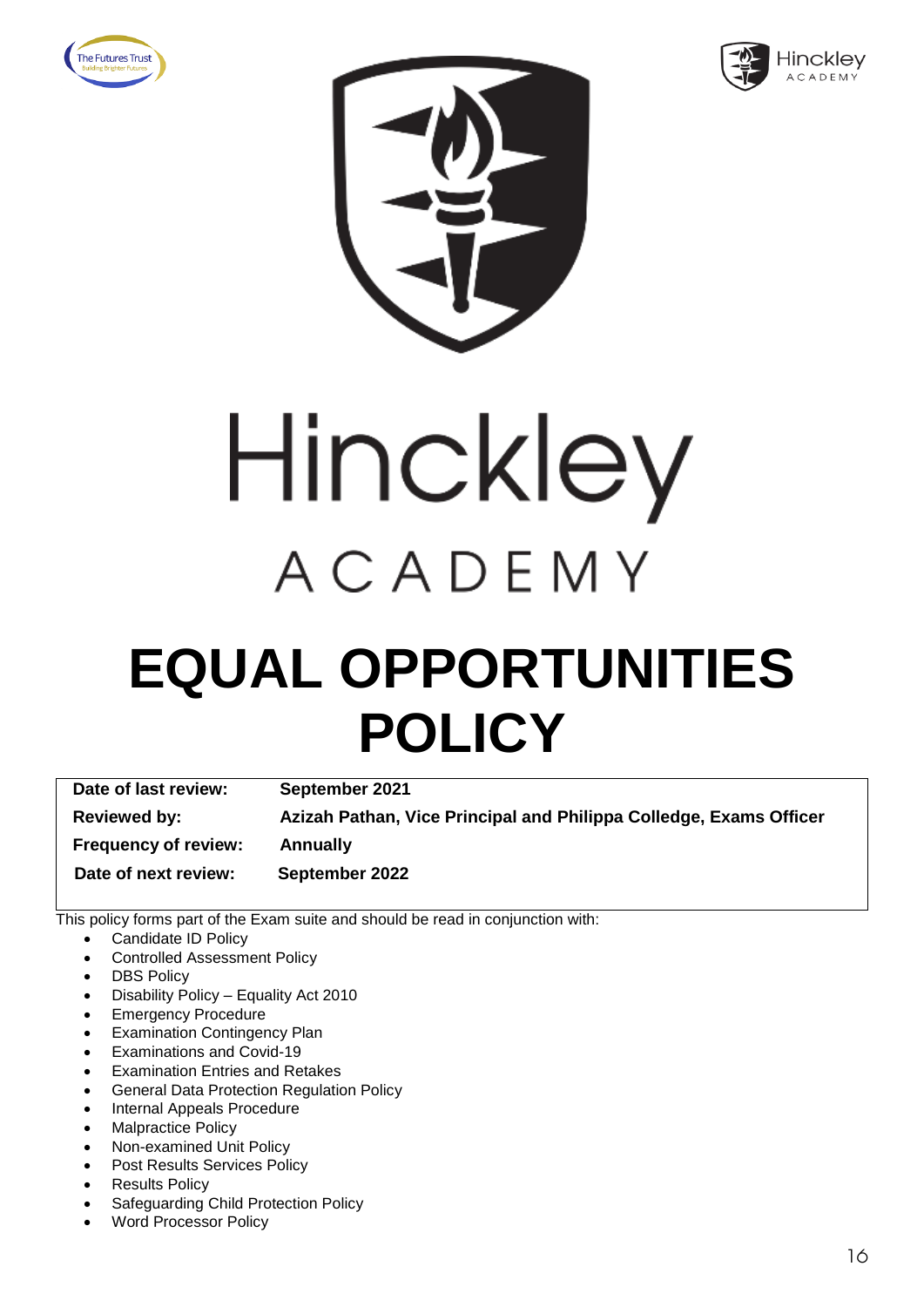







### **EQUAL OPPORTUNITIES POLICY**

**Date of last review: September 2021 Reviewed by: Azizah Pathan, Vice Principal and Philippa Colledge, Exams Officer Frequency of review: Annually Date of next review: September 2022**

- Candidate ID Policy
- Controlled Assessment Policy
- **DBS Policy**
- Disability Policy Equality Act 2010
- Emergency Procedure
- **Examination Contingency Plan**
- Examinations and Covid-19
- **Examination Entries and Retakes**
- General Data Protection Regulation Policy
- Internal Appeals Procedure
- Malpractice Policy
- Non-examined Unit Policy
- Post Results Services Policy
- **Results Policy**
- Safeguarding Child Protection Policy
- Word Processor Policy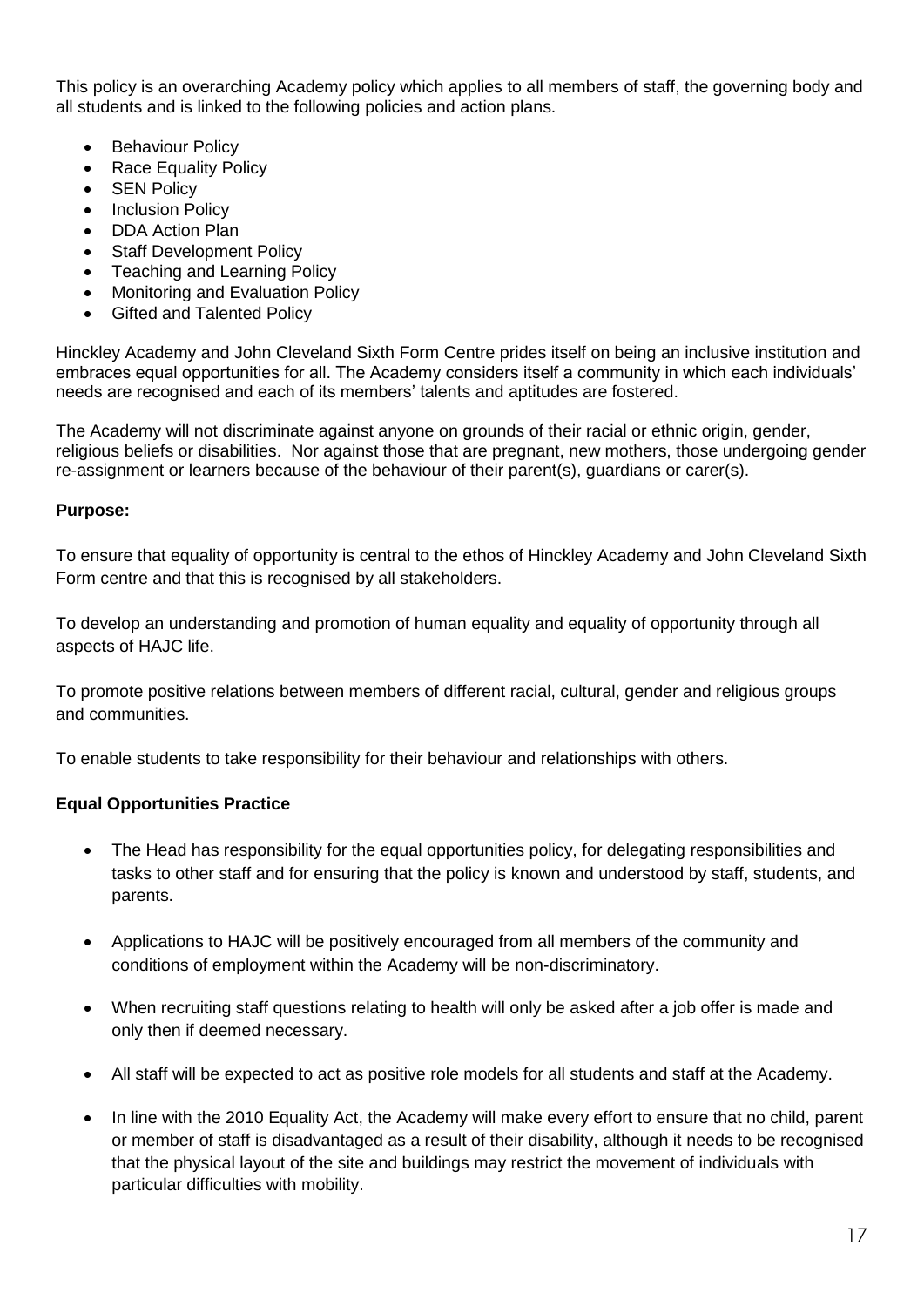This policy is an overarching Academy policy which applies to all members of staff, the governing body and all students and is linked to the following policies and action plans.

- **Behaviour Policy**
- Race Equality Policy
- SEN Policy
- **Inclusion Policy**
- DDA Action Plan
- **Staff Development Policy**
- Teaching and Learning Policy
- Monitoring and Evaluation Policy
- Gifted and Talented Policy

Hinckley Academy and John Cleveland Sixth Form Centre prides itself on being an inclusive institution and embraces equal opportunities for all. The Academy considers itself a community in which each individuals' needs are recognised and each of its members' talents and aptitudes are fostered.

The Academy will not discriminate against anyone on grounds of their racial or ethnic origin, gender, religious beliefs or disabilities. Nor against those that are pregnant, new mothers, those undergoing gender re-assignment or learners because of the behaviour of their parent(s), guardians or carer(s).

#### **Purpose:**

To ensure that equality of opportunity is central to the ethos of Hinckley Academy and John Cleveland Sixth Form centre and that this is recognised by all stakeholders.

To develop an understanding and promotion of human equality and equality of opportunity through all aspects of HAJC life.

To promote positive relations between members of different racial, cultural, gender and religious groups and communities.

To enable students to take responsibility for their behaviour and relationships with others.

#### **Equal Opportunities Practice**

- The Head has responsibility for the equal opportunities policy, for delegating responsibilities and tasks to other staff and for ensuring that the policy is known and understood by staff, students, and parents.
- Applications to HAJC will be positively encouraged from all members of the community and conditions of employment within the Academy will be non-discriminatory.
- When recruiting staff questions relating to health will only be asked after a job offer is made and only then if deemed necessary.
- All staff will be expected to act as positive role models for all students and staff at the Academy.
- In line with the 2010 Equality Act, the Academy will make every effort to ensure that no child, parent or member of staff is disadvantaged as a result of their disability, although it needs to be recognised that the physical layout of the site and buildings may restrict the movement of individuals with particular difficulties with mobility.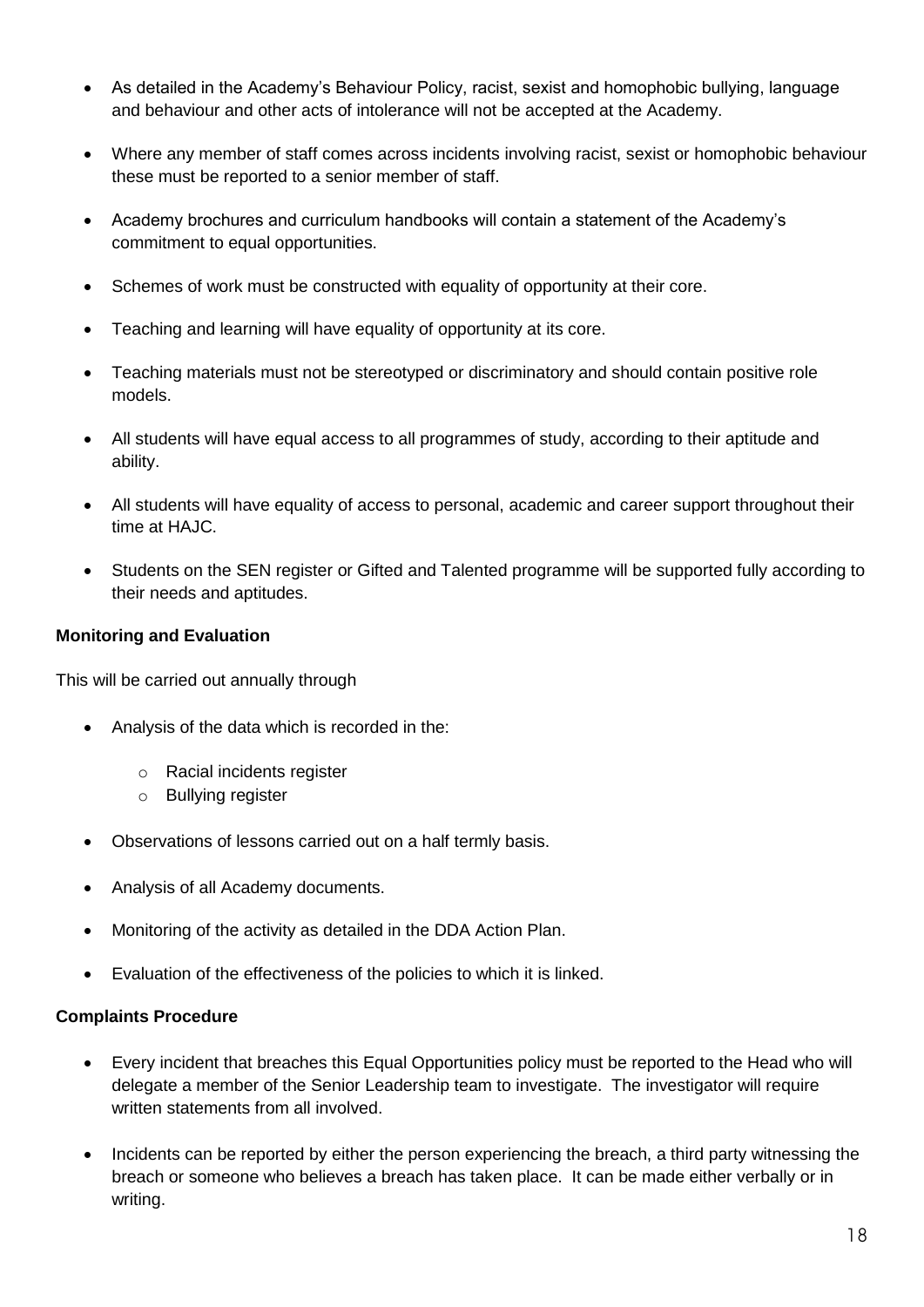- As detailed in the Academy's Behaviour Policy, racist, sexist and homophobic bullying, language and behaviour and other acts of intolerance will not be accepted at the Academy.
- Where any member of staff comes across incidents involving racist, sexist or homophobic behaviour these must be reported to a senior member of staff.
- Academy brochures and curriculum handbooks will contain a statement of the Academy's commitment to equal opportunities.
- Schemes of work must be constructed with equality of opportunity at their core.
- Teaching and learning will have equality of opportunity at its core.
- Teaching materials must not be stereotyped or discriminatory and should contain positive role models.
- All students will have equal access to all programmes of study, according to their aptitude and ability.
- All students will have equality of access to personal, academic and career support throughout their time at HAJC.
- Students on the SEN register or Gifted and Talented programme will be supported fully according to their needs and aptitudes.

#### **Monitoring and Evaluation**

This will be carried out annually through

- Analysis of the data which is recorded in the:
	- o Racial incidents register
	- o Bullying register
- Observations of lessons carried out on a half termly basis.
- Analysis of all Academy documents.
- Monitoring of the activity as detailed in the DDA Action Plan.
- Evaluation of the effectiveness of the policies to which it is linked.

#### **Complaints Procedure**

- Every incident that breaches this Equal Opportunities policy must be reported to the Head who will delegate a member of the Senior Leadership team to investigate. The investigator will require written statements from all involved.
- Incidents can be reported by either the person experiencing the breach, a third party witnessing the breach or someone who believes a breach has taken place. It can be made either verbally or in writing.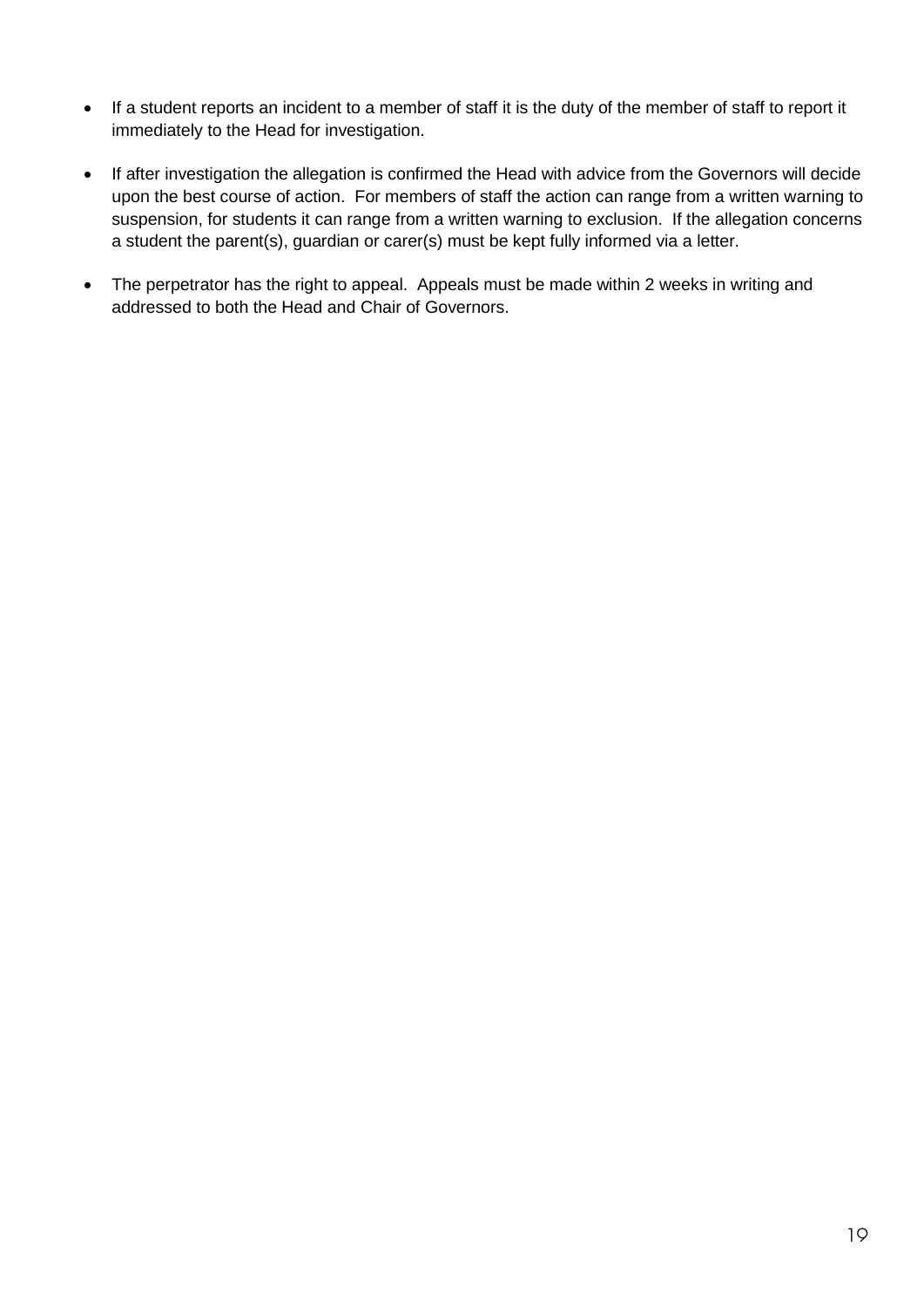- If a student reports an incident to a member of staff it is the duty of the member of staff to report it immediately to the Head for investigation.
- If after investigation the allegation is confirmed the Head with advice from the Governors will decide upon the best course of action. For members of staff the action can range from a written warning to suspension, for students it can range from a written warning to exclusion. If the allegation concerns a student the parent(s), guardian or carer(s) must be kept fully informed via a letter.
- The perpetrator has the right to appeal. Appeals must be made within 2 weeks in writing and addressed to both the Head and Chair of Governors.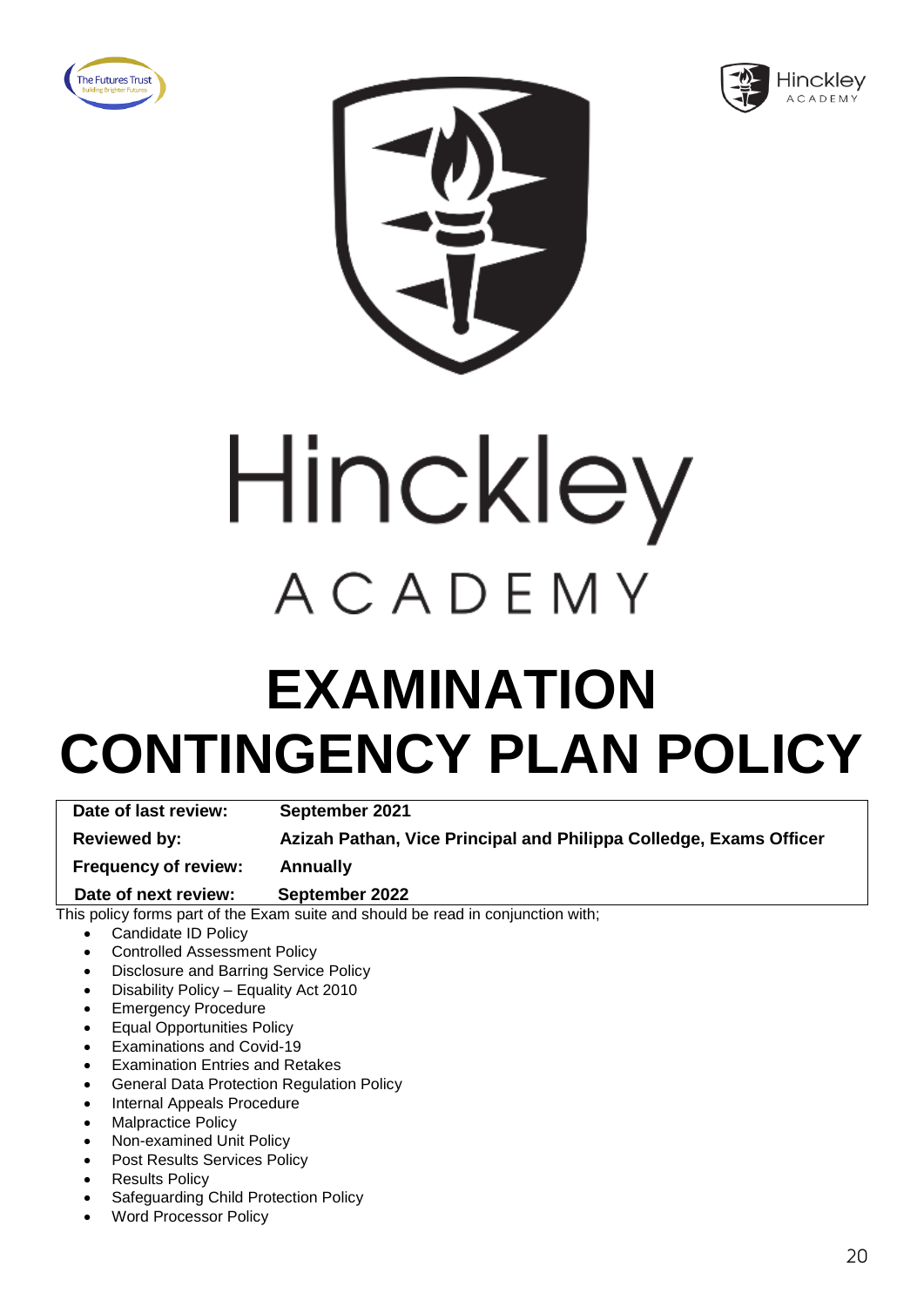





# Hinckley ACADEMY

### **EXAMINATION CONTINGENCY PLAN POLICY**

**Date of last review: September 2021**

**Reviewed by: Azizah Pathan, Vice Principal and Philippa Colledge, Exams Officer** 

**Frequency of review: Annually**

 **Date of next review: September 2022**

- Candidate ID Policy
- Controlled Assessment Policy
- Disclosure and Barring Service Policy
- Disability Policy Equality Act 2010
- **Emergency Procedure**
- Equal Opportunities Policy
- Examinations and Covid-19
- **Examination Entries and Retakes**
- General Data Protection Regulation Policy
- Internal Appeals Procedure
- Malpractice Policy
- Non-examined Unit Policy
- Post Results Services Policy
- **Results Policy**
- Safeguarding Child Protection Policy
- Word Processor Policy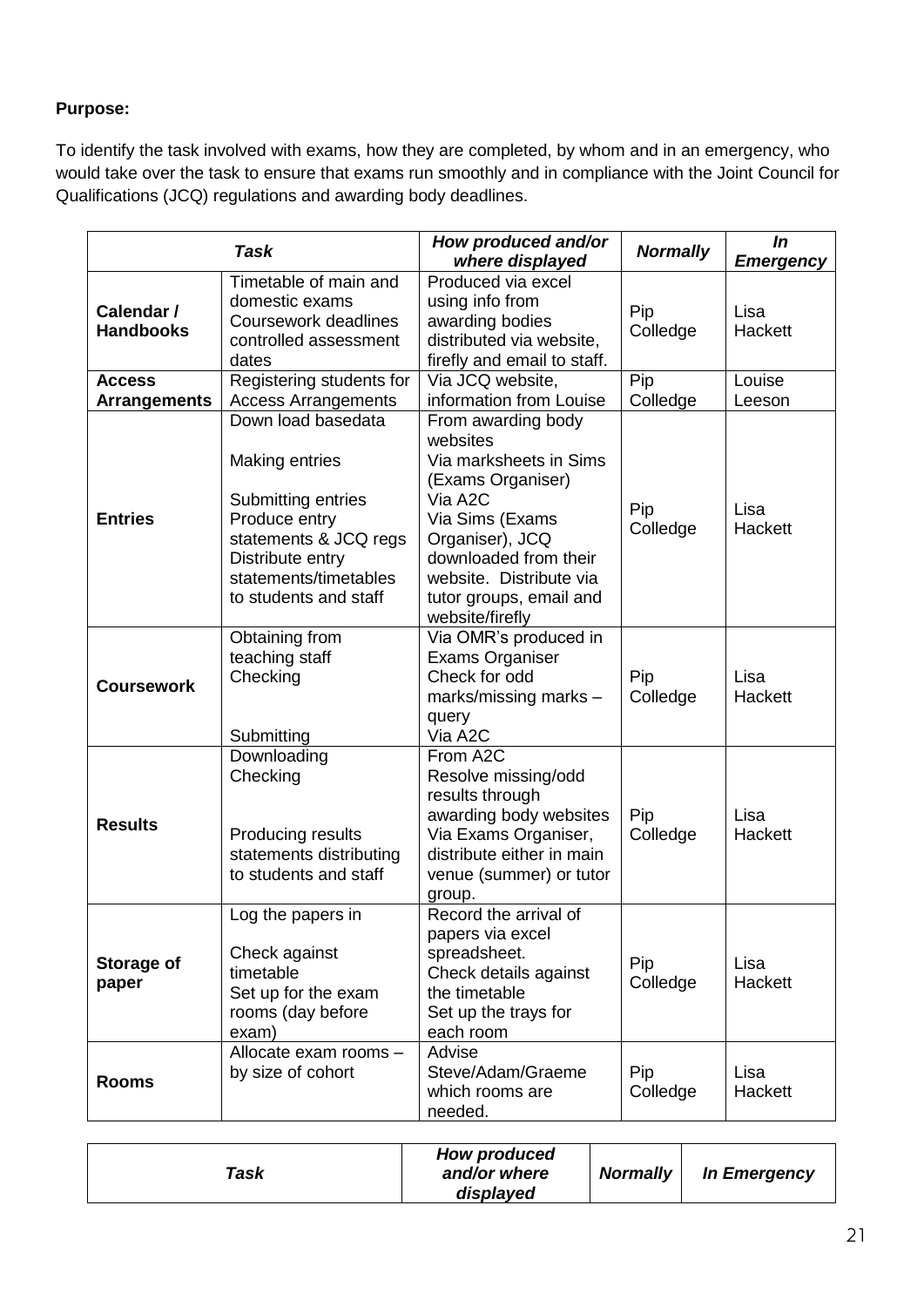To identify the task involved with exams, how they are completed, by whom and in an emergency, who would take over the task to ensure that exams run smoothly and in compliance with the Joint Council for Qualifications (JCQ) regulations and awarding body deadlines.

|                                      | <b>Task</b>                                                                                                                                                                       | How produced and/or<br>where displayed                                                                                                                                                                                           | <b>Normally</b> | In<br><b>Emergency</b> |
|--------------------------------------|-----------------------------------------------------------------------------------------------------------------------------------------------------------------------------------|----------------------------------------------------------------------------------------------------------------------------------------------------------------------------------------------------------------------------------|-----------------|------------------------|
| Calendar /<br><b>Handbooks</b>       | Timetable of main and<br>domestic exams<br>Coursework deadlines<br>controlled assessment<br>dates                                                                                 | Produced via excel<br>using info from<br>awarding bodies<br>distributed via website,<br>firefly and email to staff.                                                                                                              | Pip<br>Colledge | Lisa<br>Hackett        |
| <b>Access</b><br><b>Arrangements</b> | Registering students for<br><b>Access Arrangements</b>                                                                                                                            | Via JCQ website,<br>information from Louise                                                                                                                                                                                      | Pip<br>Colledge | Louise<br>Leeson       |
| <b>Entries</b>                       | Down load basedata<br><b>Making entries</b><br>Submitting entries<br>Produce entry<br>statements & JCQ regs<br>Distribute entry<br>statements/timetables<br>to students and staff | From awarding body<br>websites<br>Via marksheets in Sims<br>(Exams Organiser)<br>Via A2C<br>Via Sims (Exams<br>Organiser), JCQ<br>downloaded from their<br>website. Distribute via<br>tutor groups, email and<br>website/firefly | Pip<br>Colledge | Lisa<br>Hackett        |
| <b>Coursework</b>                    | Obtaining from<br>teaching staff<br>Checking<br>Submitting                                                                                                                        | Via OMR's produced in<br><b>Exams Organiser</b><br>Check for odd<br>marks/missing marks -<br>query<br>Via A2C                                                                                                                    | Pip<br>Colledge | Lisa<br>Hackett        |
| <b>Results</b>                       | Downloading<br>Checking<br>Producing results<br>statements distributing<br>to students and staff                                                                                  | From A2C<br>Resolve missing/odd<br>results through<br>awarding body websites<br>Via Exams Organiser,<br>distribute either in main<br>venue (summer) or tutor<br>group.                                                           | Pip<br>Colledge | Lisa<br>Hackett        |
| Storage of<br>paper                  | Log the papers in<br>Check against<br>timetable<br>Set up for the exam<br>rooms (day before<br>exam)                                                                              | Record the arrival of<br>papers via excel<br>spreadsheet.<br>Check details against<br>the timetable<br>Set up the trays for<br>each room                                                                                         | Pip<br>Colledge | Lisa<br>Hackett        |
| <b>Rooms</b>                         | Allocate exam rooms -<br>by size of cohort                                                                                                                                        | Advise<br>Steve/Adam/Graeme<br>which rooms are<br>needed.                                                                                                                                                                        | Pip<br>Colledge | Lisa<br>Hackett        |

| Task | <b>How produced</b><br>and/or where<br>displayed | <b>Normally</b> | In Emergency |
|------|--------------------------------------------------|-----------------|--------------|
|------|--------------------------------------------------|-----------------|--------------|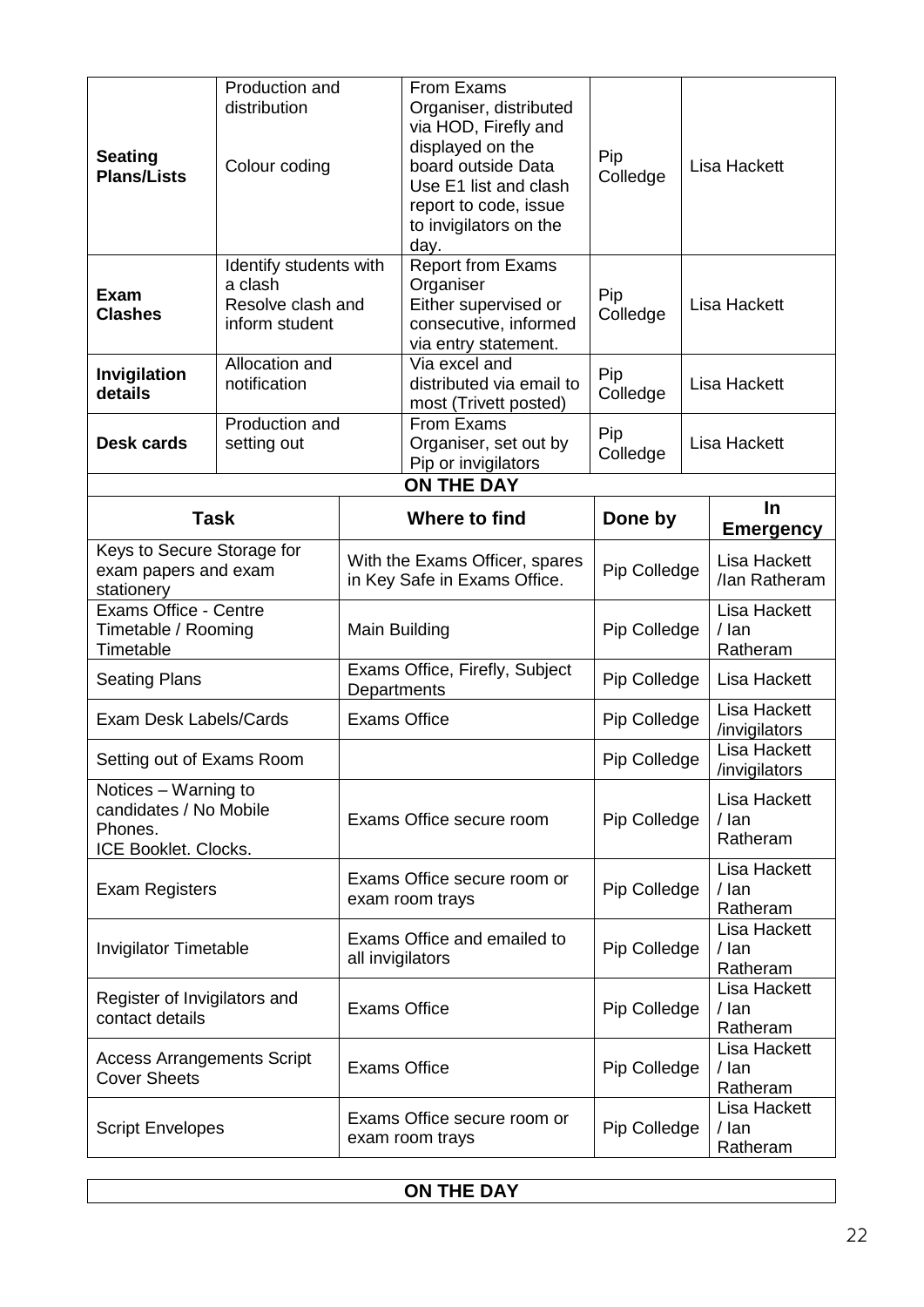| <b>Seating</b><br><b>Plans/Lists</b>                                              | Production and<br>distribution<br>Colour coding                          |                     | From Exams<br>Organiser, distributed<br>via HOD, Firefly and<br>displayed on the<br>board outside Data<br>Use E1 list and clash<br>report to code, issue<br>to invigilators on the<br>day. | Pip<br>Colledge | Lisa Hackett                               |
|-----------------------------------------------------------------------------------|--------------------------------------------------------------------------|---------------------|--------------------------------------------------------------------------------------------------------------------------------------------------------------------------------------------|-----------------|--------------------------------------------|
| <b>Exam</b><br><b>Clashes</b>                                                     | Identify students with<br>a clash<br>Resolve clash and<br>inform student |                     | <b>Report from Exams</b><br>Organiser<br>Either supervised or<br>consecutive, informed<br>via entry statement.                                                                             | Pip<br>Colledge | Lisa Hackett                               |
| Invigilation<br>details                                                           | Allocation and<br>notification                                           |                     | Via excel and<br>distributed via email to<br>most (Trivett posted)                                                                                                                         | Pip<br>Colledge | <b>Lisa Hackett</b>                        |
| <b>Desk cards</b>                                                                 | Production and<br>setting out                                            |                     | From Exams<br>Organiser, set out by<br>Pip or invigilators                                                                                                                                 | Pip<br>Colledge | Lisa Hackett                               |
|                                                                                   |                                                                          |                     | <b>ON THE DAY</b>                                                                                                                                                                          |                 |                                            |
|                                                                                   | <b>Task</b>                                                              |                     | Where to find                                                                                                                                                                              | Done by         | $\ln$<br><b>Emergency</b>                  |
| Keys to Secure Storage for<br>exam papers and exam<br>stationery                  |                                                                          |                     | With the Exams Officer, spares<br>in Key Safe in Exams Office.                                                                                                                             | Pip Colledge    | Lisa Hackett<br>/lan Ratheram              |
| <b>Exams Office - Centre</b><br>Timetable / Rooming<br>Timetable                  |                                                                          | Main Building       |                                                                                                                                                                                            | Pip Colledge    | <b>Lisa Hackett</b><br>$/$ lan<br>Ratheram |
| <b>Seating Plans</b>                                                              |                                                                          | Departments         | Exams Office, Firefly, Subject                                                                                                                                                             | Pip Colledge    | Lisa Hackett                               |
| <b>Exam Desk Labels/Cards</b>                                                     |                                                                          | <b>Exams Office</b> |                                                                                                                                                                                            | Pip Colledge    | Lisa Hackett<br>/invigilators              |
| Setting out of Exams Room                                                         |                                                                          |                     |                                                                                                                                                                                            | Pip Colledge    | <b>Lisa Hackett</b><br>/invigilators       |
| Notices - Warning to<br>candidates / No Mobile<br>Phones.<br>ICE Booklet. Clocks. |                                                                          |                     | Exams Office secure room                                                                                                                                                                   | Pip Colledge    | Lisa Hackett<br>/ lan<br>Ratheram          |
| <b>Exam Registers</b>                                                             |                                                                          |                     | Exams Office secure room or<br>exam room trays                                                                                                                                             | Pip Colledge    | <b>Lisa Hackett</b><br>$/$ lan<br>Ratheram |
| <b>Invigilator Timetable</b>                                                      |                                                                          | all invigilators    | Exams Office and emailed to                                                                                                                                                                | Pip Colledge    | <b>Lisa Hackett</b><br>$/$ lan<br>Ratheram |
| Register of Invigilators and<br>contact details                                   |                                                                          | <b>Exams Office</b> |                                                                                                                                                                                            | Pip Colledge    | <b>Lisa Hackett</b><br>$/$ lan<br>Ratheram |
| <b>Access Arrangements Script</b><br><b>Cover Sheets</b>                          |                                                                          | <b>Exams Office</b> |                                                                                                                                                                                            | Pip Colledge    | <b>Lisa Hackett</b><br>/ lan<br>Ratheram   |
| <b>Script Envelopes</b>                                                           |                                                                          |                     | Exams Office secure room or<br>exam room trays                                                                                                                                             | Pip Colledge    | <b>Lisa Hackett</b><br>/ lan<br>Ratheram   |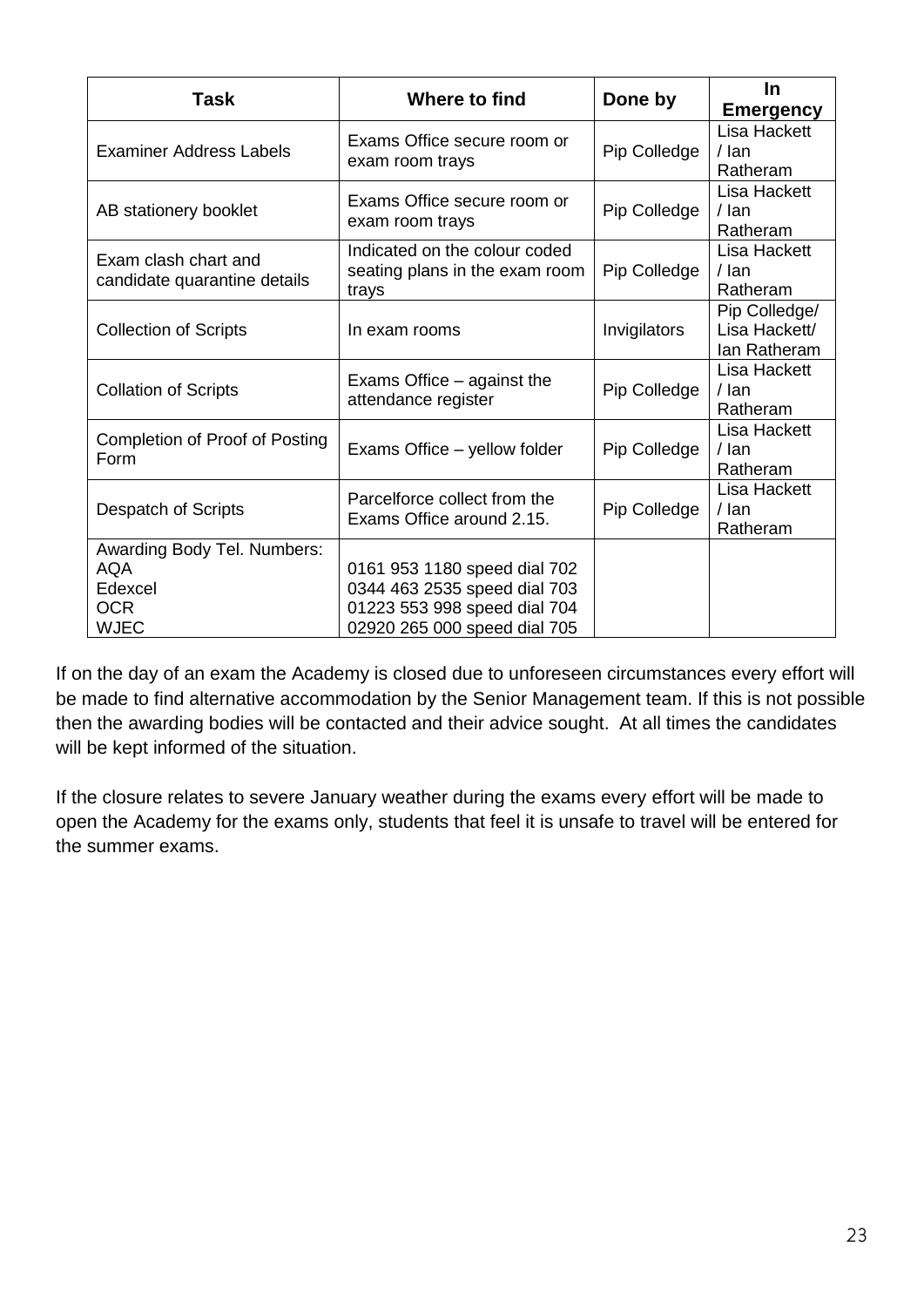| <b>Task</b>                                                                       | Where to find                                                                                                                | Done by      | <u>In</u><br><b>Emergency</b>                  |
|-----------------------------------------------------------------------------------|------------------------------------------------------------------------------------------------------------------------------|--------------|------------------------------------------------|
| <b>Examiner Address Labels</b>                                                    | Exams Office secure room or<br>exam room trays                                                                               | Pip Colledge | Lisa Hackett<br>$/$ lan<br>Ratheram            |
| AB stationery booklet                                                             | Exams Office secure room or<br>exam room trays                                                                               | Pip Colledge | Lisa Hackett<br>$/$ lan<br>Ratheram            |
| Exam clash chart and<br>candidate quarantine details                              | Indicated on the colour coded<br>seating plans in the exam room<br>trays                                                     | Pip Colledge | Lisa Hackett<br>$/$ lan<br>Ratheram            |
| <b>Collection of Scripts</b>                                                      | In exam rooms                                                                                                                | Invigilators | Pip Colledge/<br>Lisa Hackett/<br>lan Ratheram |
| <b>Collation of Scripts</b>                                                       | Exams Office – against the<br>attendance register                                                                            | Pip Colledge | Lisa Hackett<br>$/$ lan<br>Ratheram            |
| <b>Completion of Proof of Posting</b><br>Form                                     | Exams Office – yellow folder                                                                                                 | Pip Colledge | Lisa Hackett<br>$/$ lan<br>Ratheram            |
| Despatch of Scripts                                                               | Parcelforce collect from the<br>Exams Office around 2.15.                                                                    | Pip Colledge | Lisa Hackett<br>$/$ lan<br>Ratheram            |
| Awarding Body Tel. Numbers:<br><b>AQA</b><br>Edexcel<br><b>OCR</b><br><b>WJEC</b> | 0161 953 1180 speed dial 702<br>0344 463 2535 speed dial 703<br>01223 553 998 speed dial 704<br>02920 265 000 speed dial 705 |              |                                                |

If on the day of an exam the Academy is closed due to unforeseen circumstances every effort will be made to find alternative accommodation by the Senior Management team. If this is not possible then the awarding bodies will be contacted and their advice sought. At all times the candidates will be kept informed of the situation.

If the closure relates to severe January weather during the exams every effort will be made to open the Academy for the exams only, students that feel it is unsafe to travel will be entered for the summer exams.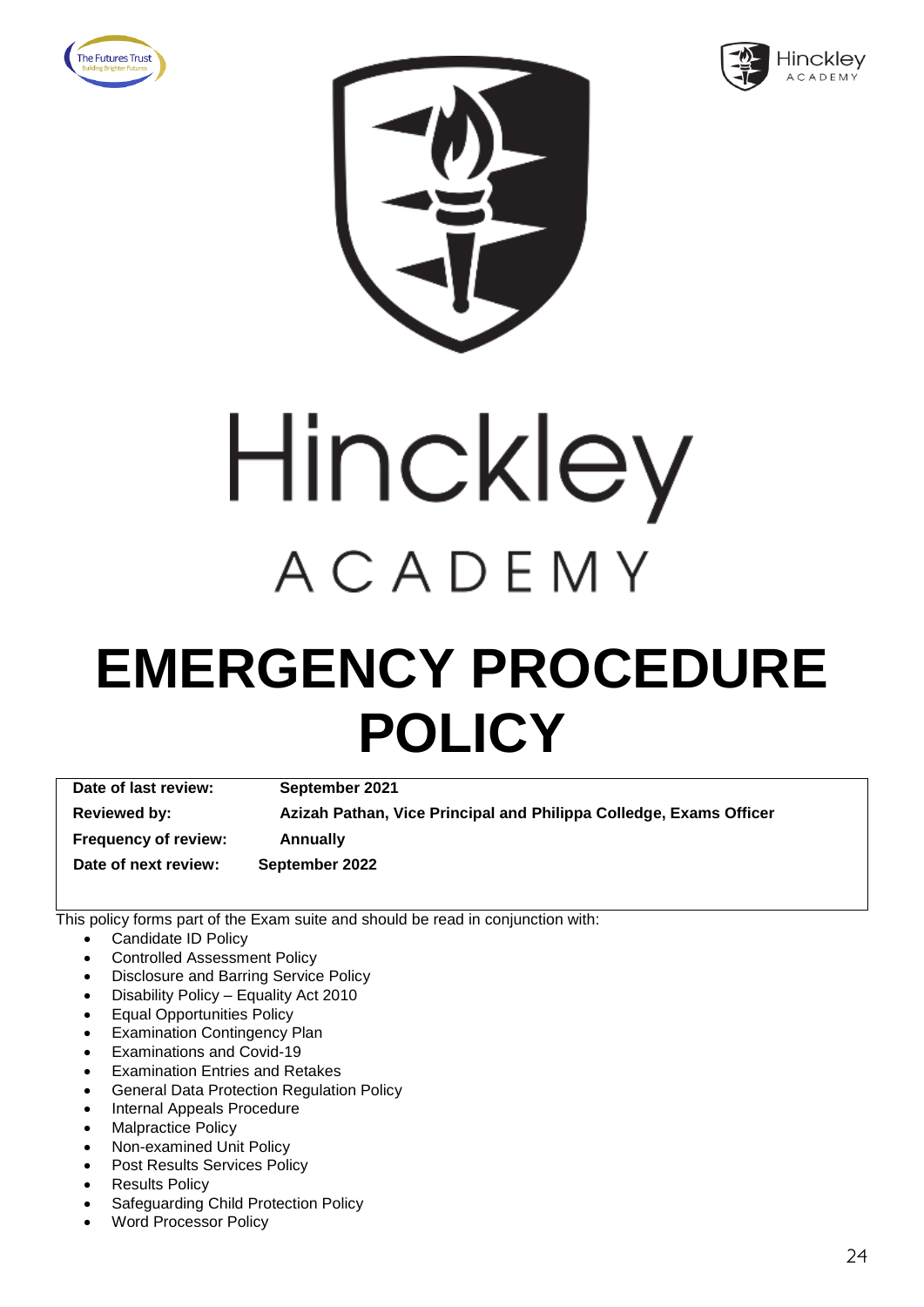







### **EMERGENCY PROCEDURE POLICY**

**Date of last review: September 2021 Reviewed by: Azizah Pathan, Vice Principal and Philippa Colledge, Exams Officer Frequency of review: Annually Date of next review: September 2022**

- Candidate ID Policy
- Controlled Assessment Policy
- Disclosure and Barring Service Policy
- Disability Policy Equality Act 2010
- Equal Opportunities Policy
- **Examination Contingency Plan**
- Examinations and Covid-19
- **Examination Entries and Retakes**
- General Data Protection Regulation Policy
- Internal Appeals Procedure
- Malpractice Policy
- Non-examined Unit Policy
- Post Results Services Policy
- **Results Policy**
- Safeguarding Child Protection Policy
- Word Processor Policy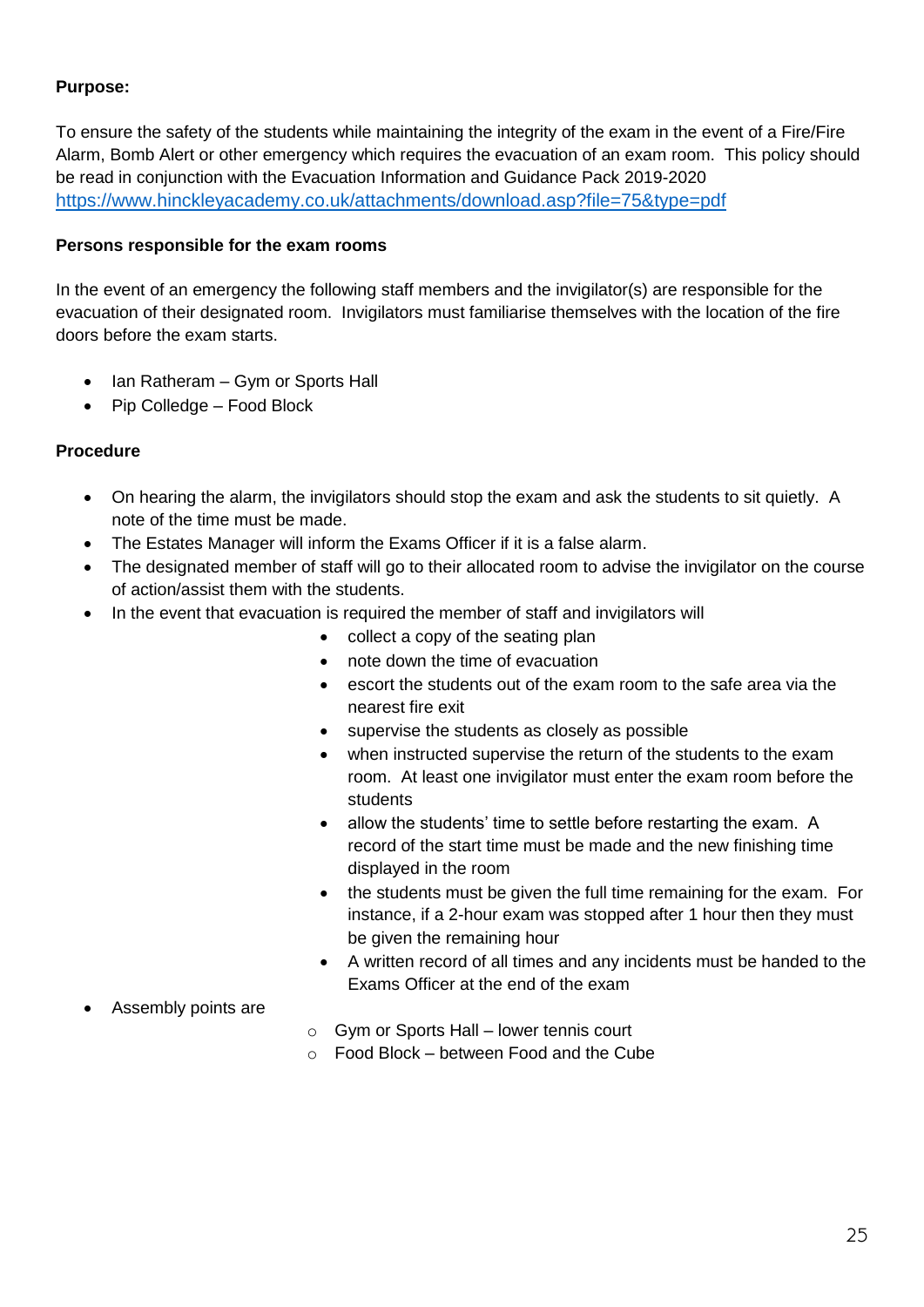To ensure the safety of the students while maintaining the integrity of the exam in the event of a Fire/Fire Alarm, Bomb Alert or other emergency which requires the evacuation of an exam room. This policy should be read in conjunction with the Evacuation Information and Guidance Pack 2019-2020 <https://www.hinckleyacademy.co.uk/attachments/download.asp?file=75&type=pdf>

#### **Persons responsible for the exam rooms**

In the event of an emergency the following staff members and the invigilator(s) are responsible for the evacuation of their designated room. Invigilators must familiarise themselves with the location of the fire doors before the exam starts.

- Ian Ratheram Gym or Sports Hall
- Pip Colledge Food Block

#### **Procedure**

- On hearing the alarm, the invigilators should stop the exam and ask the students to sit quietly. A note of the time must be made.
- The Estates Manager will inform the Exams Officer if it is a false alarm.
- The designated member of staff will go to their allocated room to advise the invigilator on the course of action/assist them with the students.
- In the event that evacuation is required the member of staff and invigilators will
	- collect a copy of the seating plan
	- note down the time of evacuation
	- escort the students out of the exam room to the safe area via the nearest fire exit
	- supervise the students as closely as possible
	- when instructed supervise the return of the students to the exam room. At least one invigilator must enter the exam room before the students
	- allow the students' time to settle before restarting the exam. A record of the start time must be made and the new finishing time displayed in the room
	- the students must be given the full time remaining for the exam. For instance, if a 2-hour exam was stopped after 1 hour then they must be given the remaining hour
	- A written record of all times and any incidents must be handed to the Exams Officer at the end of the exam
- Assembly points are
- o Gym or Sports Hall lower tennis court
- $\circ$  Food Block between Food and the Cube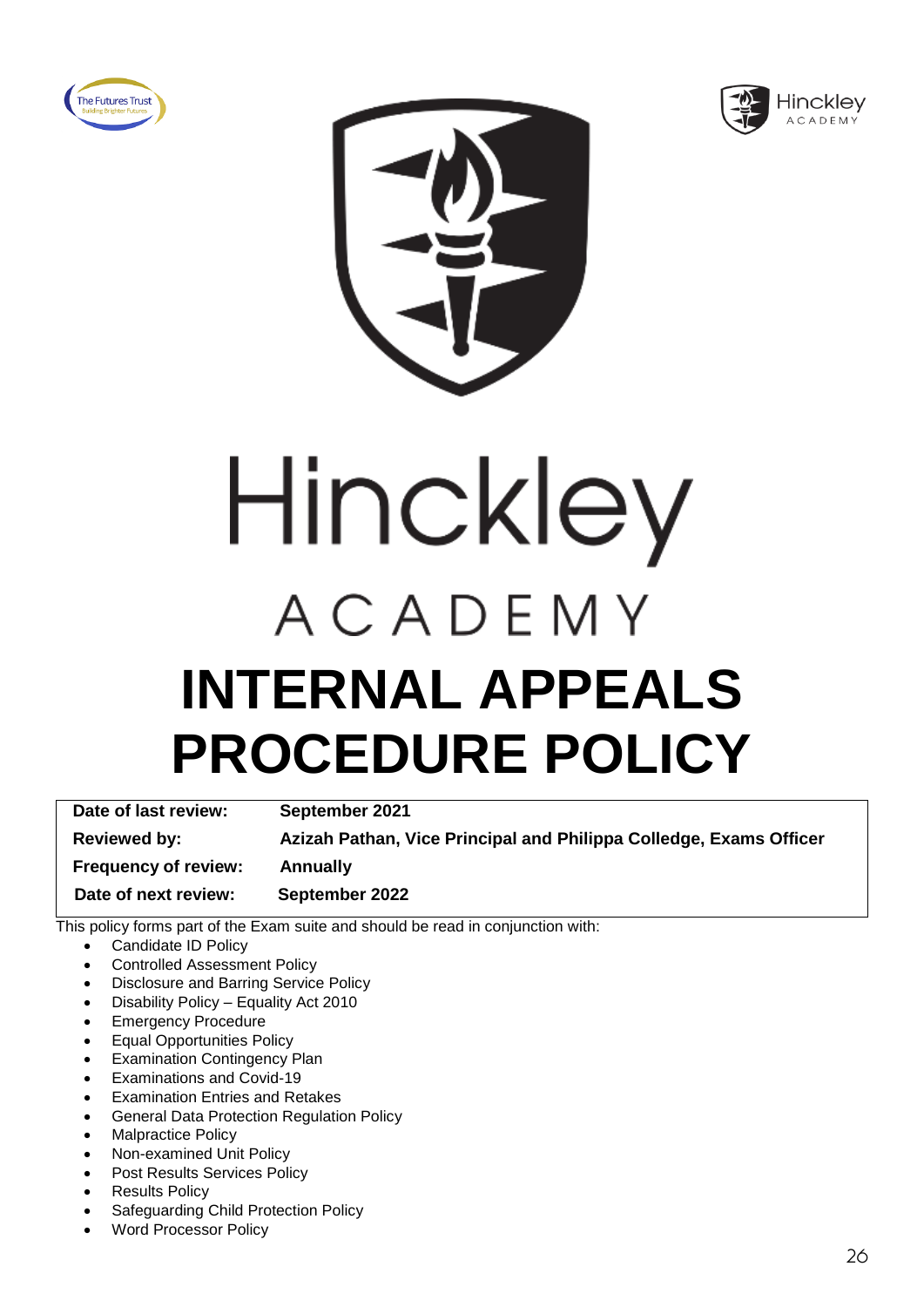





Hinckley ACADEMY **INTERNAL APPEALS PROCEDURE POLICY**

**Date of last review: September 2021 Reviewed by: Azizah Pathan, Vice Principal and Philippa Colledge, Exams Officer Frequency of review: Annually Date of next review: September 2022**

- Candidate ID Policy
- Controlled Assessment Policy
- Disclosure and Barring Service Policy
- Disability Policy Equality Act 2010
- Emergency Procedure
- Equal Opportunities Policy
- **Examination Contingency Plan**
- Examinations and Covid-19
- Examination Entries and Retakes
- General Data Protection Regulation Policy
- Malpractice Policy
- Non-examined Unit Policy
- Post Results Services Policy
- **Results Policy**
- Safeguarding Child Protection Policy
- Word Processor Policy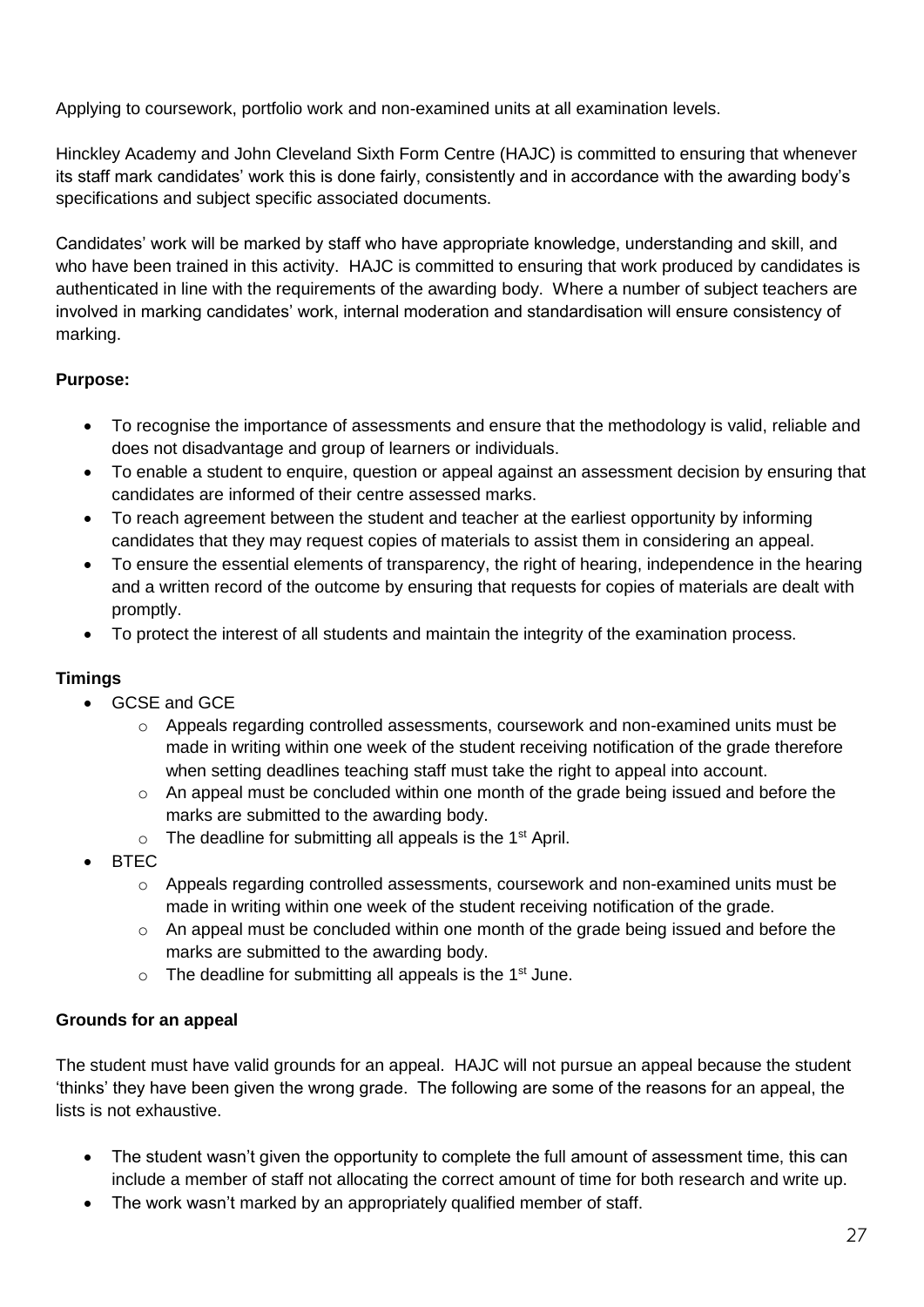Applying to coursework, portfolio work and non-examined units at all examination levels.

Hinckley Academy and John Cleveland Sixth Form Centre (HAJC) is committed to ensuring that whenever its staff mark candidates' work this is done fairly, consistently and in accordance with the awarding body's specifications and subject specific associated documents.

Candidates' work will be marked by staff who have appropriate knowledge, understanding and skill, and who have been trained in this activity. HAJC is committed to ensuring that work produced by candidates is authenticated in line with the requirements of the awarding body. Where a number of subject teachers are involved in marking candidates' work, internal moderation and standardisation will ensure consistency of marking.

#### **Purpose:**

- To recognise the importance of assessments and ensure that the methodology is valid, reliable and does not disadvantage and group of learners or individuals.
- To enable a student to enquire, question or appeal against an assessment decision by ensuring that candidates are informed of their centre assessed marks.
- To reach agreement between the student and teacher at the earliest opportunity by informing candidates that they may request copies of materials to assist them in considering an appeal.
- To ensure the essential elements of transparency, the right of hearing, independence in the hearing and a written record of the outcome by ensuring that requests for copies of materials are dealt with promptly.
- To protect the interest of all students and maintain the integrity of the examination process.

#### **Timings**

- GCSE and GCE
	- $\circ$  Appeals regarding controlled assessments, coursework and non-examined units must be made in writing within one week of the student receiving notification of the grade therefore when setting deadlines teaching staff must take the right to appeal into account.
	- $\circ$  An appeal must be concluded within one month of the grade being issued and before the marks are submitted to the awarding body.
	- $\circ$  The deadline for submitting all appeals is the 1<sup>st</sup> April.
- BTEC
	- $\circ$  Appeals regarding controlled assessments, coursework and non-examined units must be made in writing within one week of the student receiving notification of the grade.
	- o An appeal must be concluded within one month of the grade being issued and before the marks are submitted to the awarding body.
	- $\circ$  The deadline for submitting all appeals is the 1<sup>st</sup> June.

#### **Grounds for an appeal**

The student must have valid grounds for an appeal. HAJC will not pursue an appeal because the student 'thinks' they have been given the wrong grade. The following are some of the reasons for an appeal, the lists is not exhaustive.

- The student wasn't given the opportunity to complete the full amount of assessment time, this can include a member of staff not allocating the correct amount of time for both research and write up.
- The work wasn't marked by an appropriately qualified member of staff.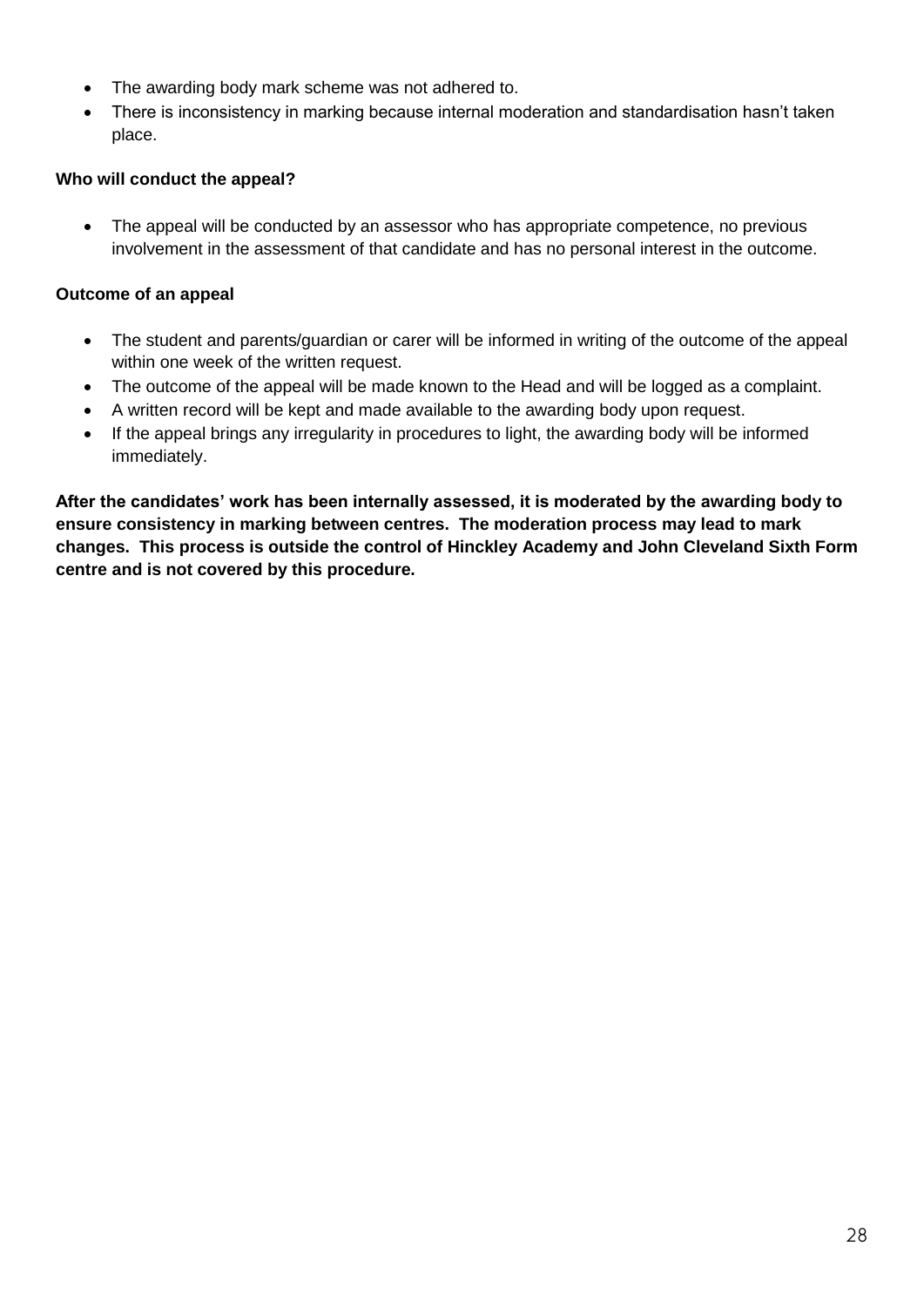- The awarding body mark scheme was not adhered to.
- There is inconsistency in marking because internal moderation and standardisation hasn't taken place.

#### **Who will conduct the appeal?**

• The appeal will be conducted by an assessor who has appropriate competence, no previous involvement in the assessment of that candidate and has no personal interest in the outcome.

#### **Outcome of an appeal**

- The student and parents/guardian or carer will be informed in writing of the outcome of the appeal within one week of the written request.
- The outcome of the appeal will be made known to the Head and will be logged as a complaint.
- A written record will be kept and made available to the awarding body upon request.
- If the appeal brings any irregularity in procedures to light, the awarding body will be informed immediately.

**After the candidates' work has been internally assessed, it is moderated by the awarding body to ensure consistency in marking between centres. The moderation process may lead to mark changes. This process is outside the control of Hinckley Academy and John Cleveland Sixth Form centre and is not covered by this procedure.**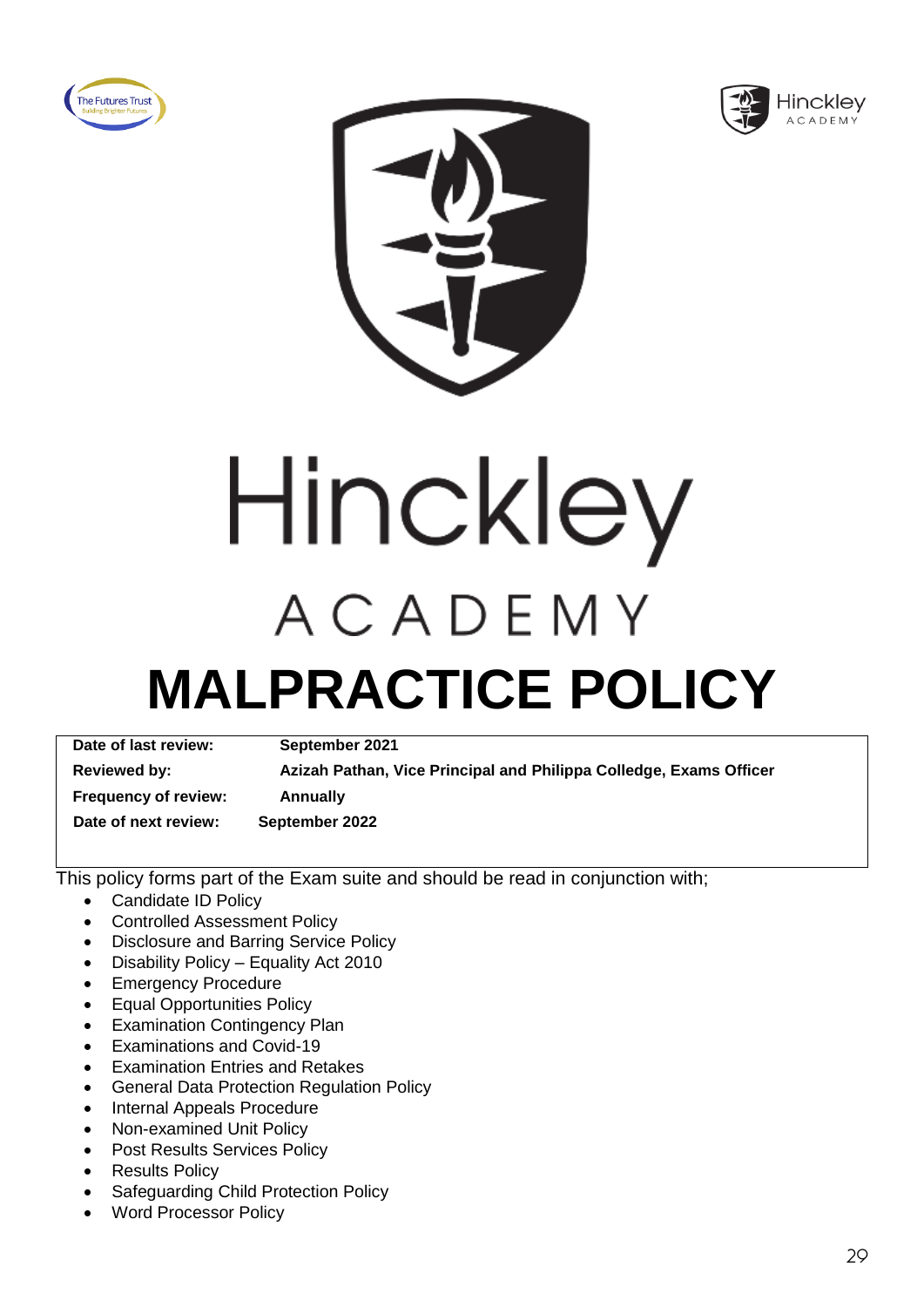





Hinckley ACADEMY

## **MALPRACTICE POLICY**

**Date of last review: September 2021 Reviewed by: Azizah Pathan, Vice Principal and Philippa Colledge, Exams Officer Frequency of review: Annually**

 **Date of next review: September 2022**

- Candidate ID Policy
- Controlled Assessment Policy
- Disclosure and Barring Service Policy
- Disability Policy Equality Act 2010
- **Emergency Procedure**
- Equal Opportunities Policy
- Examination Contingency Plan
- Examinations and Covid-19
- Examination Entries and Retakes
- General Data Protection Regulation Policy
- Internal Appeals Procedure
- Non-examined Unit Policy
- Post Results Services Policy
- Results Policy
- Safeguarding Child Protection Policy
- Word Processor Policy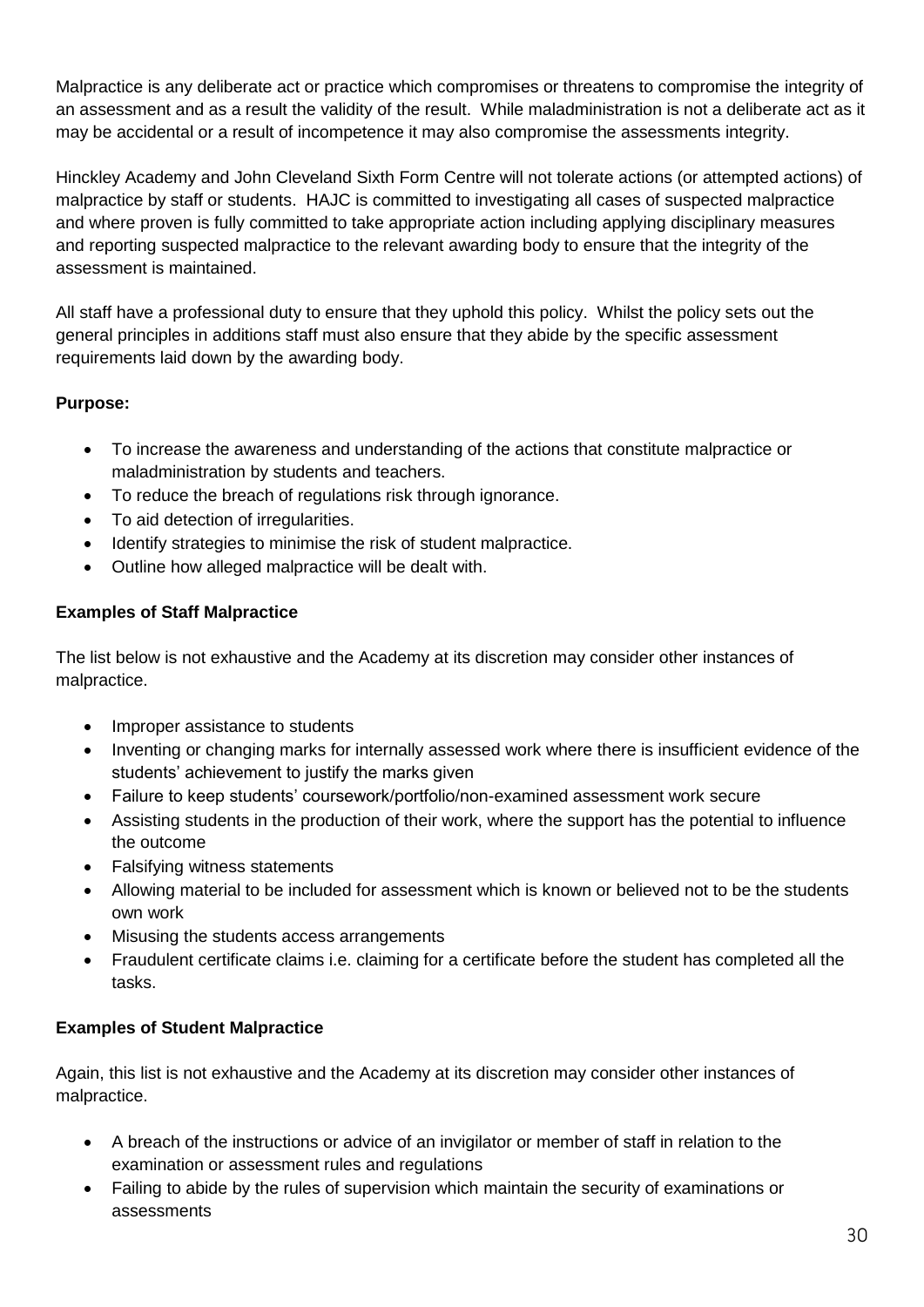Malpractice is any deliberate act or practice which compromises or threatens to compromise the integrity of an assessment and as a result the validity of the result. While maladministration is not a deliberate act as it may be accidental or a result of incompetence it may also compromise the assessments integrity.

Hinckley Academy and John Cleveland Sixth Form Centre will not tolerate actions (or attempted actions) of malpractice by staff or students. HAJC is committed to investigating all cases of suspected malpractice and where proven is fully committed to take appropriate action including applying disciplinary measures and reporting suspected malpractice to the relevant awarding body to ensure that the integrity of the assessment is maintained.

All staff have a professional duty to ensure that they uphold this policy. Whilst the policy sets out the general principles in additions staff must also ensure that they abide by the specific assessment requirements laid down by the awarding body.

#### **Purpose:**

- To increase the awareness and understanding of the actions that constitute malpractice or maladministration by students and teachers.
- To reduce the breach of regulations risk through ignorance.
- To aid detection of irregularities.
- Identify strategies to minimise the risk of student malpractice.
- Outline how alleged malpractice will be dealt with.

#### **Examples of Staff Malpractice**

The list below is not exhaustive and the Academy at its discretion may consider other instances of malpractice.

- Improper assistance to students
- Inventing or changing marks for internally assessed work where there is insufficient evidence of the students' achievement to justify the marks given
- Failure to keep students' coursework/portfolio/non-examined assessment work secure
- Assisting students in the production of their work, where the support has the potential to influence the outcome
- Falsifying witness statements
- Allowing material to be included for assessment which is known or believed not to be the students own work
- Misusing the students access arrangements
- Fraudulent certificate claims i.e. claiming for a certificate before the student has completed all the tasks.

#### **Examples of Student Malpractice**

Again, this list is not exhaustive and the Academy at its discretion may consider other instances of malpractice.

- A breach of the instructions or advice of an invigilator or member of staff in relation to the examination or assessment rules and regulations
- Failing to abide by the rules of supervision which maintain the security of examinations or assessments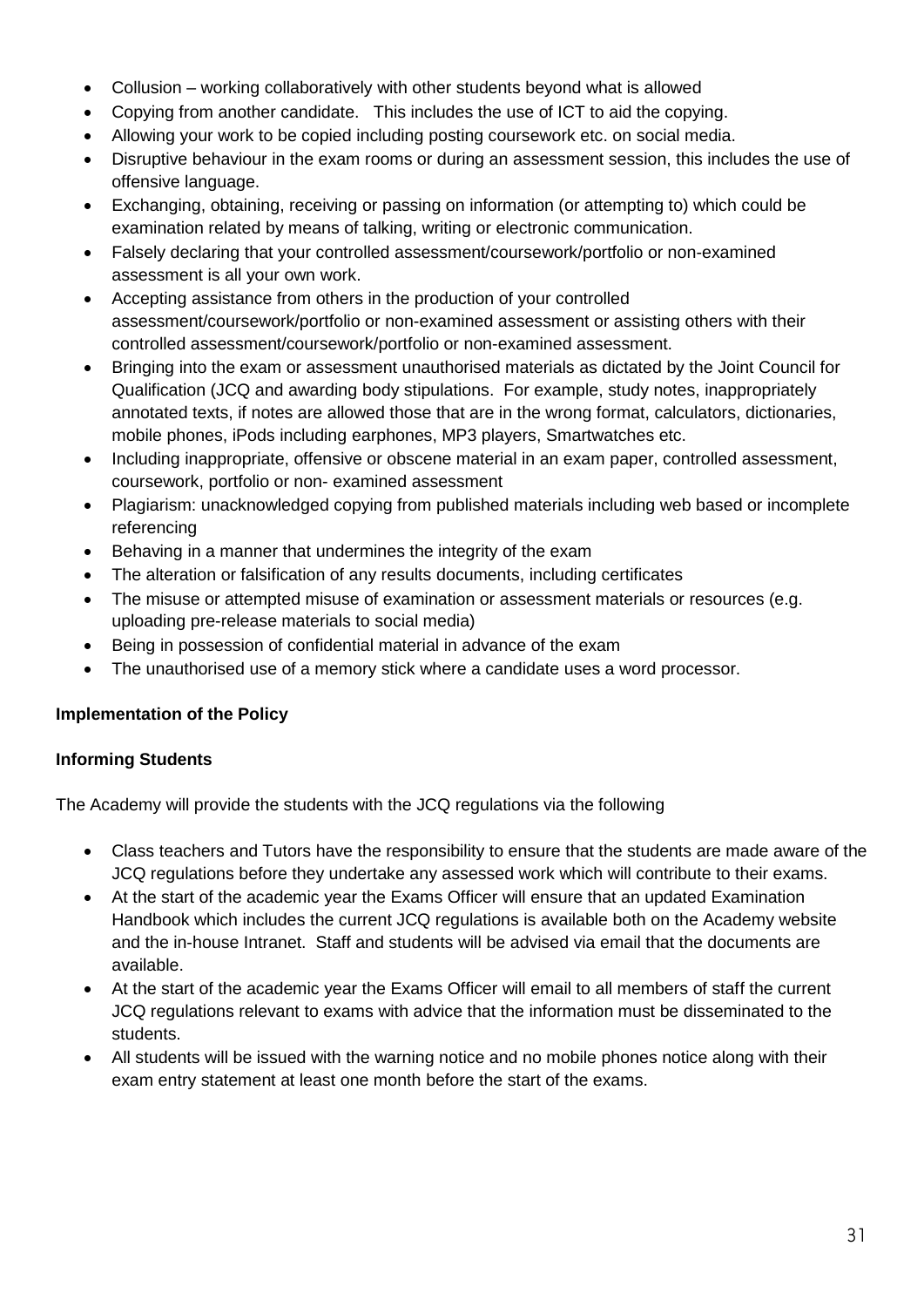- Collusion working collaboratively with other students beyond what is allowed
- Copying from another candidate. This includes the use of ICT to aid the copying.
- Allowing your work to be copied including posting coursework etc. on social media.
- Disruptive behaviour in the exam rooms or during an assessment session, this includes the use of offensive language.
- Exchanging, obtaining, receiving or passing on information (or attempting to) which could be examination related by means of talking, writing or electronic communication.
- Falsely declaring that your controlled assessment/coursework/portfolio or non-examined assessment is all your own work.
- Accepting assistance from others in the production of your controlled assessment/coursework/portfolio or non-examined assessment or assisting others with their controlled assessment/coursework/portfolio or non-examined assessment.
- Bringing into the exam or assessment unauthorised materials as dictated by the Joint Council for Qualification (JCQ and awarding body stipulations. For example, study notes, inappropriately annotated texts, if notes are allowed those that are in the wrong format, calculators, dictionaries, mobile phones, iPods including earphones, MP3 players, Smartwatches etc.
- Including inappropriate, offensive or obscene material in an exam paper, controlled assessment, coursework, portfolio or non- examined assessment
- Plagiarism: unacknowledged copying from published materials including web based or incomplete referencing
- Behaving in a manner that undermines the integrity of the exam
- The alteration or falsification of any results documents, including certificates
- The misuse or attempted misuse of examination or assessment materials or resources (e.g. uploading pre-release materials to social media)
- Being in possession of confidential material in advance of the exam
- The unauthorised use of a memory stick where a candidate uses a word processor.

#### **Implementation of the Policy**

#### **Informing Students**

The Academy will provide the students with the JCQ regulations via the following

- Class teachers and Tutors have the responsibility to ensure that the students are made aware of the JCQ regulations before they undertake any assessed work which will contribute to their exams.
- At the start of the academic vear the Exams Officer will ensure that an updated Examination Handbook which includes the current JCQ regulations is available both on the Academy website and the in-house Intranet. Staff and students will be advised via email that the documents are available.
- At the start of the academic year the Exams Officer will email to all members of staff the current JCQ regulations relevant to exams with advice that the information must be disseminated to the students.
- All students will be issued with the warning notice and no mobile phones notice along with their exam entry statement at least one month before the start of the exams.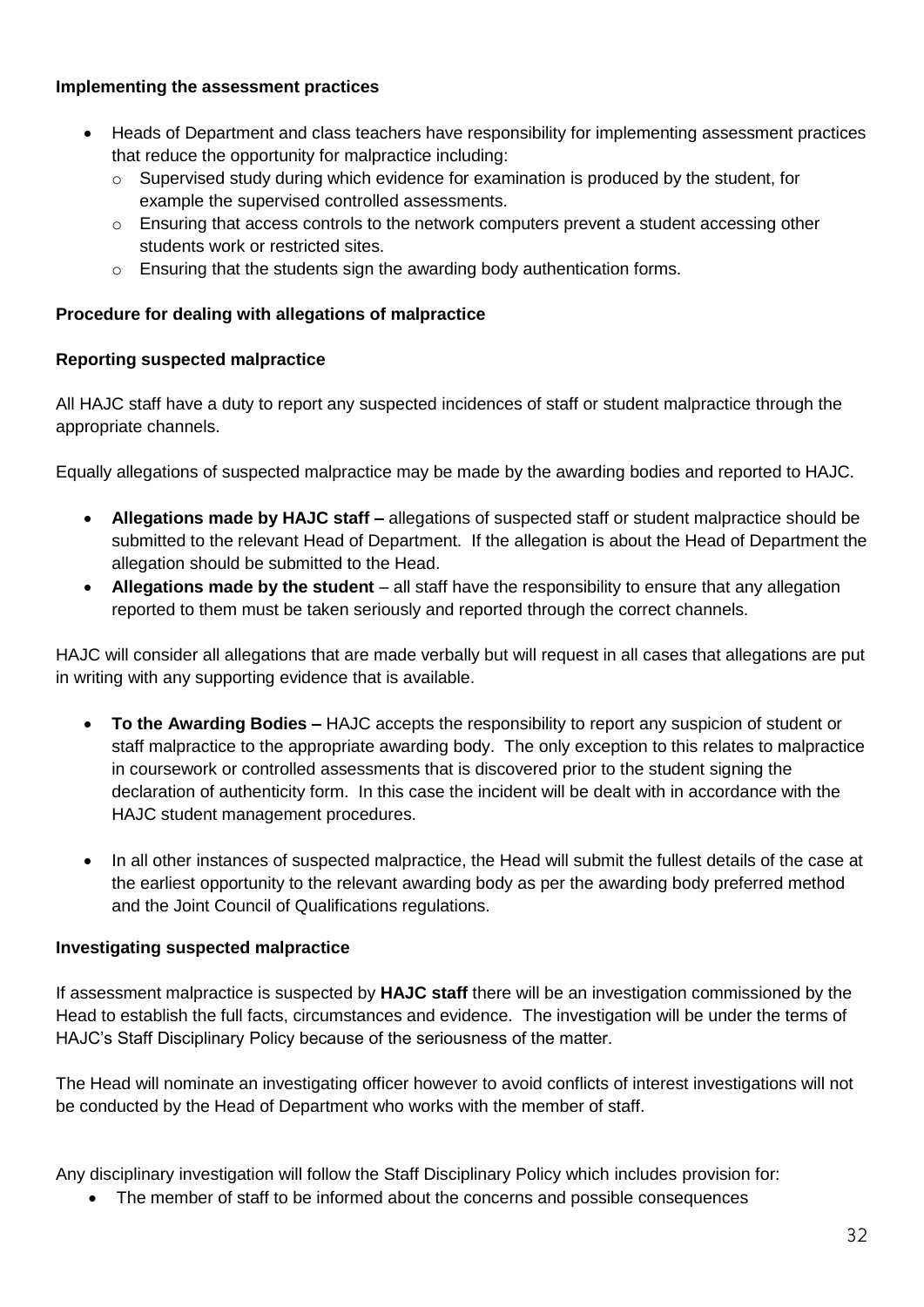#### **Implementing the assessment practices**

- Heads of Department and class teachers have responsibility for implementing assessment practices that reduce the opportunity for malpractice including:
	- o Supervised study during which evidence for examination is produced by the student, for example the supervised controlled assessments.
	- $\circ$  Ensuring that access controls to the network computers prevent a student accessing other students work or restricted sites.
	- o Ensuring that the students sign the awarding body authentication forms.

#### **Procedure for dealing with allegations of malpractice**

#### **Reporting suspected malpractice**

All HAJC staff have a duty to report any suspected incidences of staff or student malpractice through the appropriate channels.

Equally allegations of suspected malpractice may be made by the awarding bodies and reported to HAJC.

- **Allegations made by HAJC staff –** allegations of suspected staff or student malpractice should be submitted to the relevant Head of Department. If the allegation is about the Head of Department the allegation should be submitted to the Head.
- **Allegations made by the student** all staff have the responsibility to ensure that any allegation reported to them must be taken seriously and reported through the correct channels.

HAJC will consider all allegations that are made verbally but will request in all cases that allegations are put in writing with any supporting evidence that is available.

- **To the Awarding Bodies –** HAJC accepts the responsibility to report any suspicion of student or staff malpractice to the appropriate awarding body. The only exception to this relates to malpractice in coursework or controlled assessments that is discovered prior to the student signing the declaration of authenticity form. In this case the incident will be dealt with in accordance with the HAJC student management procedures.
- In all other instances of suspected malpractice, the Head will submit the fullest details of the case at the earliest opportunity to the relevant awarding body as per the awarding body preferred method and the Joint Council of Qualifications regulations.

#### **Investigating suspected malpractice**

If assessment malpractice is suspected by **HAJC staff** there will be an investigation commissioned by the Head to establish the full facts, circumstances and evidence. The investigation will be under the terms of HAJC's Staff Disciplinary Policy because of the seriousness of the matter.

The Head will nominate an investigating officer however to avoid conflicts of interest investigations will not be conducted by the Head of Department who works with the member of staff.

Any disciplinary investigation will follow the Staff Disciplinary Policy which includes provision for:

• The member of staff to be informed about the concerns and possible consequences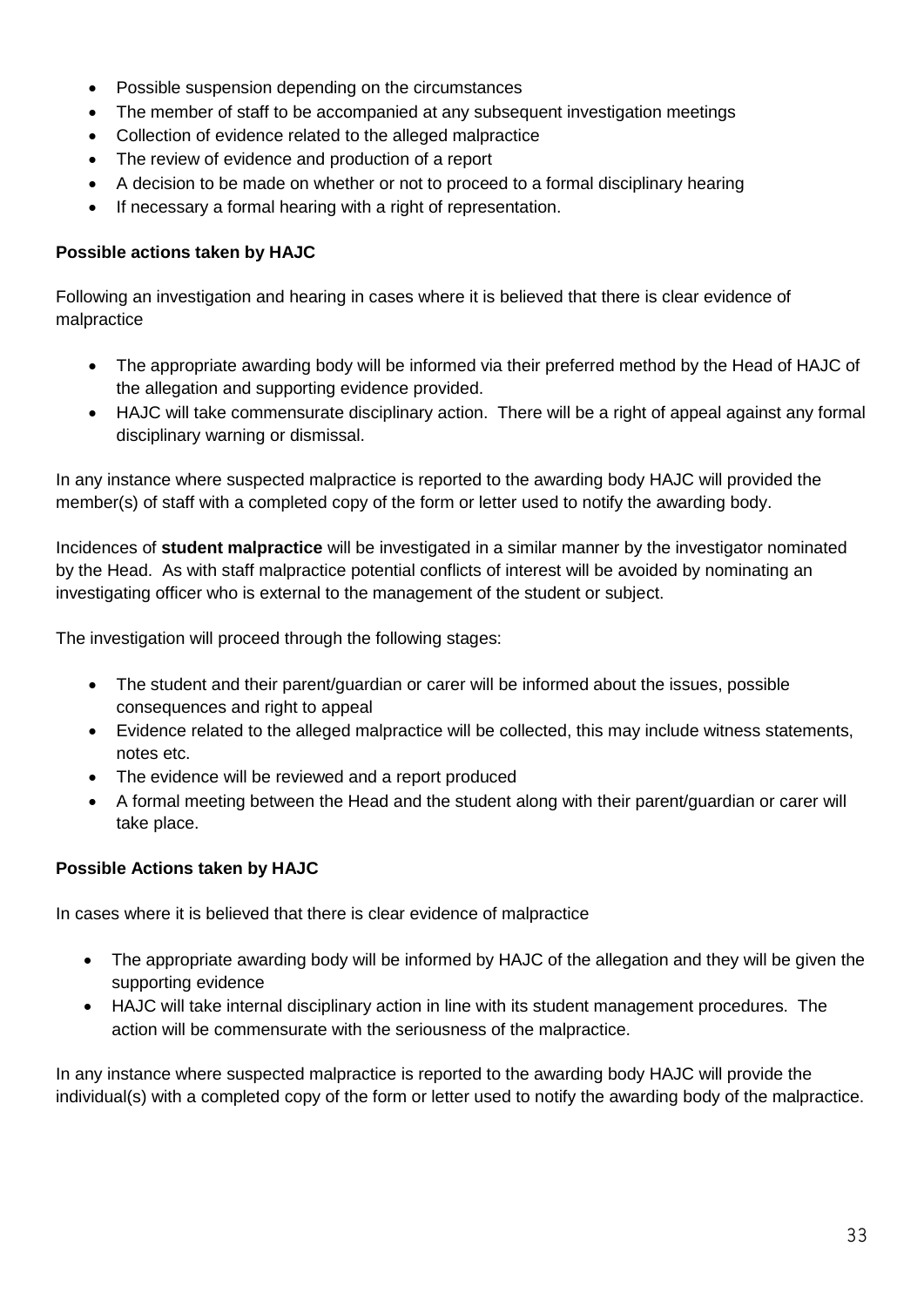- Possible suspension depending on the circumstances
- The member of staff to be accompanied at any subsequent investigation meetings
- Collection of evidence related to the alleged malpractice
- The review of evidence and production of a report
- A decision to be made on whether or not to proceed to a formal disciplinary hearing
- If necessary a formal hearing with a right of representation.

#### **Possible actions taken by HAJC**

Following an investigation and hearing in cases where it is believed that there is clear evidence of malpractice

- The appropriate awarding body will be informed via their preferred method by the Head of HAJC of the allegation and supporting evidence provided.
- HAJC will take commensurate disciplinary action. There will be a right of appeal against any formal disciplinary warning or dismissal.

In any instance where suspected malpractice is reported to the awarding body HAJC will provided the member(s) of staff with a completed copy of the form or letter used to notify the awarding body.

Incidences of **student malpractice** will be investigated in a similar manner by the investigator nominated by the Head. As with staff malpractice potential conflicts of interest will be avoided by nominating an investigating officer who is external to the management of the student or subject.

The investigation will proceed through the following stages:

- The student and their parent/guardian or carer will be informed about the issues, possible consequences and right to appeal
- Evidence related to the alleged malpractice will be collected, this may include witness statements, notes etc.
- The evidence will be reviewed and a report produced
- A formal meeting between the Head and the student along with their parent/guardian or carer will take place.

#### **Possible Actions taken by HAJC**

In cases where it is believed that there is clear evidence of malpractice

- The appropriate awarding body will be informed by HAJC of the allegation and they will be given the supporting evidence
- HAJC will take internal disciplinary action in line with its student management procedures. The action will be commensurate with the seriousness of the malpractice.

In any instance where suspected malpractice is reported to the awarding body HAJC will provide the individual(s) with a completed copy of the form or letter used to notify the awarding body of the malpractice.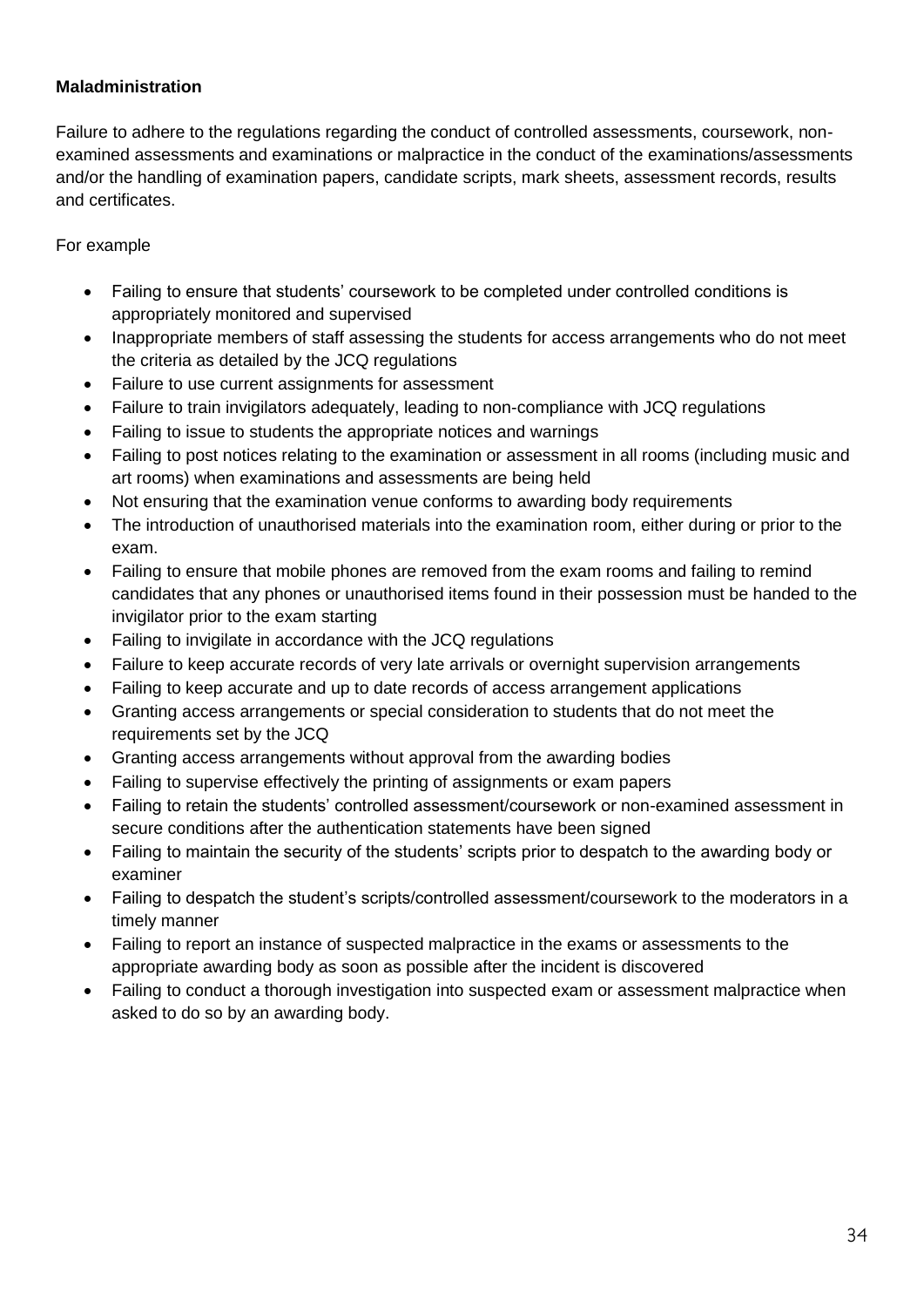#### **Maladministration**

Failure to adhere to the regulations regarding the conduct of controlled assessments, coursework, nonexamined assessments and examinations or malpractice in the conduct of the examinations/assessments and/or the handling of examination papers, candidate scripts, mark sheets, assessment records, results and certificates.

#### For example

- Failing to ensure that students' coursework to be completed under controlled conditions is appropriately monitored and supervised
- Inappropriate members of staff assessing the students for access arrangements who do not meet the criteria as detailed by the JCQ regulations
- Failure to use current assignments for assessment
- Failure to train invigilators adequately, leading to non-compliance with JCQ regulations
- Failing to issue to students the appropriate notices and warnings
- Failing to post notices relating to the examination or assessment in all rooms (including music and art rooms) when examinations and assessments are being held
- Not ensuring that the examination venue conforms to awarding body requirements
- The introduction of unauthorised materials into the examination room, either during or prior to the exam.
- Failing to ensure that mobile phones are removed from the exam rooms and failing to remind candidates that any phones or unauthorised items found in their possession must be handed to the invigilator prior to the exam starting
- Failing to invigilate in accordance with the JCQ regulations
- Failure to keep accurate records of very late arrivals or overnight supervision arrangements
- Failing to keep accurate and up to date records of access arrangement applications
- Granting access arrangements or special consideration to students that do not meet the requirements set by the JCQ
- Granting access arrangements without approval from the awarding bodies
- Failing to supervise effectively the printing of assignments or exam papers
- Failing to retain the students' controlled assessment/coursework or non-examined assessment in secure conditions after the authentication statements have been signed
- Failing to maintain the security of the students' scripts prior to despatch to the awarding body or examiner
- Failing to despatch the student's scripts/controlled assessment/coursework to the moderators in a timely manner
- Failing to report an instance of suspected malpractice in the exams or assessments to the appropriate awarding body as soon as possible after the incident is discovered
- Failing to conduct a thorough investigation into suspected exam or assessment malpractice when asked to do so by an awarding body.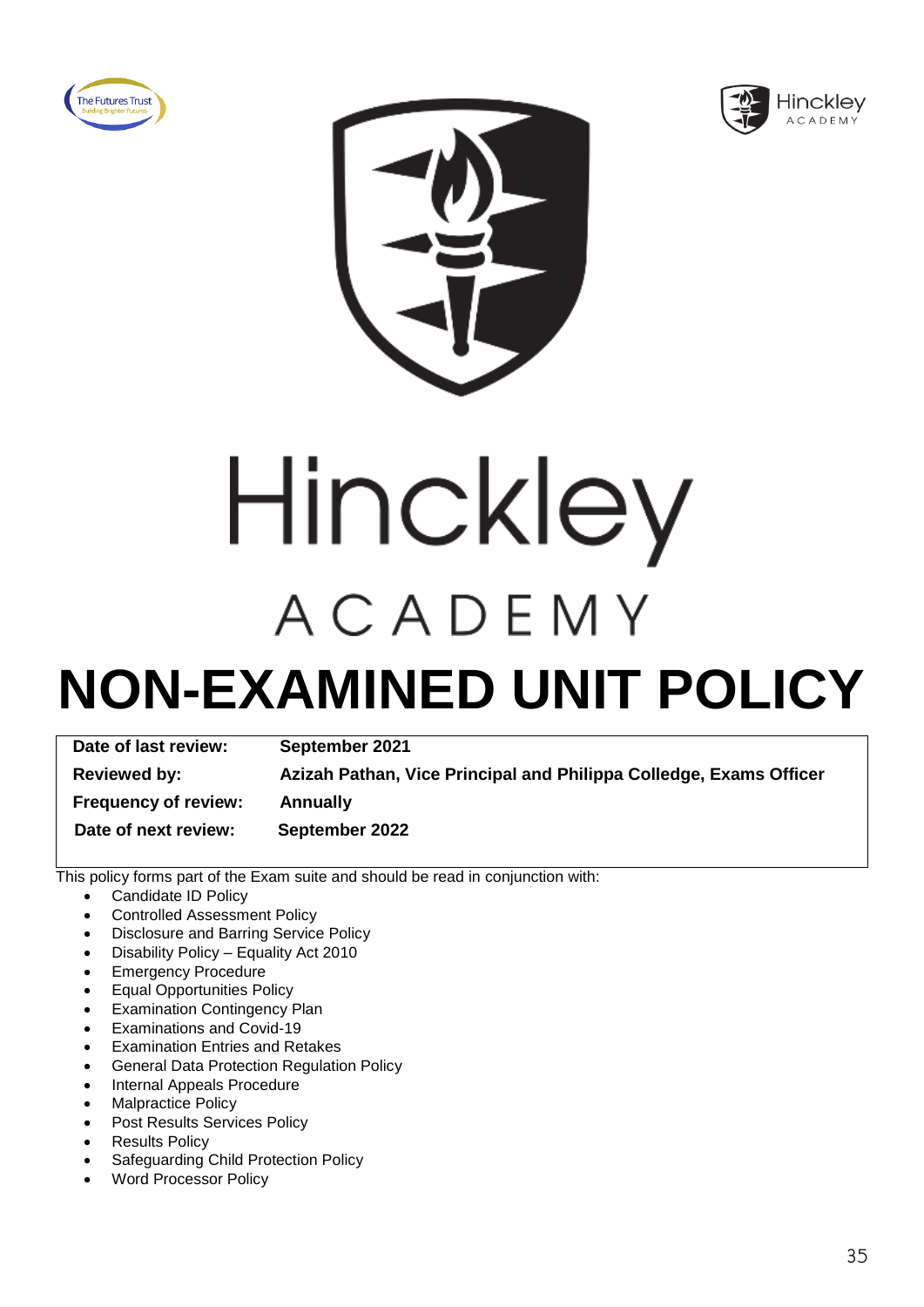





# Hinckley ACADEMY

### **NON-EXAMINED UNIT POLICY**

| Date of last review:        | September 2021                                                     |
|-----------------------------|--------------------------------------------------------------------|
| <b>Reviewed by:</b>         | Azizah Pathan, Vice Principal and Philippa Colledge, Exams Officer |
| <b>Frequency of review:</b> | <b>Annually</b>                                                    |
| Date of next review:        | September 2022                                                     |

- Candidate ID Policy
- Controlled Assessment Policy
- Disclosure and Barring Service Policy
- Disability Policy Equality Act 2010
- Emergency Procedure
- Equal Opportunities Policy
- **Examination Contingency Plan**
- Examinations and Covid-19
- Examination Entries and Retakes
- General Data Protection Regulation Policy
- Internal Appeals Procedure
- Malpractice Policy
- Post Results Services Policy
- **Results Policy**
- Safeguarding Child Protection Policy
- Word Processor Policy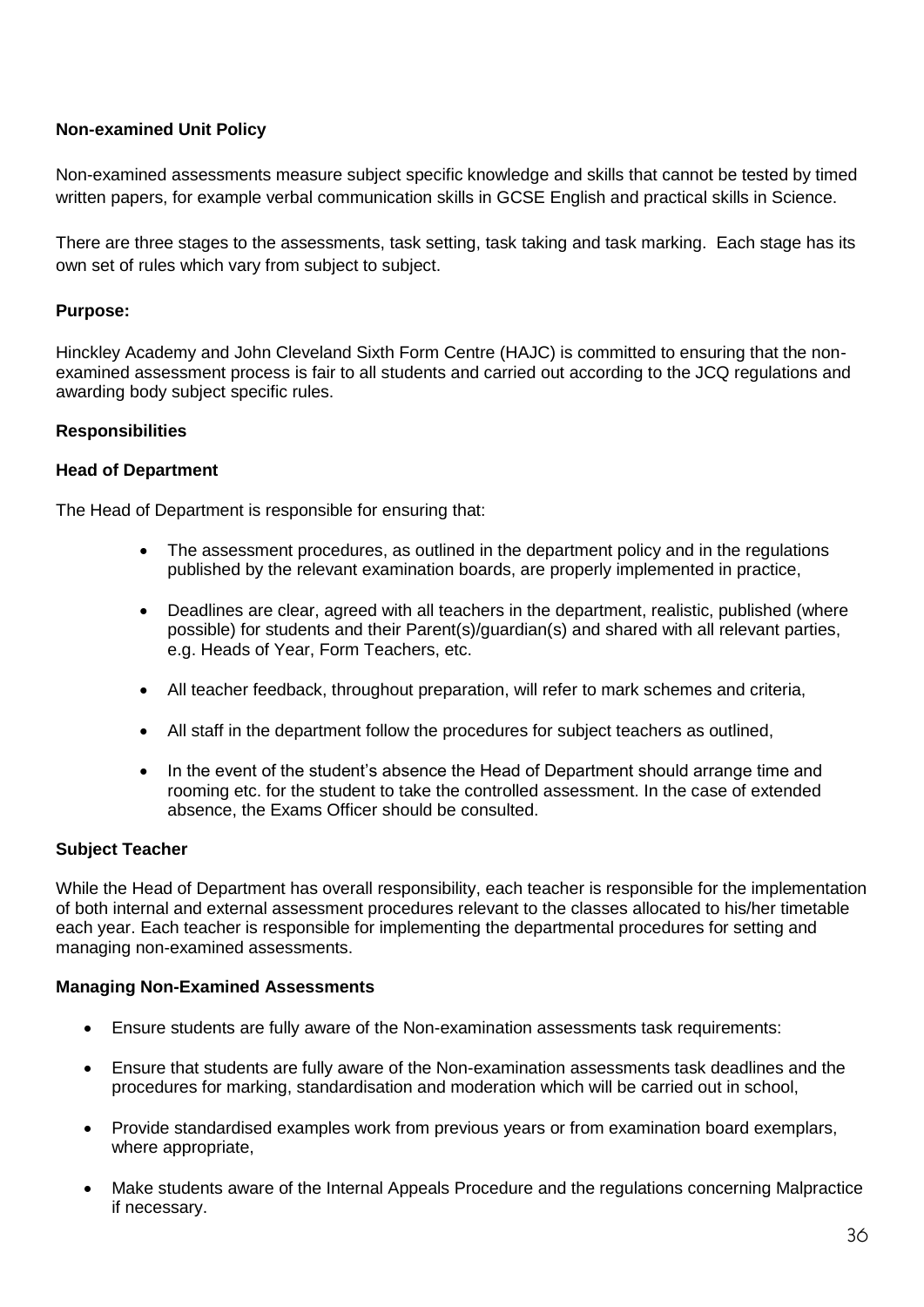#### **Non-examined Unit Policy**

Non-examined assessments measure subject specific knowledge and skills that cannot be tested by timed written papers, for example verbal communication skills in GCSE English and practical skills in Science.

There are three stages to the assessments, task setting, task taking and task marking. Each stage has its own set of rules which vary from subject to subject.

#### **Purpose:**

Hinckley Academy and John Cleveland Sixth Form Centre (HAJC) is committed to ensuring that the nonexamined assessment process is fair to all students and carried out according to the JCQ regulations and awarding body subject specific rules.

#### **Responsibilities**

#### **Head of Department**

The Head of Department is responsible for ensuring that:

- The assessment procedures, as outlined in the department policy and in the regulations published by the relevant examination boards, are properly implemented in practice,
- Deadlines are clear, agreed with all teachers in the department, realistic, published (where possible) for students and their Parent(s)/guardian(s) and shared with all relevant parties, e.g. Heads of Year, Form Teachers, etc.
- All teacher feedback, throughout preparation, will refer to mark schemes and criteria,
- All staff in the department follow the procedures for subject teachers as outlined,
- In the event of the student's absence the Head of Department should arrange time and rooming etc. for the student to take the controlled assessment. In the case of extended absence, the Exams Officer should be consulted.

#### **Subject Teacher**

While the Head of Department has overall responsibility, each teacher is responsible for the implementation of both internal and external assessment procedures relevant to the classes allocated to his/her timetable each year. Each teacher is responsible for implementing the departmental procedures for setting and managing non-examined assessments.

#### **Managing Non-Examined Assessments**

- Ensure students are fully aware of the Non-examination assessments task requirements:
- Ensure that students are fully aware of the Non-examination assessments task deadlines and the procedures for marking, standardisation and moderation which will be carried out in school,
- Provide standardised examples work from previous years or from examination board exemplars, where appropriate,
- Make students aware of the Internal Appeals Procedure and the regulations concerning Malpractice if necessary.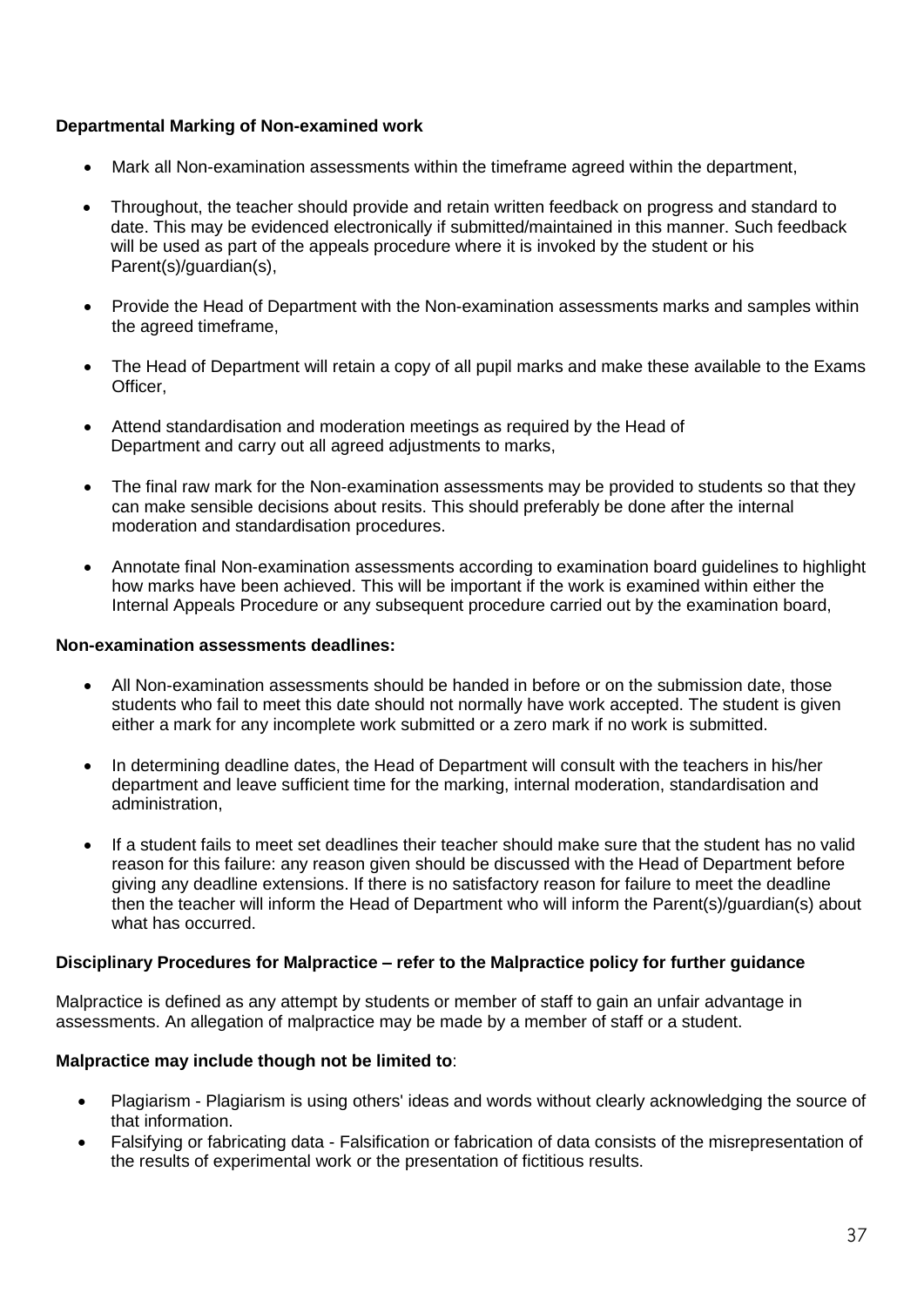#### **Departmental Marking of Non-examined work**

- Mark all Non-examination assessments within the timeframe agreed within the department,
- Throughout, the teacher should provide and retain written feedback on progress and standard to date. This may be evidenced electronically if submitted/maintained in this manner. Such feedback will be used as part of the appeals procedure where it is invoked by the student or his Parent(s)/guardian(s),
- Provide the Head of Department with the Non-examination assessments marks and samples within the agreed timeframe,
- The Head of Department will retain a copy of all pupil marks and make these available to the Exams Officer,
- Attend standardisation and moderation meetings as required by the Head of Department and carry out all agreed adjustments to marks,
- The final raw mark for the Non-examination assessments may be provided to students so that they can make sensible decisions about resits. This should preferably be done after the internal moderation and standardisation procedures.
- Annotate final Non-examination assessments according to examination board guidelines to highlight how marks have been achieved. This will be important if the work is examined within either the Internal Appeals Procedure or any subsequent procedure carried out by the examination board,

#### **Non-examination assessments deadlines:**

- All Non-examination assessments should be handed in before or on the submission date, those students who fail to meet this date should not normally have work accepted. The student is given either a mark for any incomplete work submitted or a zero mark if no work is submitted.
- In determining deadline dates, the Head of Department will consult with the teachers in his/her department and leave sufficient time for the marking, internal moderation, standardisation and administration,
- If a student fails to meet set deadlines their teacher should make sure that the student has no valid reason for this failure: any reason given should be discussed with the Head of Department before giving any deadline extensions. If there is no satisfactory reason for failure to meet the deadline then the teacher will inform the Head of Department who will inform the Parent(s)/guardian(s) about what has occurred.

#### **Disciplinary Procedures for Malpractice – refer to the Malpractice policy for further guidance**

Malpractice is defined as any attempt by students or member of staff to gain an unfair advantage in assessments. An allegation of malpractice may be made by a member of staff or a student.

#### **Malpractice may include though not be limited to**:

- Plagiarism Plagiarism is using others' ideas and words without clearly acknowledging the source of that information.
- Falsifying or fabricating data Falsification or fabrication of data consists of the misrepresentation of the results of experimental work or the presentation of fictitious results.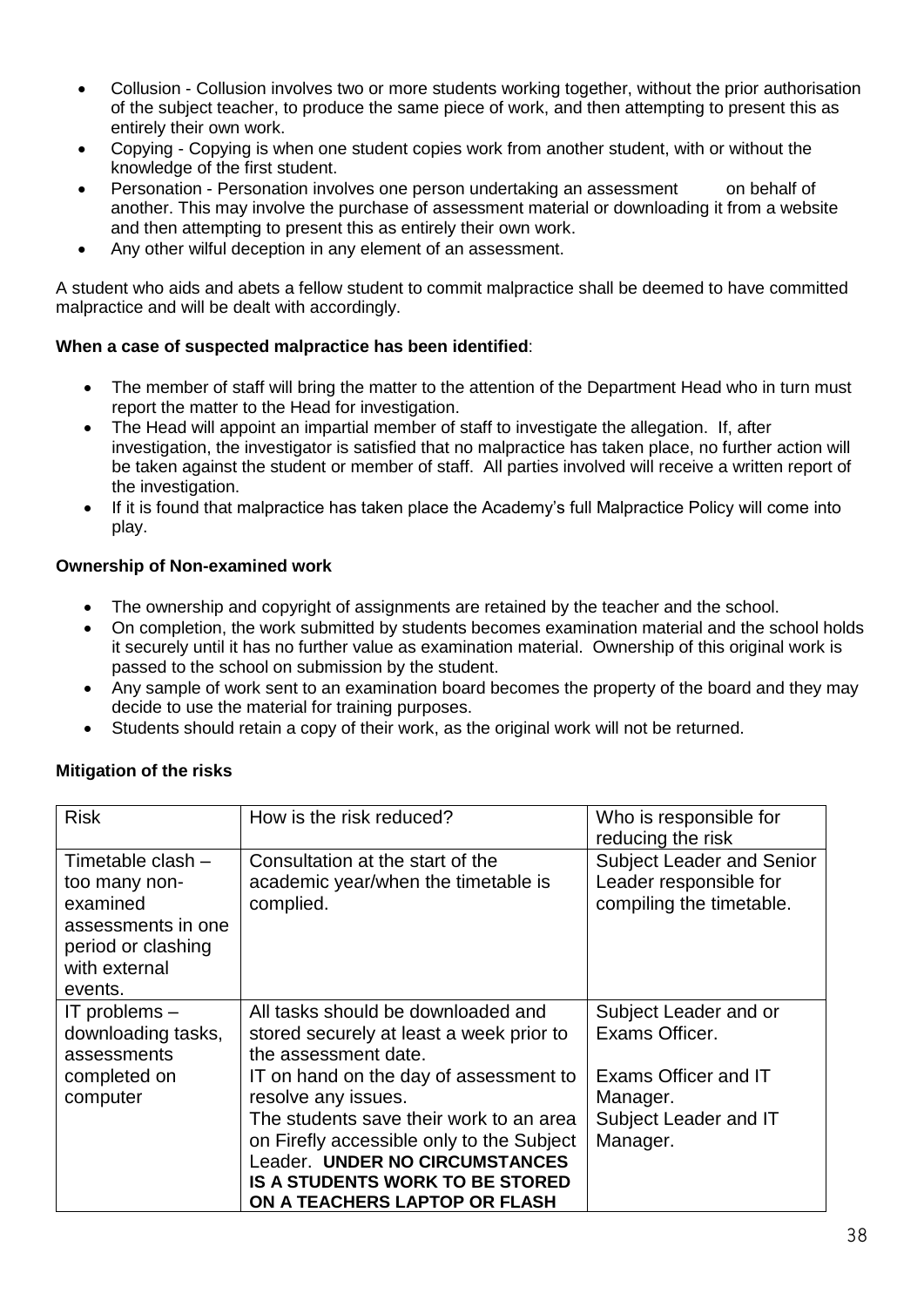- Collusion Collusion involves two or more students working together, without the prior authorisation of the subject teacher, to produce the same piece of work, and then attempting to present this as entirely their own work.
- Copying Copying is when one student copies work from another student, with or without the knowledge of the first student.
- Personation Personation involves one person undertaking an assessment on behalf of another. This may involve the purchase of assessment material or downloading it from a website and then attempting to present this as entirely their own work.
- Any other wilful deception in any element of an assessment.

A student who aids and abets a fellow student to commit malpractice shall be deemed to have committed malpractice and will be dealt with accordingly.

#### **When a case of suspected malpractice has been identified**:

- The member of staff will bring the matter to the attention of the Department Head who in turn must report the matter to the Head for investigation.
- The Head will appoint an impartial member of staff to investigate the allegation. If, after investigation, the investigator is satisfied that no malpractice has taken place, no further action will be taken against the student or member of staff. All parties involved will receive a written report of the investigation.
- If it is found that malpractice has taken place the Academy's full Malpractice Policy will come into play.

#### **Ownership of Non-examined work**

- The ownership and copyright of assignments are retained by the teacher and the school.
- On completion, the work submitted by students becomes examination material and the school holds it securely until it has no further value as examination material. Ownership of this original work is passed to the school on submission by the student.
- Any sample of work sent to an examination board becomes the property of the board and they may decide to use the material for training purposes.
- Students should retain a copy of their work, as the original work will not be returned.

#### **Mitigation of the risks**

| <b>Risk</b>                                                                                                            | How is the risk reduced?                                                                                                                                                                                                                                                                                                                                                     | Who is responsible for<br>reducing the risk                                                                      |
|------------------------------------------------------------------------------------------------------------------------|------------------------------------------------------------------------------------------------------------------------------------------------------------------------------------------------------------------------------------------------------------------------------------------------------------------------------------------------------------------------------|------------------------------------------------------------------------------------------------------------------|
| Timetable clash -<br>too many non-<br>examined<br>assessments in one<br>period or clashing<br>with external<br>events. | Consultation at the start of the<br>academic year/when the timetable is<br>complied.                                                                                                                                                                                                                                                                                         | <b>Subject Leader and Senior</b><br>Leader responsible for<br>compiling the timetable.                           |
| IT problems $-$<br>downloading tasks,<br>assessments<br>completed on<br>computer                                       | All tasks should be downloaded and<br>stored securely at least a week prior to<br>the assessment date.<br>IT on hand on the day of assessment to<br>resolve any issues.<br>The students save their work to an area<br>on Firefly accessible only to the Subject<br>Leader. UNDER NO CIRCUMSTANCES<br><b>IS A STUDENTS WORK TO BE STORED</b><br>ON A TEACHERS LAPTOP OR FLASH | Subject Leader and or<br>Exams Officer.<br>Exams Officer and IT<br>Manager.<br>Subject Leader and IT<br>Manager. |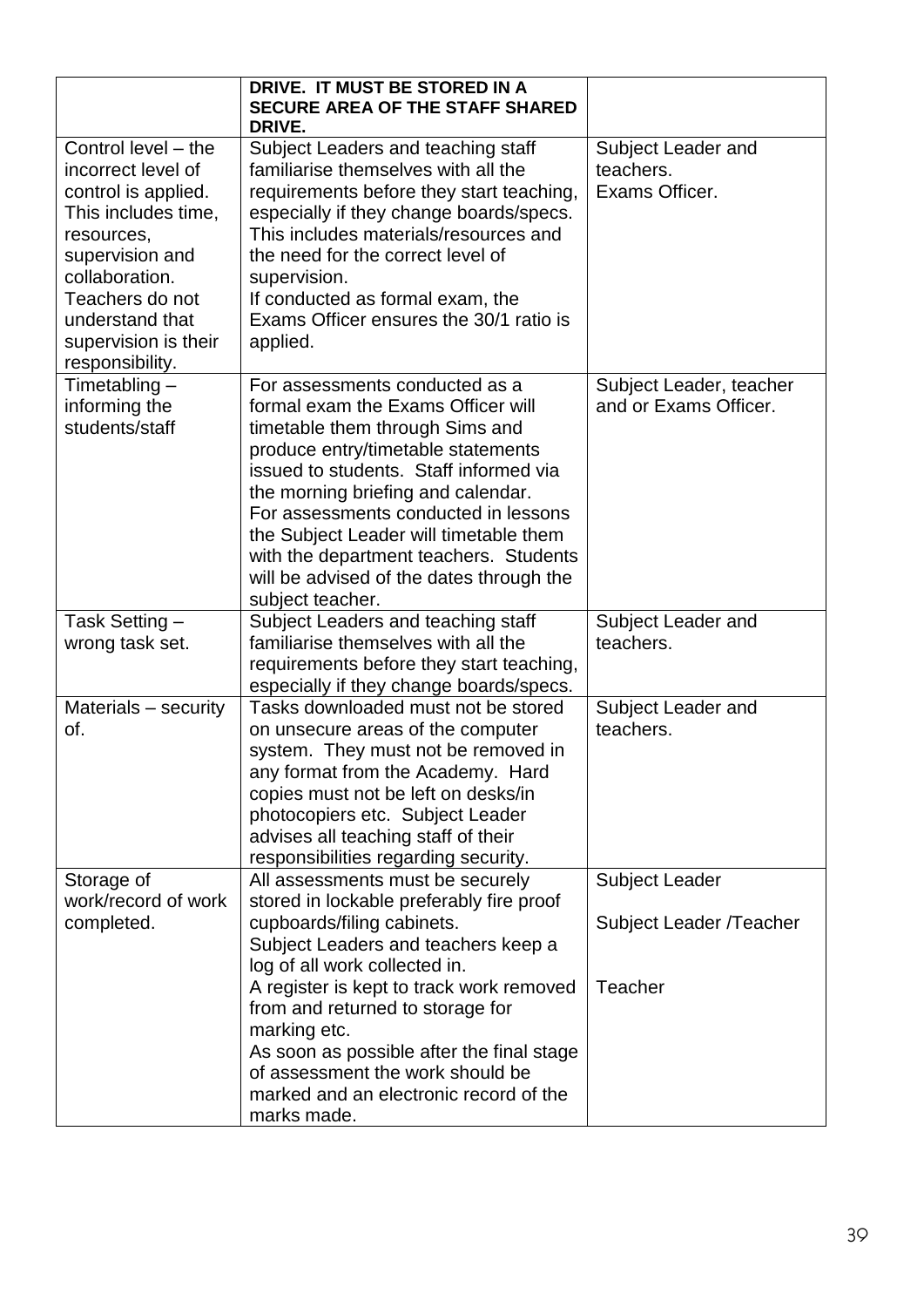|                                                                                                                                                                                                                             | DRIVE. IT MUST BE STORED IN A<br><b>SECURE AREA OF THE STAFF SHARED</b><br>DRIVE.                                                                                                                                                                                                                                                                                                                                         |                                                   |
|-----------------------------------------------------------------------------------------------------------------------------------------------------------------------------------------------------------------------------|---------------------------------------------------------------------------------------------------------------------------------------------------------------------------------------------------------------------------------------------------------------------------------------------------------------------------------------------------------------------------------------------------------------------------|---------------------------------------------------|
| Control level - the<br>incorrect level of<br>control is applied.<br>This includes time,<br>resources,<br>supervision and<br>collaboration.<br>Teachers do not<br>understand that<br>supervision is their<br>responsibility. | Subject Leaders and teaching staff<br>familiarise themselves with all the<br>requirements before they start teaching,<br>especially if they change boards/specs.<br>This includes materials/resources and<br>the need for the correct level of<br>supervision.<br>If conducted as formal exam, the<br>Exams Officer ensures the 30/1 ratio is<br>applied.                                                                 | Subject Leader and<br>teachers.<br>Exams Officer. |
| Timetabling $-$<br>informing the<br>students/staff                                                                                                                                                                          | For assessments conducted as a<br>formal exam the Exams Officer will<br>timetable them through Sims and<br>produce entry/timetable statements<br>issued to students. Staff informed via<br>the morning briefing and calendar.<br>For assessments conducted in lessons<br>the Subject Leader will timetable them<br>with the department teachers. Students<br>will be advised of the dates through the<br>subject teacher. | Subject Leader, teacher<br>and or Exams Officer.  |
| Task Setting –<br>wrong task set.                                                                                                                                                                                           | Subject Leaders and teaching staff<br>familiarise themselves with all the<br>requirements before they start teaching,<br>especially if they change boards/specs.                                                                                                                                                                                                                                                          | Subject Leader and<br>teachers.                   |
| Materials - security<br>of.                                                                                                                                                                                                 | Tasks downloaded must not be stored<br>on unsecure areas of the computer<br>system. They must not be removed in<br>any format from the Academy. Hard<br>copies must not be left on desks/in<br>photocopiers etc. Subject Leader<br>advises all teaching staff of their<br>responsibilities regarding security.                                                                                                            | Subject Leader and<br>teachers.                   |
| Storage of<br>work/record of work<br>completed.                                                                                                                                                                             | All assessments must be securely<br>stored in lockable preferably fire proof<br>cupboards/filing cabinets.<br>Subject Leaders and teachers keep a<br>log of all work collected in.                                                                                                                                                                                                                                        | <b>Subject Leader</b><br>Subject Leader /Teacher  |
|                                                                                                                                                                                                                             | A register is kept to track work removed<br>from and returned to storage for<br>marking etc.<br>As soon as possible after the final stage<br>of assessment the work should be<br>marked and an electronic record of the<br>marks made.                                                                                                                                                                                    | <b>Teacher</b>                                    |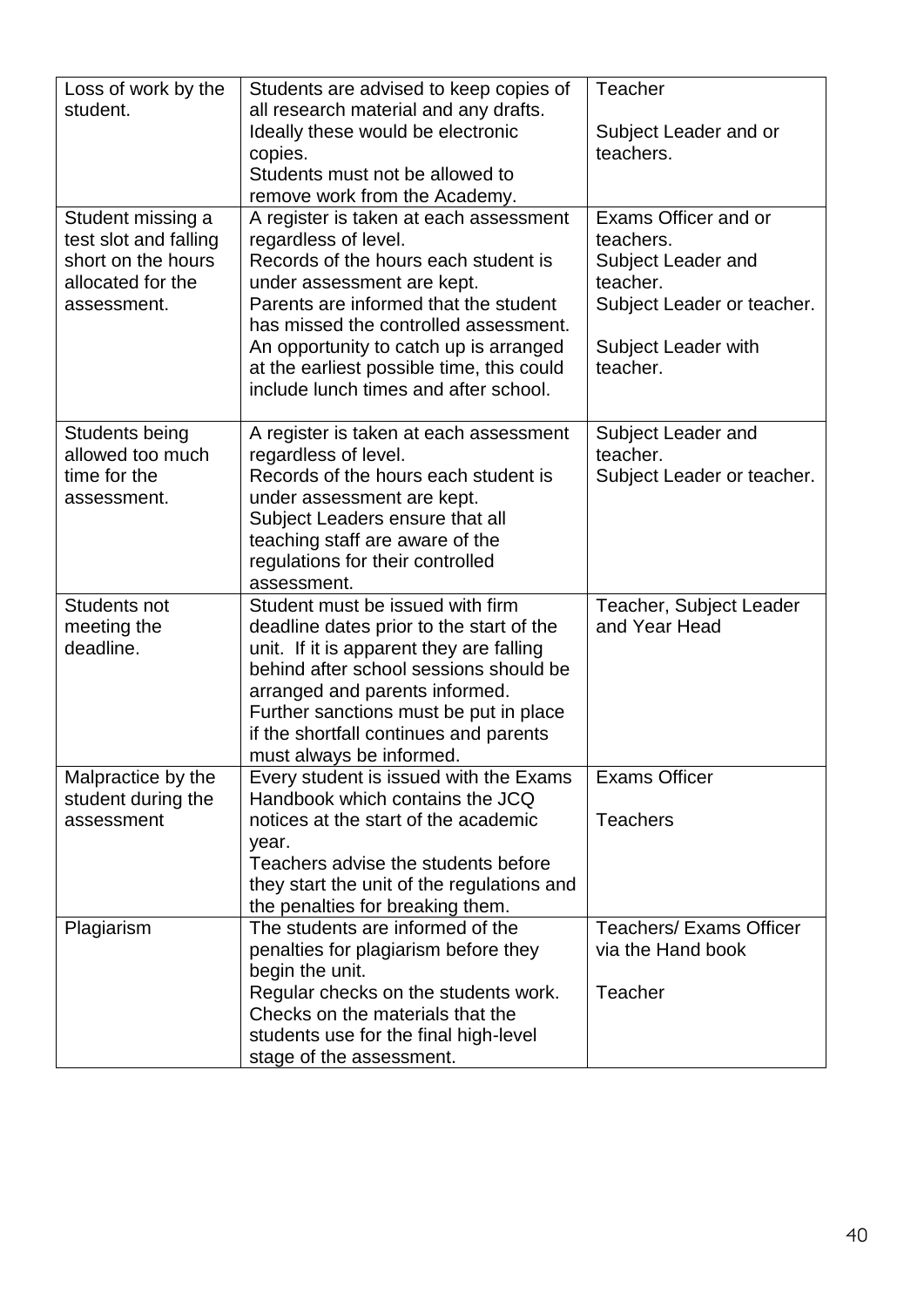| Loss of work by the<br>student.                                                                      | Students are advised to keep copies of<br>all research material and any drafts.<br>Ideally these would be electronic<br>copies.<br>Students must not be allowed to<br>remove work from the Academy.                                                                                                                                                    | <b>Teacher</b><br>Subject Leader and or<br>teachers.                                                                                 |
|------------------------------------------------------------------------------------------------------|--------------------------------------------------------------------------------------------------------------------------------------------------------------------------------------------------------------------------------------------------------------------------------------------------------------------------------------------------------|--------------------------------------------------------------------------------------------------------------------------------------|
| Student missing a<br>test slot and falling<br>short on the hours<br>allocated for the<br>assessment. | A register is taken at each assessment<br>regardless of level.<br>Records of the hours each student is<br>under assessment are kept.<br>Parents are informed that the student<br>has missed the controlled assessment.<br>An opportunity to catch up is arranged<br>at the earliest possible time, this could<br>include lunch times and after school. | Exams Officer and or<br>teachers.<br>Subject Leader and<br>teacher.<br>Subject Leader or teacher.<br>Subject Leader with<br>teacher. |
| <b>Students being</b><br>allowed too much<br>time for the<br>assessment.                             | A register is taken at each assessment<br>regardless of level.<br>Records of the hours each student is<br>under assessment are kept.<br>Subject Leaders ensure that all<br>teaching staff are aware of the<br>regulations for their controlled<br>assessment.                                                                                          | Subject Leader and<br>teacher.<br>Subject Leader or teacher.                                                                         |
| Students not<br>meeting the<br>deadline.                                                             | Student must be issued with firm<br>deadline dates prior to the start of the<br>unit. If it is apparent they are falling<br>behind after school sessions should be<br>arranged and parents informed.<br>Further sanctions must be put in place<br>if the shortfall continues and parents<br>must always be informed.                                   | Teacher, Subject Leader<br>and Year Head                                                                                             |
| Malpractice by the<br>student during the<br>assessment                                               | Every student is issued with the Exams<br>Handbook which contains the JCQ<br>notices at the start of the academic<br>year.<br>Teachers advise the students before<br>they start the unit of the regulations and<br>the penalties for breaking them.                                                                                                    | <b>Exams Officer</b><br><b>Teachers</b>                                                                                              |
| Plagiarism                                                                                           | The students are informed of the<br>penalties for plagiarism before they<br>begin the unit.<br>Regular checks on the students work.<br>Checks on the materials that the<br>students use for the final high-level<br>stage of the assessment.                                                                                                           | <b>Teachers/ Exams Officer</b><br>via the Hand book<br>Teacher                                                                       |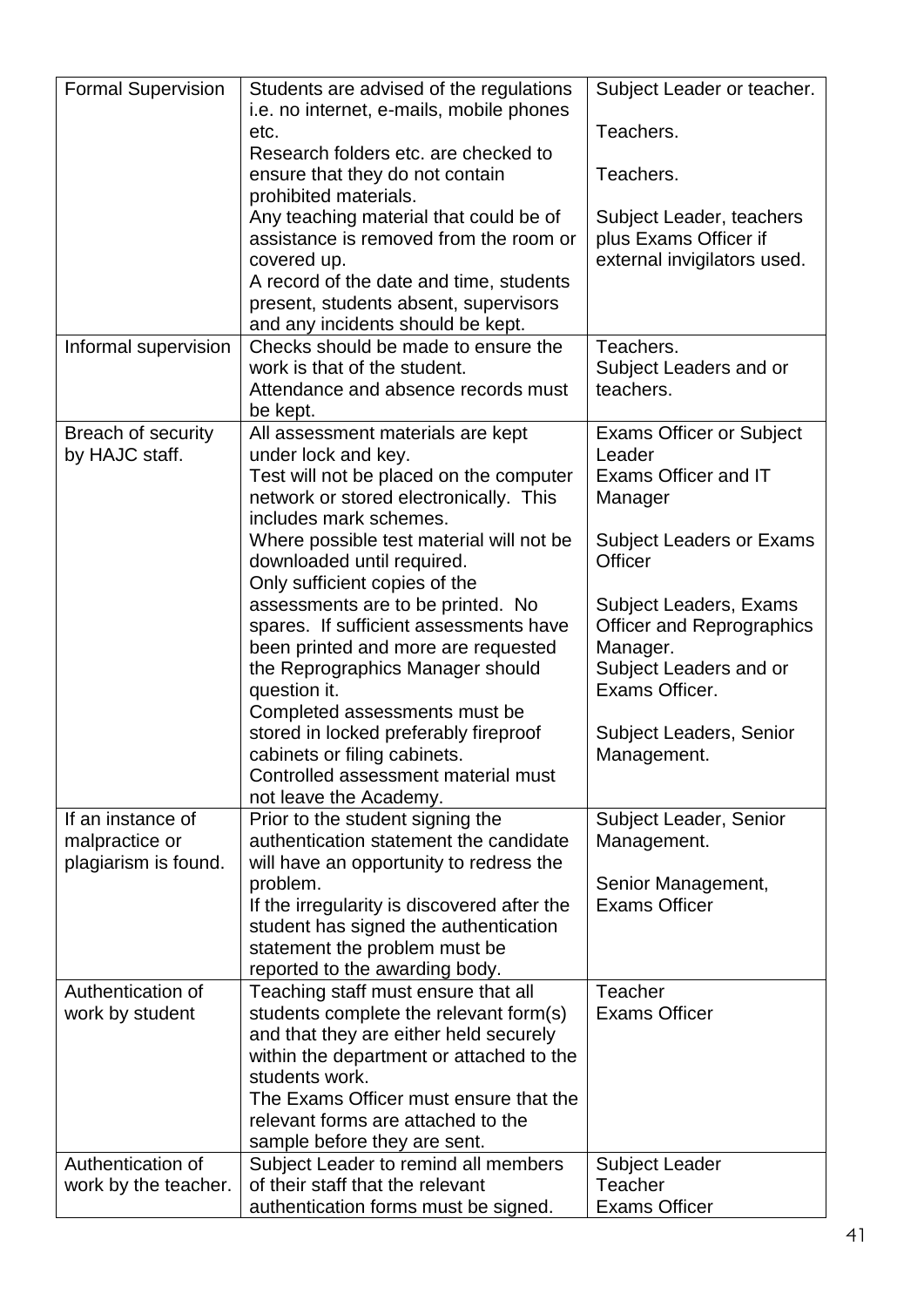| <b>Formal Supervision</b> | Students are advised of the regulations<br>i.e. no internet, e-mails, mobile phones | Subject Leader or teacher.       |
|---------------------------|-------------------------------------------------------------------------------------|----------------------------------|
|                           | etc.                                                                                | Teachers.                        |
|                           | Research folders etc. are checked to                                                |                                  |
|                           | ensure that they do not contain                                                     | Teachers.                        |
|                           | prohibited materials.                                                               |                                  |
|                           | Any teaching material that could be of                                              | Subject Leader, teachers         |
|                           | assistance is removed from the room or                                              | plus Exams Officer if            |
|                           | covered up.                                                                         | external invigilators used.      |
|                           | A record of the date and time, students                                             |                                  |
|                           | present, students absent, supervisors                                               |                                  |
|                           | and any incidents should be kept.                                                   |                                  |
| Informal supervision      | Checks should be made to ensure the                                                 | Teachers.                        |
|                           | work is that of the student.                                                        | Subject Leaders and or           |
|                           | Attendance and absence records must                                                 | teachers.                        |
|                           | be kept.                                                                            |                                  |
| Breach of security        | All assessment materials are kept                                                   | <b>Exams Officer or Subject</b>  |
| by HAJC staff.            | under lock and key.                                                                 | Leader                           |
|                           | Test will not be placed on the computer                                             | Exams Officer and IT             |
|                           | network or stored electronically. This                                              | Manager                          |
|                           | includes mark schemes.                                                              |                                  |
|                           | Where possible test material will not be                                            | <b>Subject Leaders or Exams</b>  |
|                           | downloaded until required.                                                          | Officer                          |
|                           | Only sufficient copies of the                                                       |                                  |
|                           | assessments are to be printed. No                                                   | Subject Leaders, Exams           |
|                           | spares. If sufficient assessments have                                              | <b>Officer and Reprographics</b> |
|                           | been printed and more are requested                                                 | Manager.                         |
|                           | the Reprographics Manager should                                                    | Subject Leaders and or           |
|                           | question it.                                                                        | Exams Officer.                   |
|                           | Completed assessments must be                                                       |                                  |
|                           | stored in locked preferably fireproof                                               | <b>Subject Leaders, Senior</b>   |
|                           | cabinets or filing cabinets.                                                        | Management.                      |
|                           | Controlled assessment material must                                                 |                                  |
|                           | not leave the Academy.                                                              |                                  |
| If an instance of         | Prior to the student signing the                                                    | Subject Leader, Senior           |
| malpractice or            | authentication statement the candidate                                              | Management.                      |
| plagiarism is found.      | will have an opportunity to redress the                                             |                                  |
|                           | problem.                                                                            | Senior Management,               |
|                           | If the irregularity is discovered after the                                         | <b>Exams Officer</b>             |
|                           | student has signed the authentication                                               |                                  |
|                           | statement the problem must be                                                       |                                  |
|                           | reported to the awarding body.                                                      |                                  |
| Authentication of         | Teaching staff must ensure that all                                                 | <b>Teacher</b>                   |
| work by student           | students complete the relevant form(s)                                              | <b>Exams Officer</b>             |
|                           | and that they are either held securely                                              |                                  |
|                           | within the department or attached to the                                            |                                  |
|                           | students work.                                                                      |                                  |
|                           | The Exams Officer must ensure that the<br>relevant forms are attached to the        |                                  |
|                           |                                                                                     |                                  |
| Authentication of         | sample before they are sent.<br>Subject Leader to remind all members                | <b>Subject Leader</b>            |
| work by the teacher.      | of their staff that the relevant                                                    | <b>Teacher</b>                   |
|                           | authentication forms must be signed.                                                | <b>Exams Officer</b>             |
|                           |                                                                                     |                                  |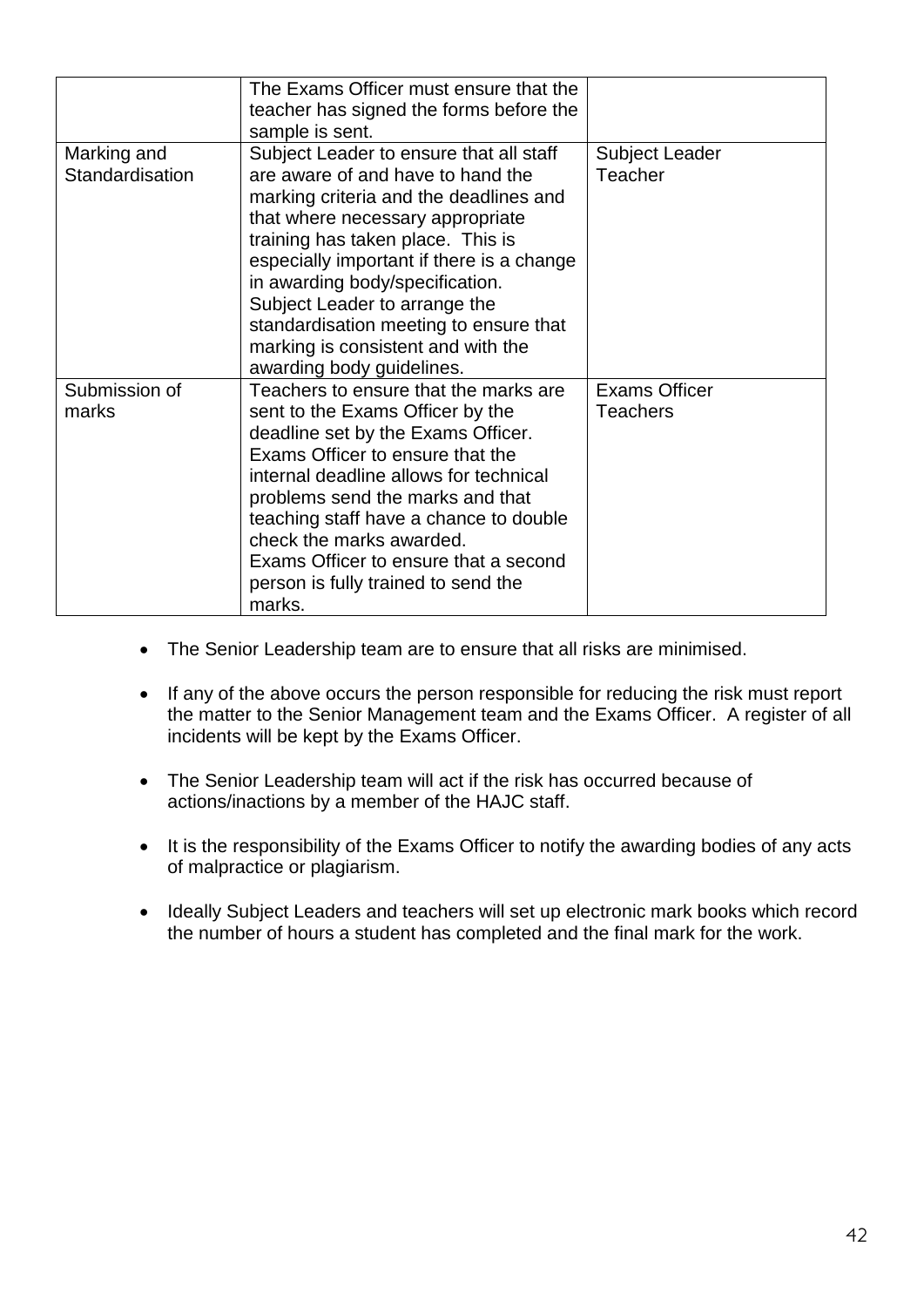|                 | The Exams Officer must ensure that the    |                       |
|-----------------|-------------------------------------------|-----------------------|
|                 | teacher has signed the forms before the   |                       |
|                 | sample is sent.                           |                       |
| Marking and     | Subject Leader to ensure that all staff   | <b>Subject Leader</b> |
| Standardisation | are aware of and have to hand the         | Teacher               |
|                 | marking criteria and the deadlines and    |                       |
|                 | that where necessary appropriate          |                       |
|                 | training has taken place. This is         |                       |
|                 | especially important if there is a change |                       |
|                 | in awarding body/specification.           |                       |
|                 | Subject Leader to arrange the             |                       |
|                 | standardisation meeting to ensure that    |                       |
|                 | marking is consistent and with the        |                       |
|                 | awarding body guidelines.                 |                       |
| Submission of   | Teachers to ensure that the marks are     | <b>Exams Officer</b>  |
| marks           | sent to the Exams Officer by the          | Teachers              |
|                 | deadline set by the Exams Officer.        |                       |
|                 | Exams Officer to ensure that the          |                       |
|                 | internal deadline allows for technical    |                       |
|                 | problems send the marks and that          |                       |
|                 | teaching staff have a chance to double    |                       |
|                 | check the marks awarded.                  |                       |
|                 | Exams Officer to ensure that a second     |                       |
|                 | person is fully trained to send the       |                       |
|                 | marks.                                    |                       |

- The Senior Leadership team are to ensure that all risks are minimised.
- If any of the above occurs the person responsible for reducing the risk must report the matter to the Senior Management team and the Exams Officer. A register of all incidents will be kept by the Exams Officer.
- The Senior Leadership team will act if the risk has occurred because of actions/inactions by a member of the HAJC staff.
- It is the responsibility of the Exams Officer to notify the awarding bodies of any acts of malpractice or plagiarism.
- Ideally Subject Leaders and teachers will set up electronic mark books which record the number of hours a student has completed and the final mark for the work.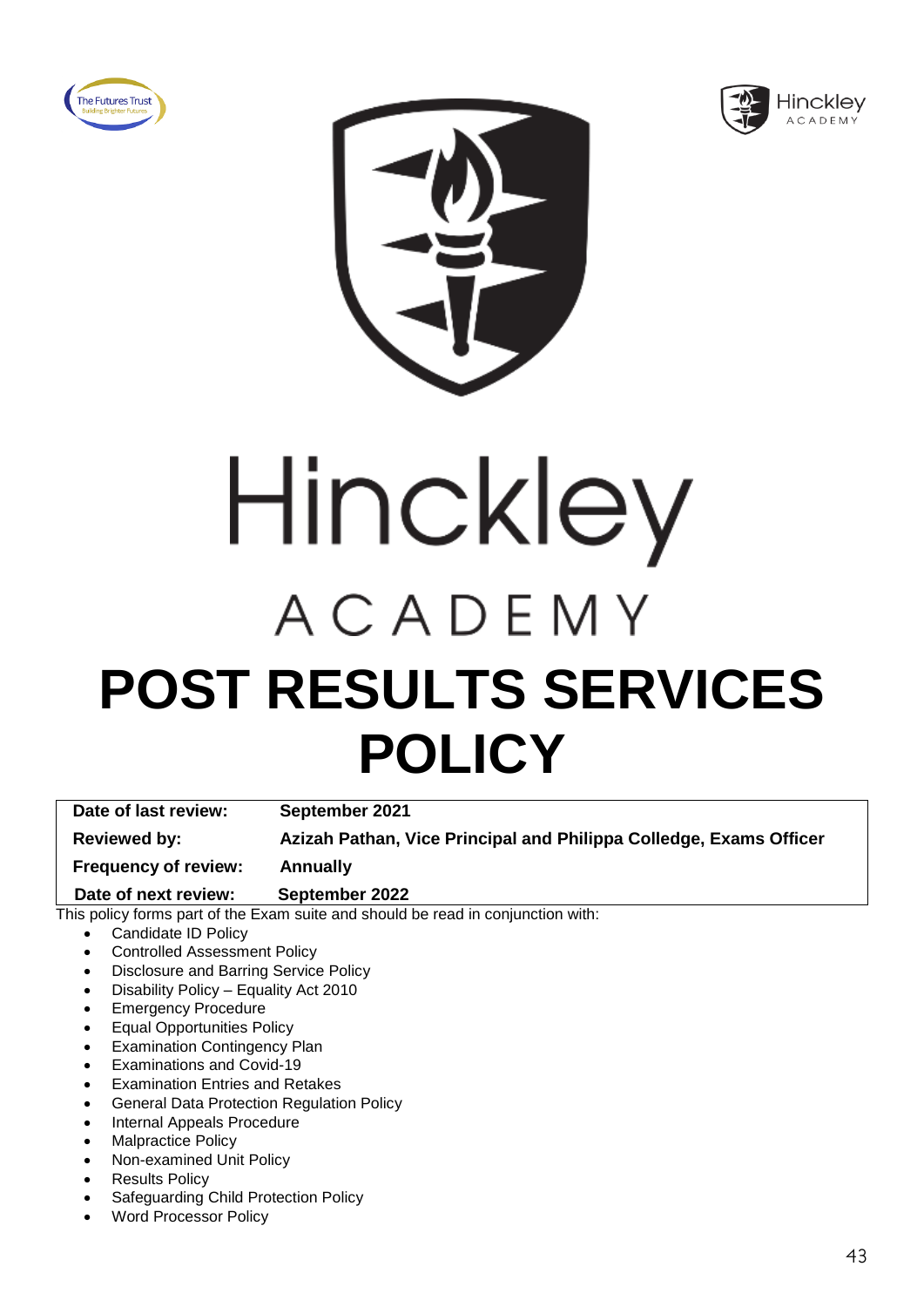





# Hinckley ACADEMY **POST RESULTS SERVICES POLICY**

**Date of last review: September 2021 Reviewed by: Azizah Pathan, Vice Principal and Philippa Colledge, Exams Officer Frequency of review: Annually**

 **Date of next review: September 2022**

- Candidate ID Policy
- Controlled Assessment Policy
- Disclosure and Barring Service Policy
- Disability Policy Equality Act 2010
- Emergency Procedure
- Equal Opportunities Policy
- **Examination Contingency Plan**
- Examinations and Covid-19
- Examination Entries and Retakes
- General Data Protection Regulation Policy
- Internal Appeals Procedure
- Malpractice Policy
- Non-examined Unit Policy
- **Results Policy**
- Safeguarding Child Protection Policy
- Word Processor Policy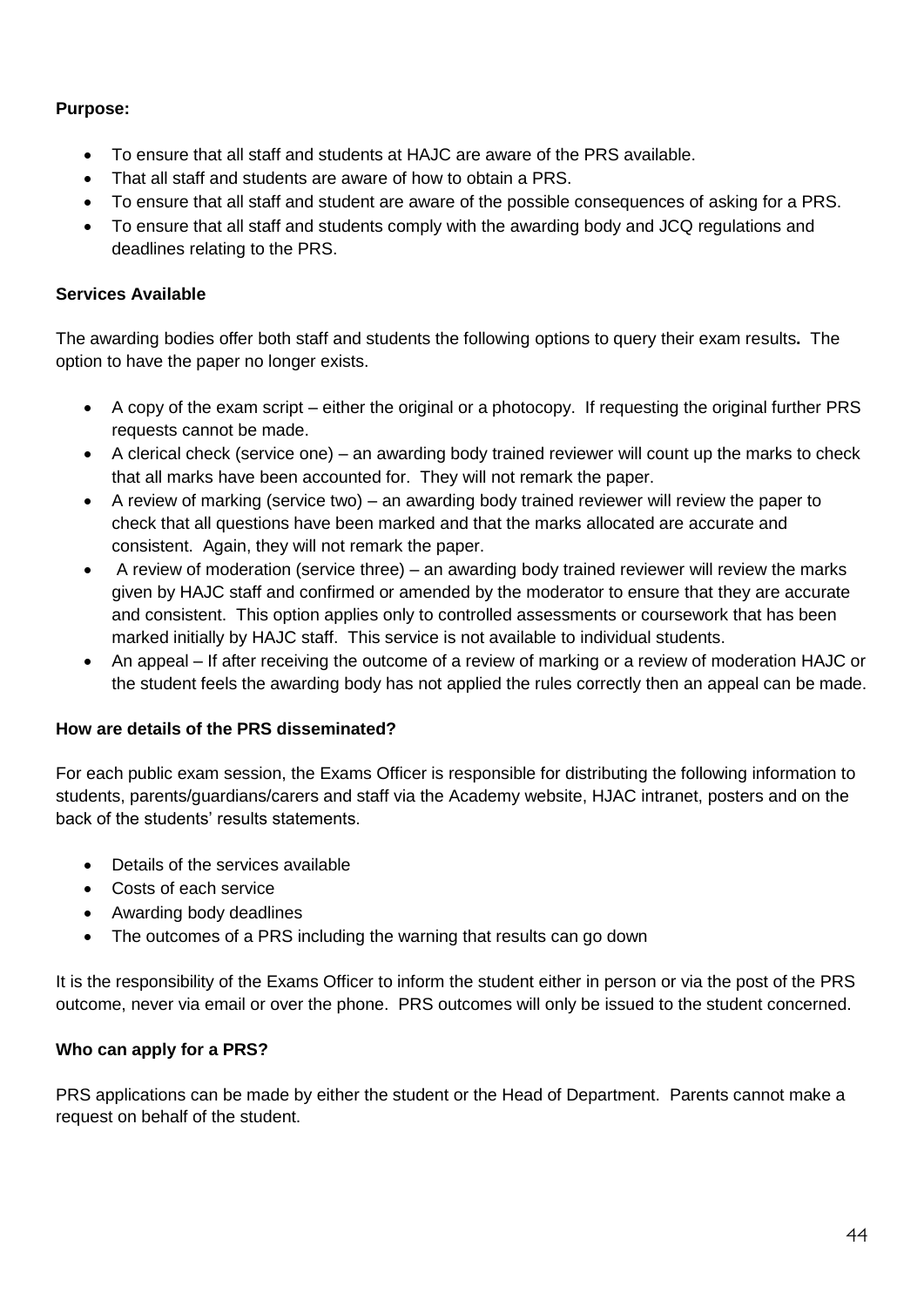- To ensure that all staff and students at HAJC are aware of the PRS available.
- That all staff and students are aware of how to obtain a PRS.
- To ensure that all staff and student are aware of the possible consequences of asking for a PRS.
- To ensure that all staff and students comply with the awarding body and JCQ regulations and deadlines relating to the PRS.

#### **Services Available**

The awarding bodies offer both staff and students the following options to query their exam results**.** The option to have the paper no longer exists.

- A copy of the exam script either the original or a photocopy. If requesting the original further PRS requests cannot be made.
- A clerical check (service one) an awarding body trained reviewer will count up the marks to check that all marks have been accounted for. They will not remark the paper.
- A review of marking (service two) an awarding body trained reviewer will review the paper to check that all questions have been marked and that the marks allocated are accurate and consistent. Again, they will not remark the paper.
- A review of moderation (service three) an awarding body trained reviewer will review the marks given by HAJC staff and confirmed or amended by the moderator to ensure that they are accurate and consistent. This option applies only to controlled assessments or coursework that has been marked initially by HAJC staff. This service is not available to individual students.
- An appeal If after receiving the outcome of a review of marking or a review of moderation HAJC or the student feels the awarding body has not applied the rules correctly then an appeal can be made.

#### **How are details of the PRS disseminated?**

For each public exam session, the Exams Officer is responsible for distributing the following information to students, parents/guardians/carers and staff via the Academy website, HJAC intranet, posters and on the back of the students' results statements.

- Details of the services available
- Costs of each service
- Awarding body deadlines
- The outcomes of a PRS including the warning that results can go down

It is the responsibility of the Exams Officer to inform the student either in person or via the post of the PRS outcome, never via email or over the phone. PRS outcomes will only be issued to the student concerned.

#### **Who can apply for a PRS?**

PRS applications can be made by either the student or the Head of Department. Parents cannot make a request on behalf of the student.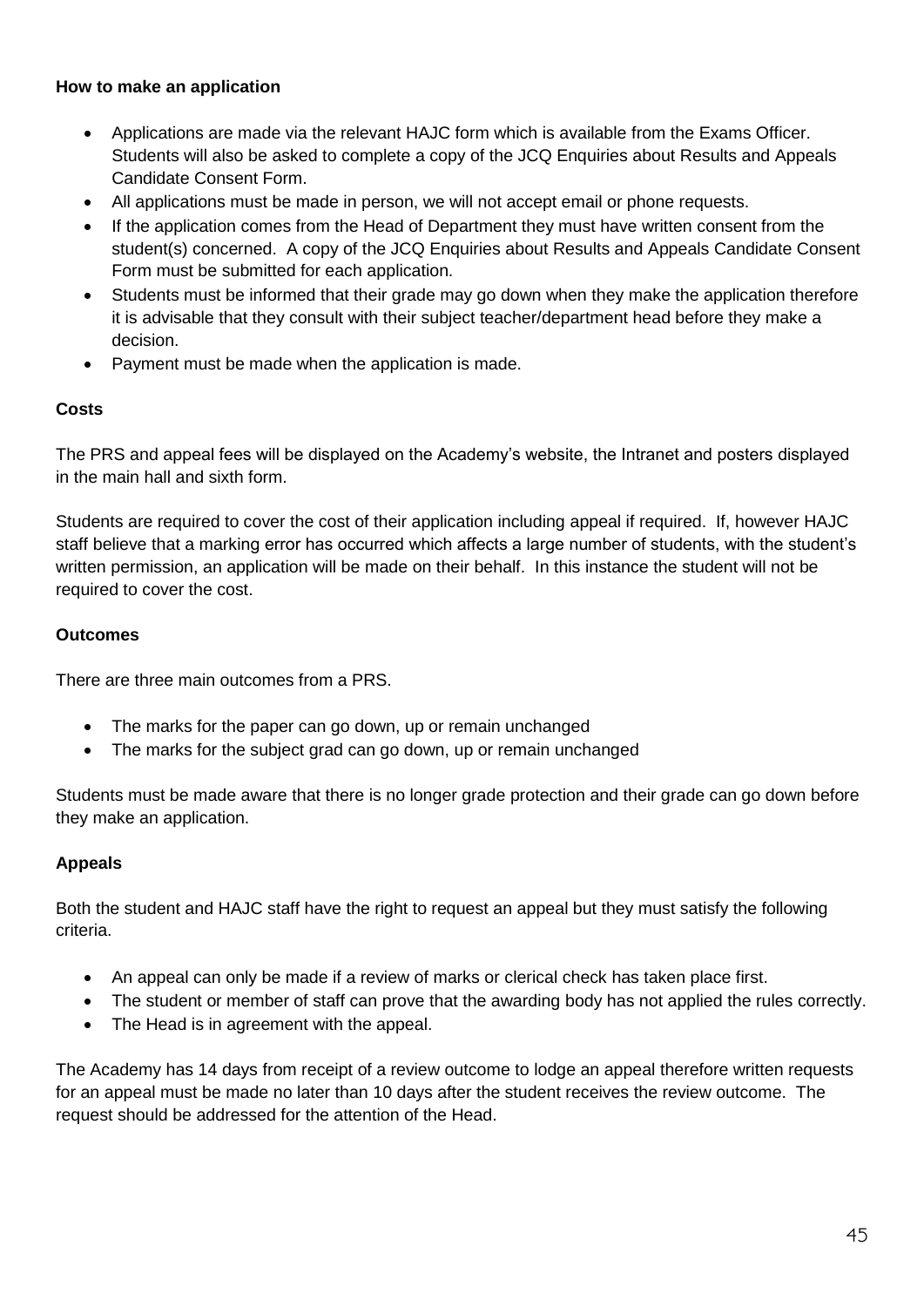#### **How to make an application**

- Applications are made via the relevant HAJC form which is available from the Exams Officer. Students will also be asked to complete a copy of the JCQ Enquiries about Results and Appeals Candidate Consent Form.
- All applications must be made in person, we will not accept email or phone requests.
- If the application comes from the Head of Department they must have written consent from the student(s) concerned. A copy of the JCQ Enquiries about Results and Appeals Candidate Consent Form must be submitted for each application.
- Students must be informed that their grade may go down when they make the application therefore it is advisable that they consult with their subject teacher/department head before they make a decision.
- Payment must be made when the application is made.

#### **Costs**

The PRS and appeal fees will be displayed on the Academy's website, the Intranet and posters displayed in the main hall and sixth form.

Students are required to cover the cost of their application including appeal if required. If, however HAJC staff believe that a marking error has occurred which affects a large number of students, with the student's written permission, an application will be made on their behalf. In this instance the student will not be required to cover the cost.

#### **Outcomes**

There are three main outcomes from a PRS.

- The marks for the paper can go down, up or remain unchanged
- The marks for the subject grad can go down, up or remain unchanged

Students must be made aware that there is no longer grade protection and their grade can go down before they make an application.

#### **Appeals**

Both the student and HAJC staff have the right to request an appeal but they must satisfy the following criteria.

- An appeal can only be made if a review of marks or clerical check has taken place first.
- The student or member of staff can prove that the awarding body has not applied the rules correctly.
- The Head is in agreement with the appeal.

The Academy has 14 days from receipt of a review outcome to lodge an appeal therefore written requests for an appeal must be made no later than 10 days after the student receives the review outcome. The request should be addressed for the attention of the Head.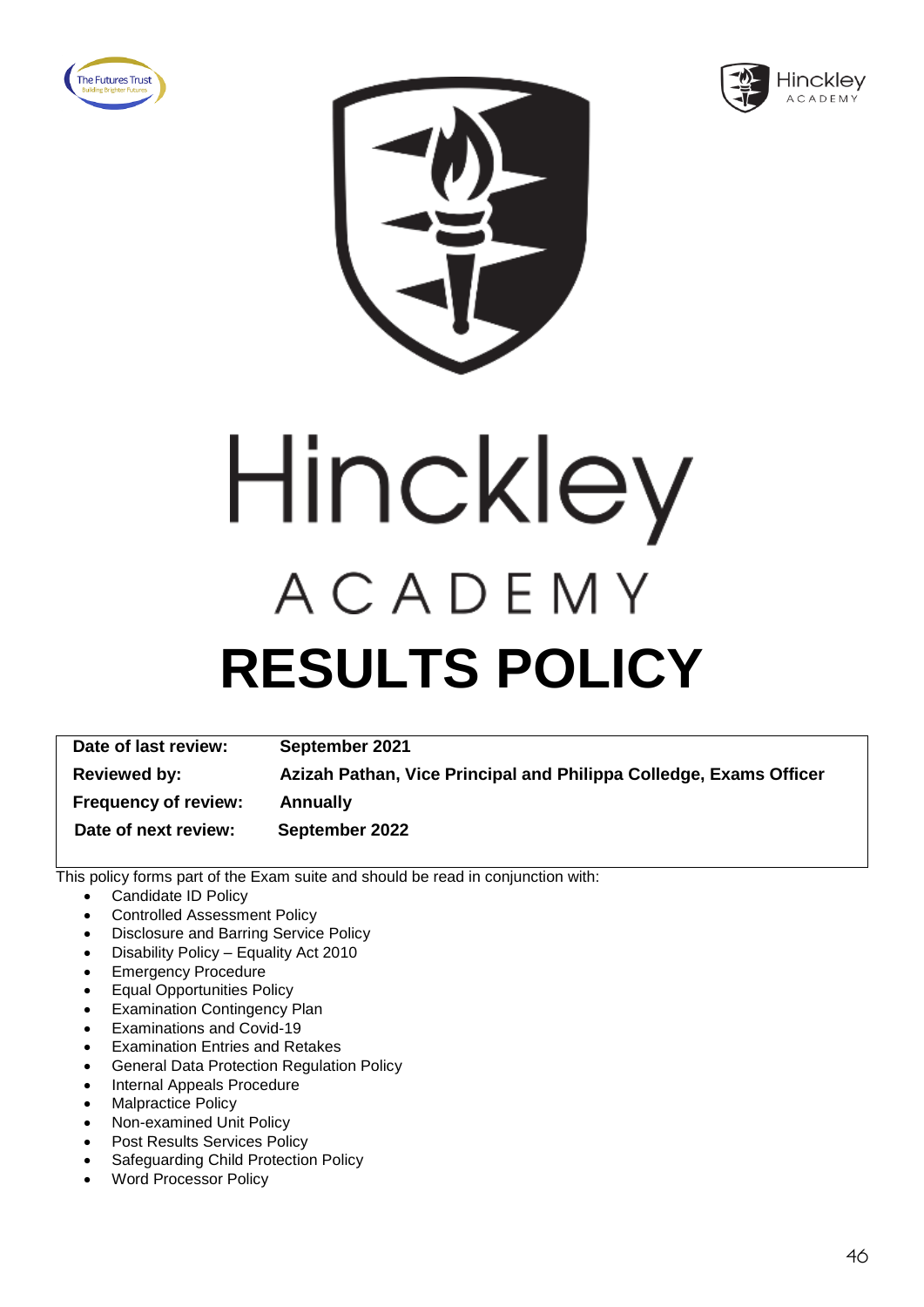





Hinckley ACADEMY **RESULTS POLICY**

**Date of last review: September 2021 Reviewed by: Azizah Pathan, Vice Principal and Philippa Colledge, Exams Officer Frequency of review: Annually Date of next review: September 2022**

- Candidate ID Policy
- Controlled Assessment Policy
- Disclosure and Barring Service Policy
- Disability Policy Equality Act 2010
- Emergency Procedure
- Equal Opportunities Policy
- **Examination Contingency Plan**
- Examinations and Covid-19
- Examination Entries and Retakes
- General Data Protection Regulation Policy
- Internal Appeals Procedure
- Malpractice Policy
- Non-examined Unit Policy
- Post Results Services Policy
- Safeguarding Child Protection Policy
- Word Processor Policy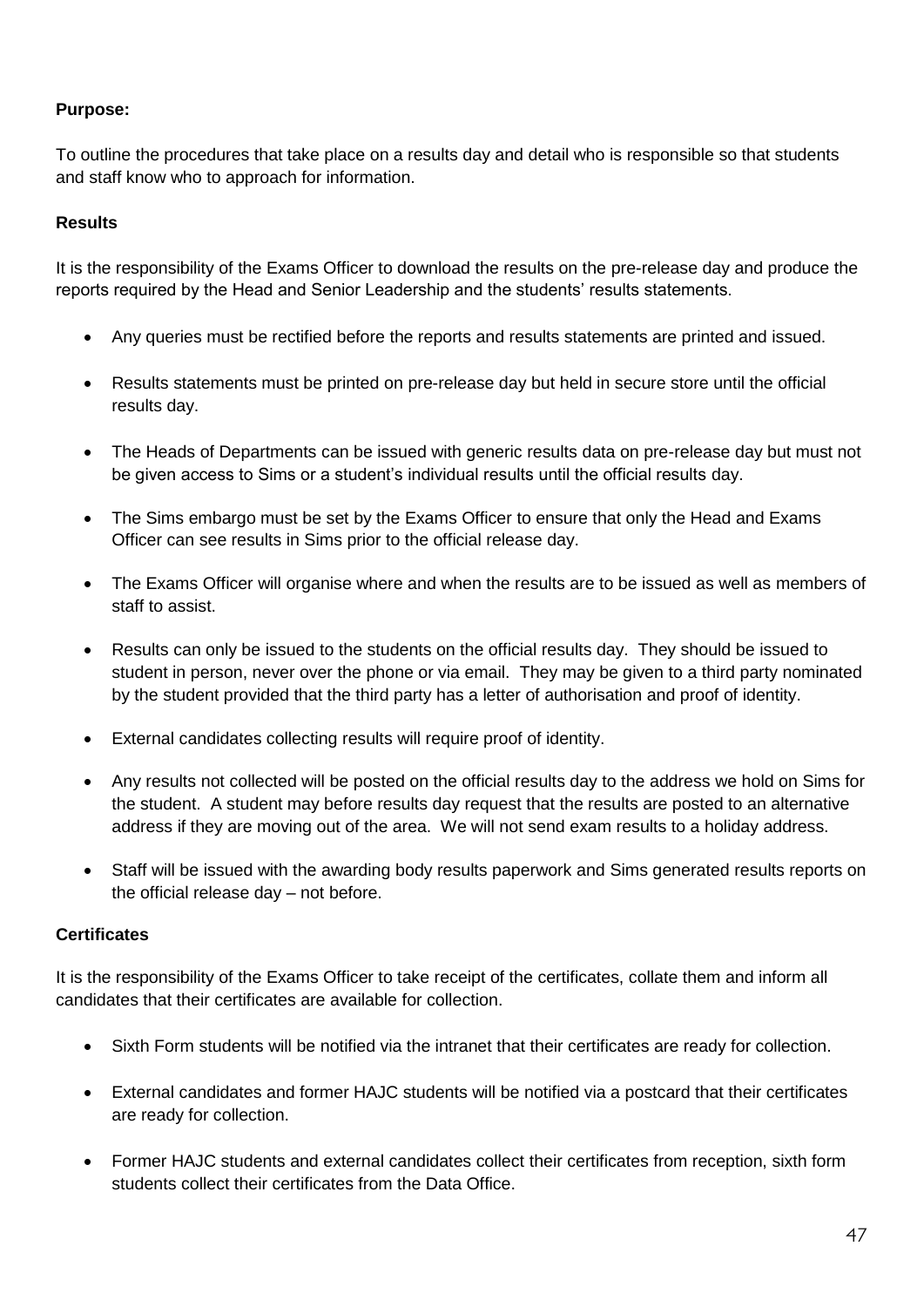To outline the procedures that take place on a results day and detail who is responsible so that students and staff know who to approach for information.

#### **Results**

It is the responsibility of the Exams Officer to download the results on the pre-release day and produce the reports required by the Head and Senior Leadership and the students' results statements.

- Any queries must be rectified before the reports and results statements are printed and issued.
- Results statements must be printed on pre-release day but held in secure store until the official results day.
- The Heads of Departments can be issued with generic results data on pre-release day but must not be given access to Sims or a student's individual results until the official results day.
- The Sims embargo must be set by the Exams Officer to ensure that only the Head and Exams Officer can see results in Sims prior to the official release day.
- The Exams Officer will organise where and when the results are to be issued as well as members of staff to assist.
- Results can only be issued to the students on the official results day. They should be issued to student in person, never over the phone or via email. They may be given to a third party nominated by the student provided that the third party has a letter of authorisation and proof of identity.
- External candidates collecting results will require proof of identity.
- Any results not collected will be posted on the official results day to the address we hold on Sims for the student. A student may before results day request that the results are posted to an alternative address if they are moving out of the area. We will not send exam results to a holiday address.
- Staff will be issued with the awarding body results paperwork and Sims generated results reports on the official release day – not before.

#### **Certificates**

It is the responsibility of the Exams Officer to take receipt of the certificates, collate them and inform all candidates that their certificates are available for collection.

- Sixth Form students will be notified via the intranet that their certificates are ready for collection.
- External candidates and former HAJC students will be notified via a postcard that their certificates are ready for collection.
- Former HAJC students and external candidates collect their certificates from reception, sixth form students collect their certificates from the Data Office.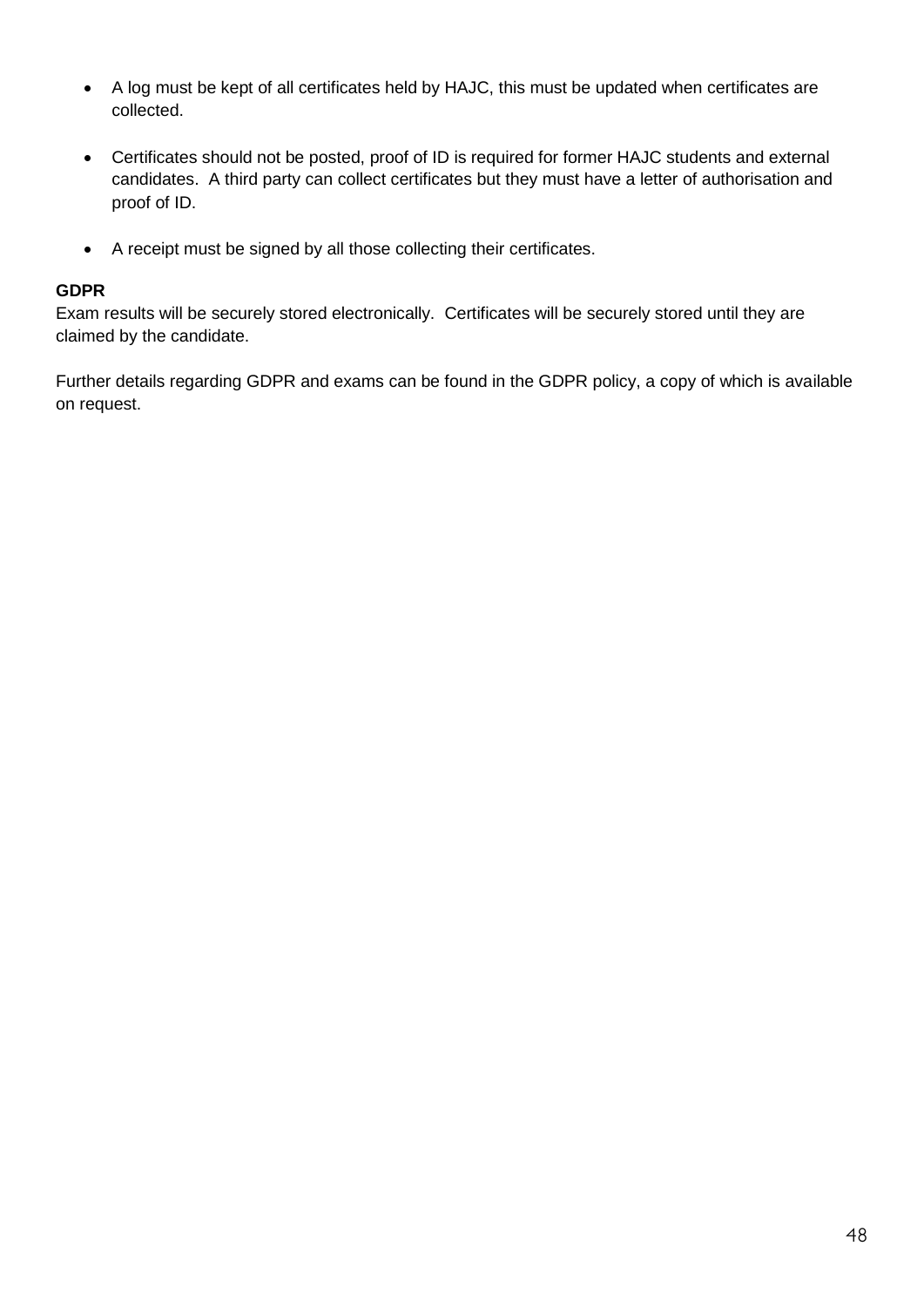- A log must be kept of all certificates held by HAJC, this must be updated when certificates are collected.
- Certificates should not be posted, proof of ID is required for former HAJC students and external candidates. A third party can collect certificates but they must have a letter of authorisation and proof of ID.
- A receipt must be signed by all those collecting their certificates.

#### **GDPR**

Exam results will be securely stored electronically. Certificates will be securely stored until they are claimed by the candidate.

Further details regarding GDPR and exams can be found in the GDPR policy, a copy of which is available on request.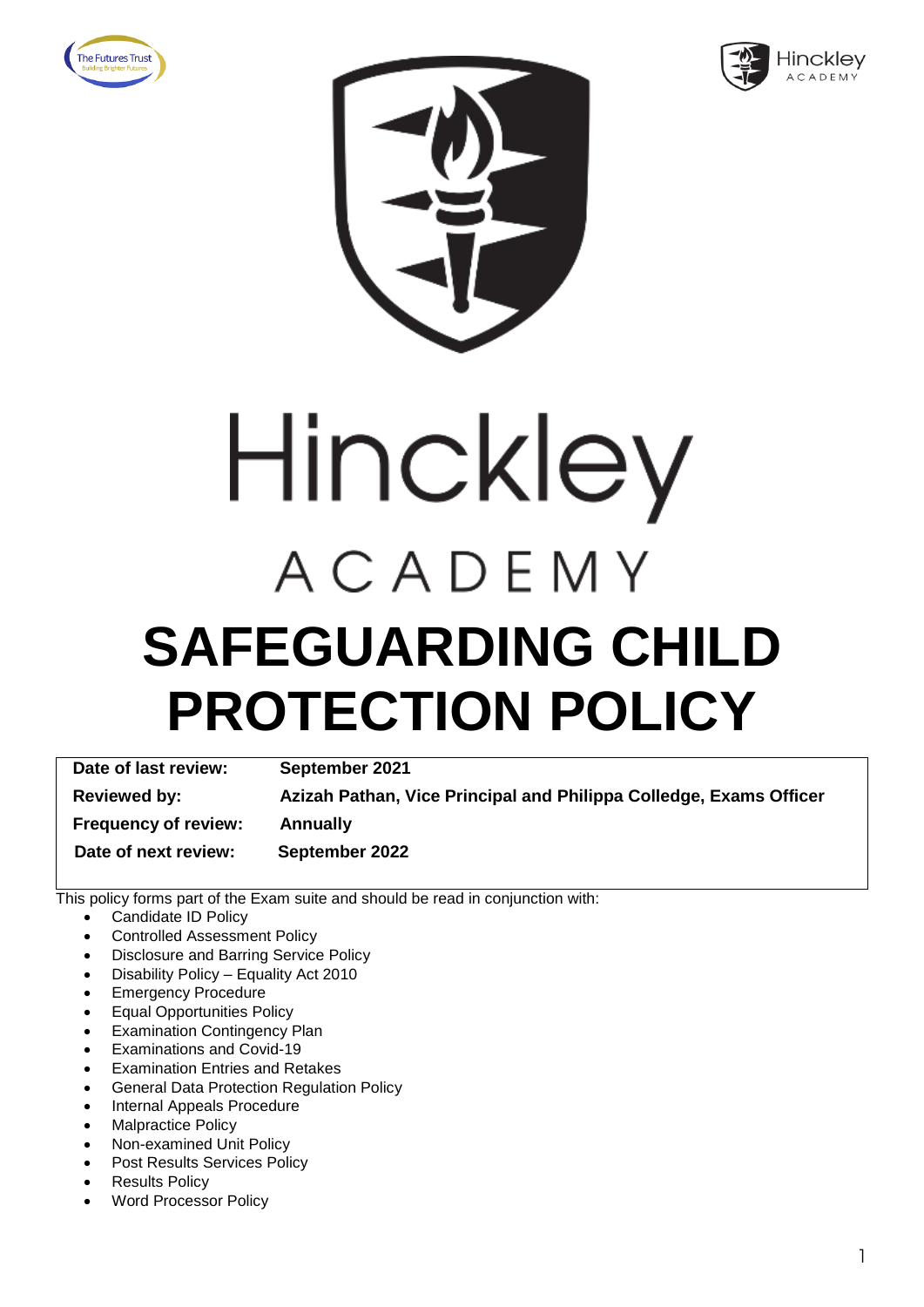





# Hinckley ACADEMY **SAFEGUARDING CHILD PROTECTION POLICY**

**Date of last review: September 2021 Reviewed by: Azizah Pathan, Vice Principal and Philippa Colledge, Exams Officer Frequency of review: Annually Date of next review: September 2022**

- Candidate ID Policy
- Controlled Assessment Policy
- Disclosure and Barring Service Policy
- Disability Policy Equality Act 2010
- Emergency Procedure
- Equal Opportunities Policy
- **Examination Contingency Plan**
- Examinations and Covid-19
- **Examination Entries and Retakes**
- General Data Protection Regulation Policy
- Internal Appeals Procedure
- **Malpractice Policy**
- Non-examined Unit Policy
- Post Results Services Policy
- **Results Policy**
- Word Processor Policy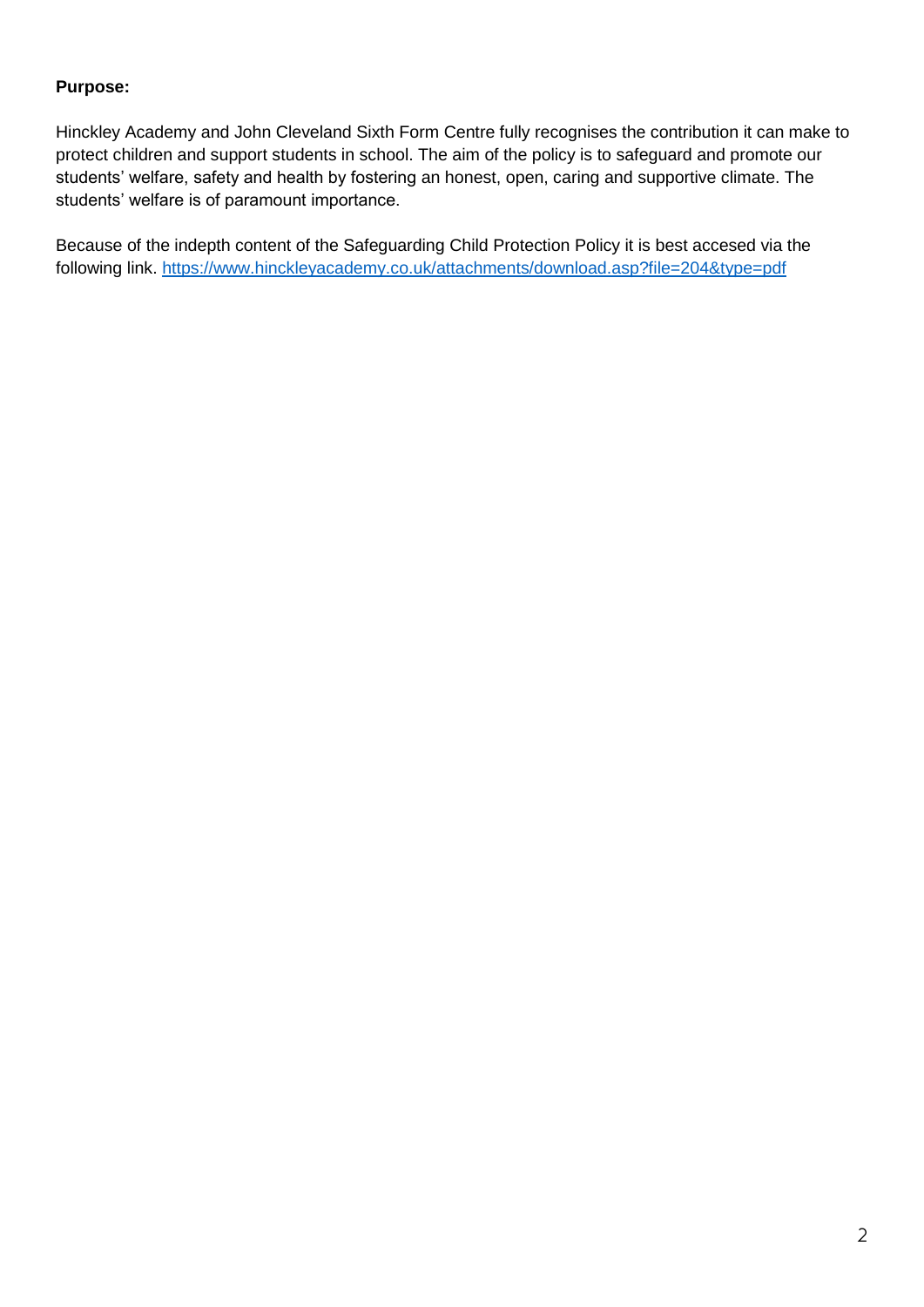Hinckley Academy and John Cleveland Sixth Form Centre fully recognises the contribution it can make to protect children and support students in school. The aim of the policy is to safeguard and promote our students' welfare, safety and health by fostering an honest, open, caring and supportive climate. The students' welfare is of paramount importance.

Because of the indepth content of the Safeguarding Child Protection Policy it is best accesed via the following link. [https://www.hinckleyacademy.co.uk/attachments/download.asp?file=204&type=pdf](https://www.hinckleyacademy.co.uk/attachments/download.asp?file=204&type=pdf%20)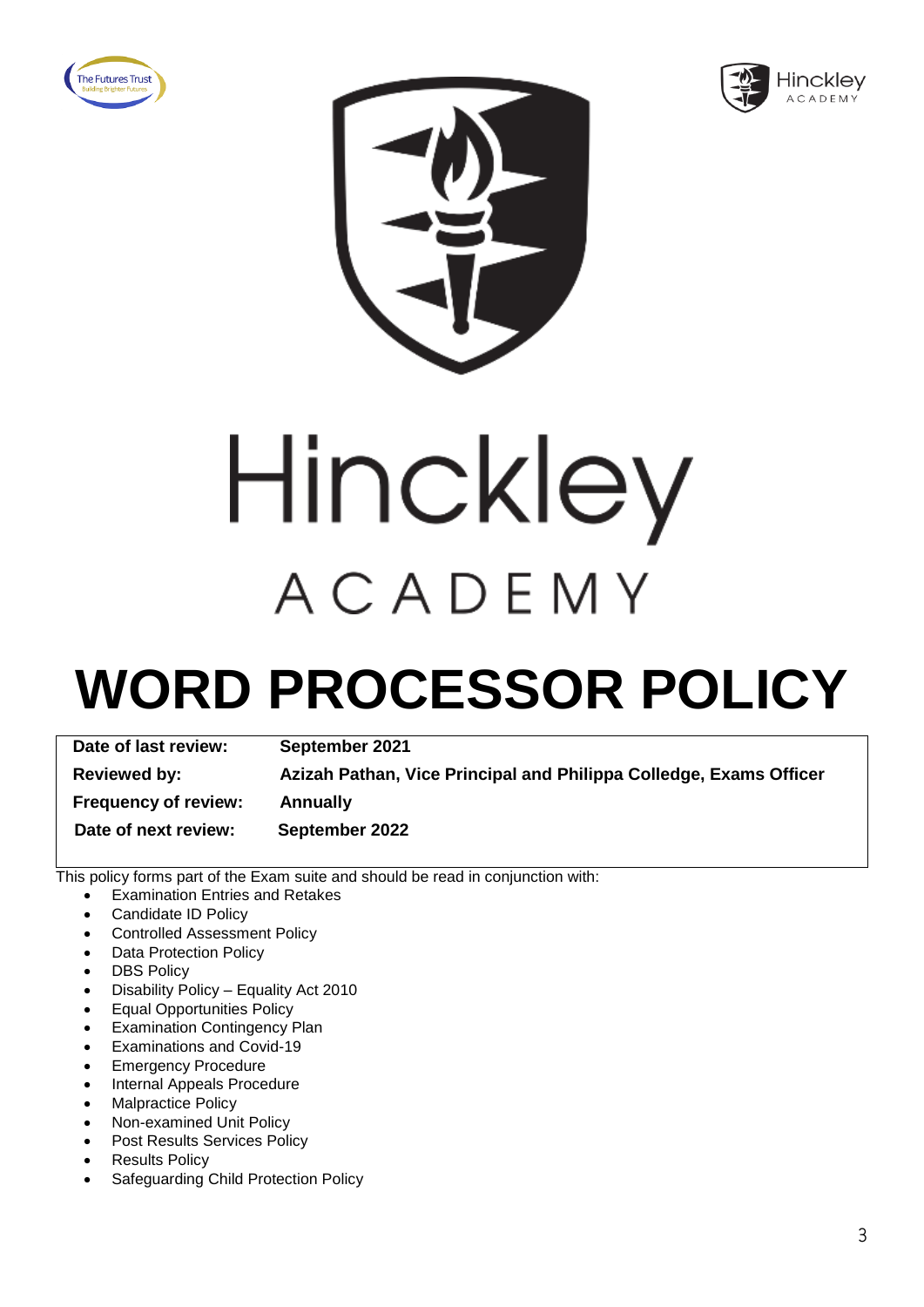





Hinckley ACADEMY

### **WORD PROCESSOR POLICY**

| Date of last review:        | September 2021                                                     |
|-----------------------------|--------------------------------------------------------------------|
| <b>Reviewed by:</b>         | Azizah Pathan, Vice Principal and Philippa Colledge, Exams Officer |
| <b>Frequency of review:</b> | <b>Annually</b>                                                    |
| Date of next review:        | September 2022                                                     |

- Examination Entries and Retakes
- Candidate ID Policy
- Controlled Assessment Policy
- **Data Protection Policy**
- **DBS Policy**
- Disability Policy Equality Act 2010
- Equal Opportunities Policy
- **Examination Contingency Plan**
- Examinations and Covid-19
- **Emergency Procedure**
- Internal Appeals Procedure
- Malpractice Policy
- Non-examined Unit Policy
- Post Results Services Policy
- **Results Policy**
- Safeguarding Child Protection Policy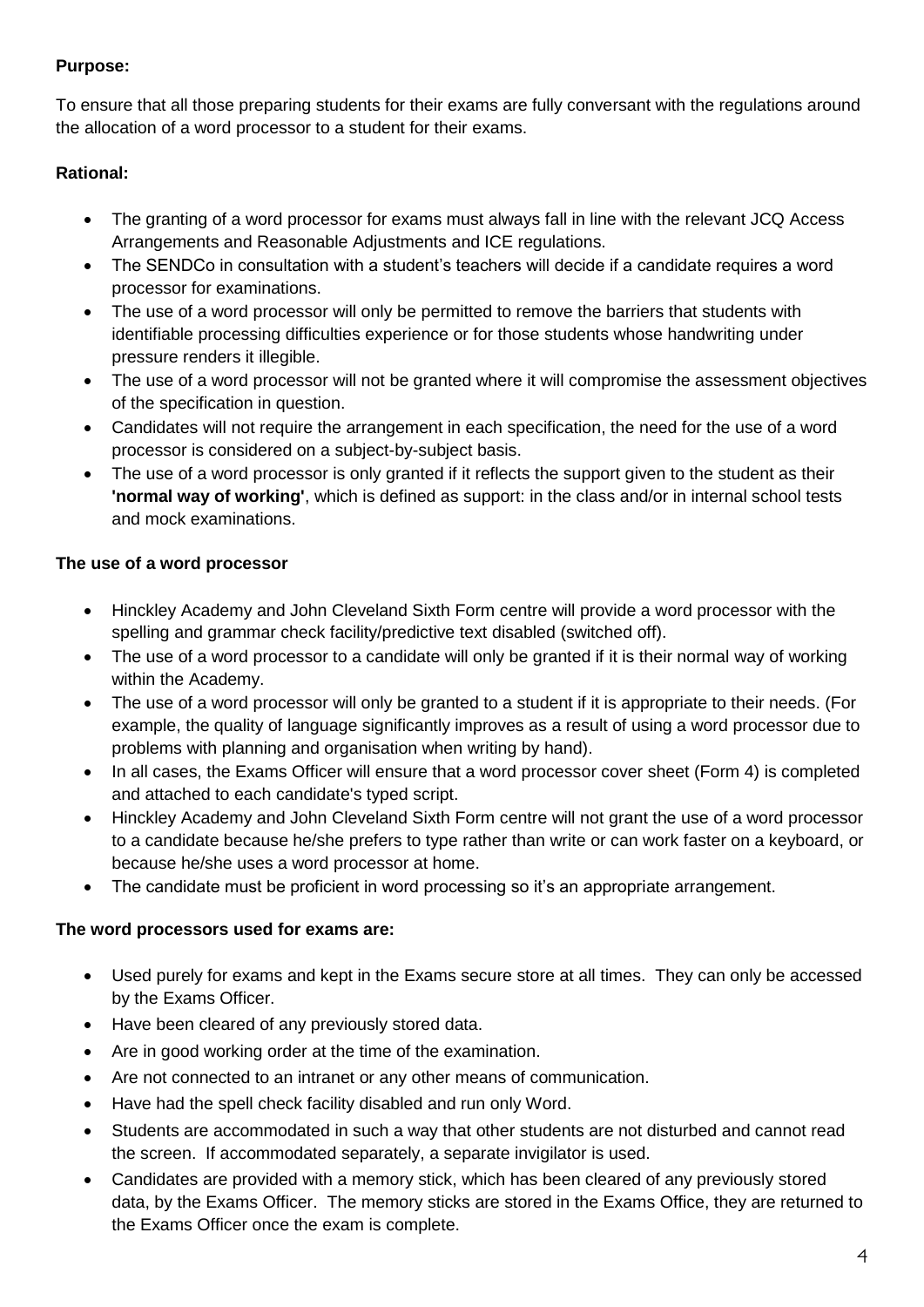To ensure that all those preparing students for their exams are fully conversant with the regulations around the allocation of a word processor to a student for their exams.

#### **Rational:**

- The granting of a word processor for exams must always fall in line with the relevant JCQ Access Arrangements and Reasonable Adjustments and ICE regulations.
- The SENDCo in consultation with a student's teachers will decide if a candidate requires a word processor for examinations.
- The use of a word processor will only be permitted to remove the barriers that students with identifiable processing difficulties experience or for those students whose handwriting under pressure renders it illegible.
- The use of a word processor will not be granted where it will compromise the assessment objectives of the specification in question.
- Candidates will not require the arrangement in each specification, the need for the use of a word processor is considered on a subject-by-subject basis.
- The use of a word processor is only granted if it reflects the support given to the student as their **'normal way of working'**, which is defined as support: in the class and/or in internal school tests and mock examinations.

#### **The use of a word processor**

- Hinckley Academy and John Cleveland Sixth Form centre will provide a word processor with the spelling and grammar check facility/predictive text disabled (switched off).
- The use of a word processor to a candidate will only be granted if it is their normal way of working within the Academy.
- The use of a word processor will only be granted to a student if it is appropriate to their needs. (For example, the quality of language significantly improves as a result of using a word processor due to problems with planning and organisation when writing by hand).
- In all cases, the Exams Officer will ensure that a word processor cover sheet (Form 4) is completed and attached to each candidate's typed script.
- Hinckley Academy and John Cleveland Sixth Form centre will not grant the use of a word processor to a candidate because he/she prefers to type rather than write or can work faster on a keyboard, or because he/she uses a word processor at home.
- The candidate must be proficient in word processing so it's an appropriate arrangement.

#### **The word processors used for exams are:**

- Used purely for exams and kept in the Exams secure store at all times. They can only be accessed by the Exams Officer.
- Have been cleared of any previously stored data.
- Are in good working order at the time of the examination.
- Are not connected to an intranet or any other means of communication.
- Have had the spell check facility disabled and run only Word.
- Students are accommodated in such a way that other students are not disturbed and cannot read the screen. If accommodated separately, a separate invigilator is used.
- Candidates are provided with a memory stick, which has been cleared of any previously stored data, by the Exams Officer. The memory sticks are stored in the Exams Office, they are returned to the Exams Officer once the exam is complete.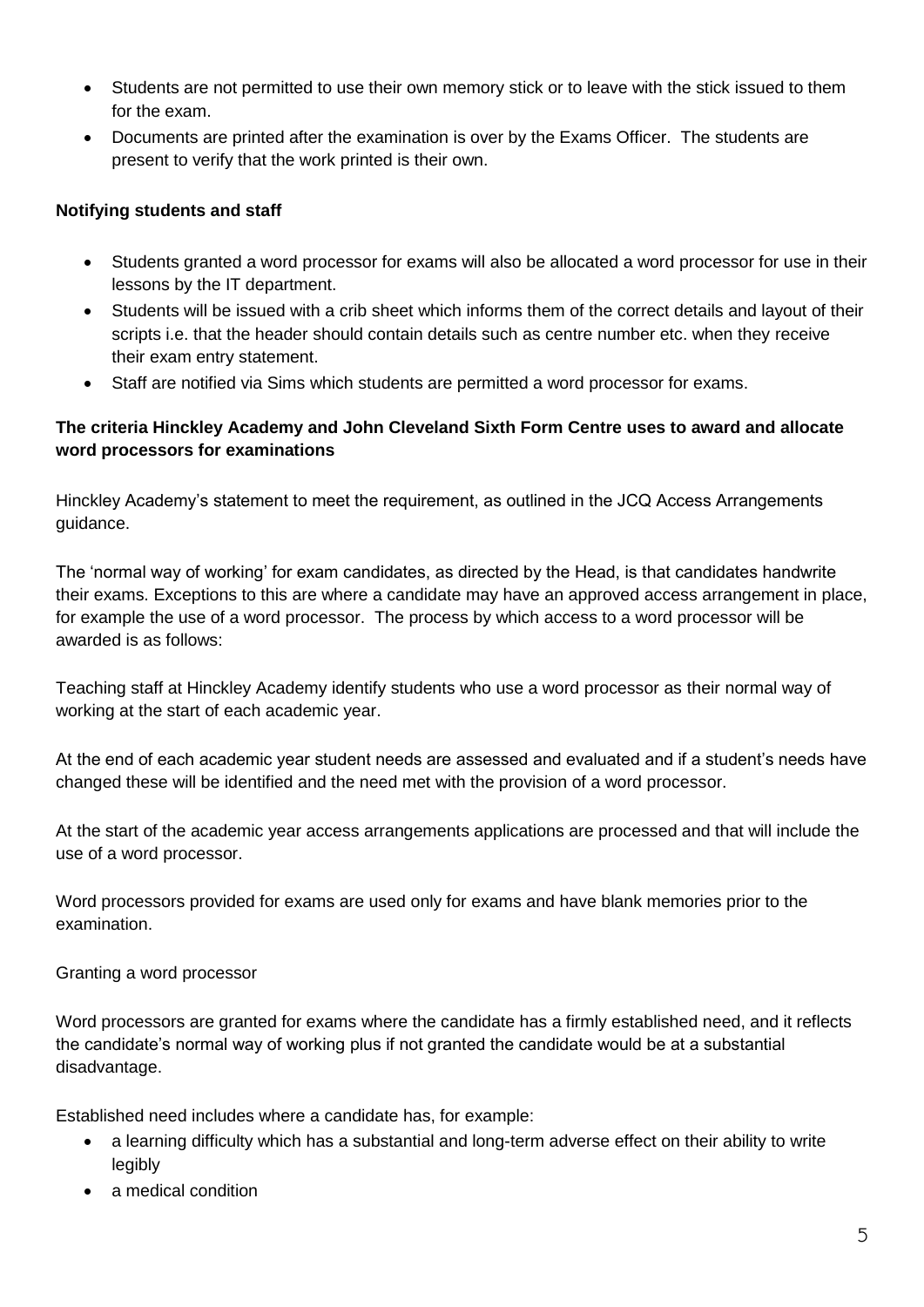- Students are not permitted to use their own memory stick or to leave with the stick issued to them for the exam.
- Documents are printed after the examination is over by the Exams Officer. The students are present to verify that the work printed is their own.

#### **Notifying students and staff**

- Students granted a word processor for exams will also be allocated a word processor for use in their lessons by the IT department.
- Students will be issued with a crib sheet which informs them of the correct details and layout of their scripts i.e. that the header should contain details such as centre number etc. when they receive their exam entry statement.
- Staff are notified via Sims which students are permitted a word processor for exams.

#### **The criteria Hinckley Academy and John Cleveland Sixth Form Centre uses to award and allocate word processors for examinations**

Hinckley Academy's statement to meet the requirement, as outlined in the JCQ Access Arrangements guidance.

The 'normal way of working' for exam candidates, as directed by the Head, is that candidates handwrite their exams. Exceptions to this are where a candidate may have an approved access arrangement in place, for example the use of a word processor. The process by which access to a word processor will be awarded is as follows:

Teaching staff at Hinckley Academy identify students who use a word processor as their normal way of working at the start of each academic year.

At the end of each academic year student needs are assessed and evaluated and if a student's needs have changed these will be identified and the need met with the provision of a word processor.

At the start of the academic year access arrangements applications are processed and that will include the use of a word processor.

Word processors provided for exams are used only for exams and have blank memories prior to the examination.

#### Granting a word processor

Word processors are granted for exams where the candidate has a firmly established need, and it reflects the candidate's normal way of working plus if not granted the candidate would be at a substantial disadvantage.

Established need includes where a candidate has, for example:

- a learning difficulty which has a substantial and long-term adverse effect on their ability to write legibly
- a medical condition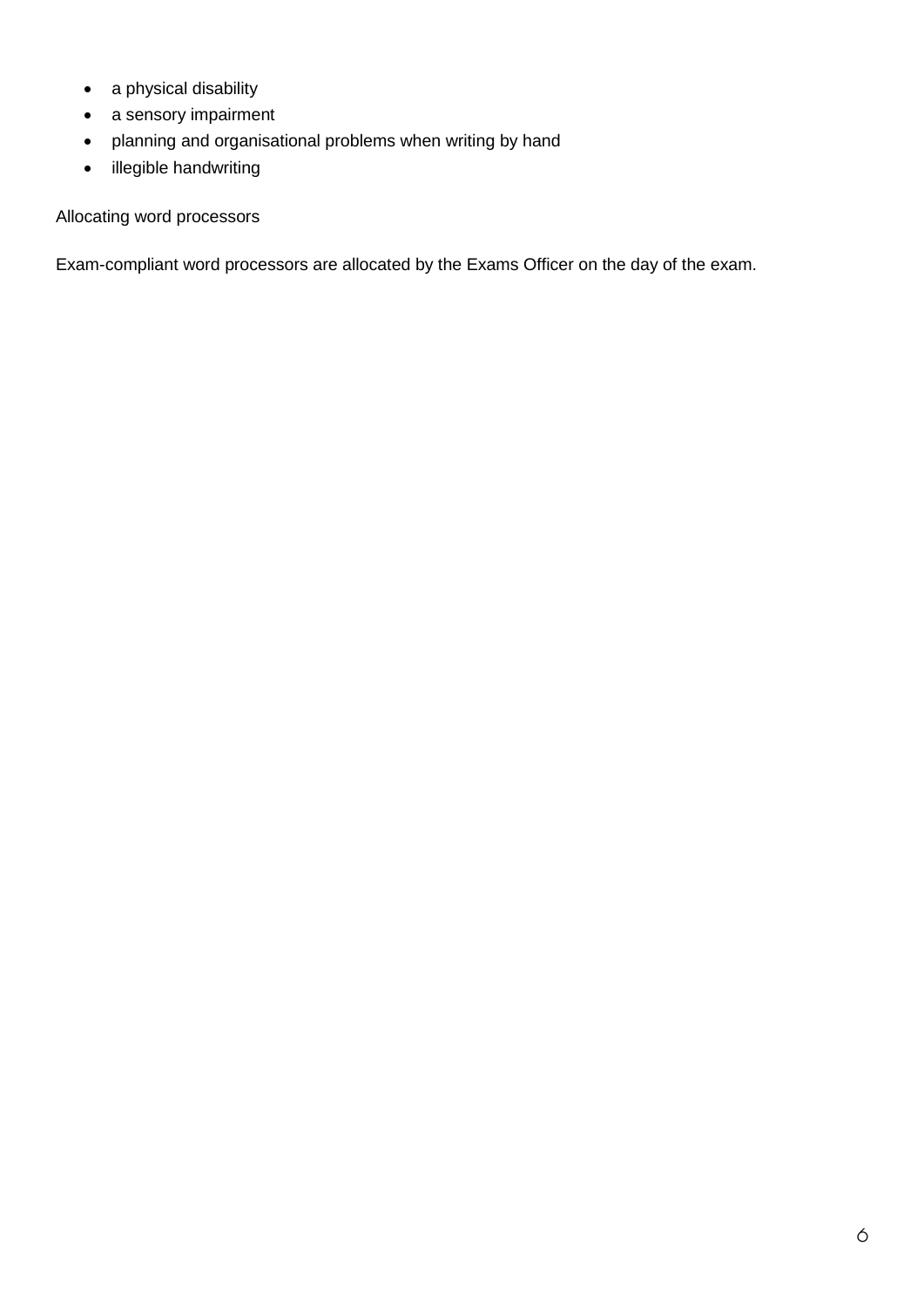- a physical disability
- a sensory impairment
- planning and organisational problems when writing by hand
- illegible handwriting

#### Allocating word processors

Exam-compliant word processors are allocated by the Exams Officer on the day of the exam.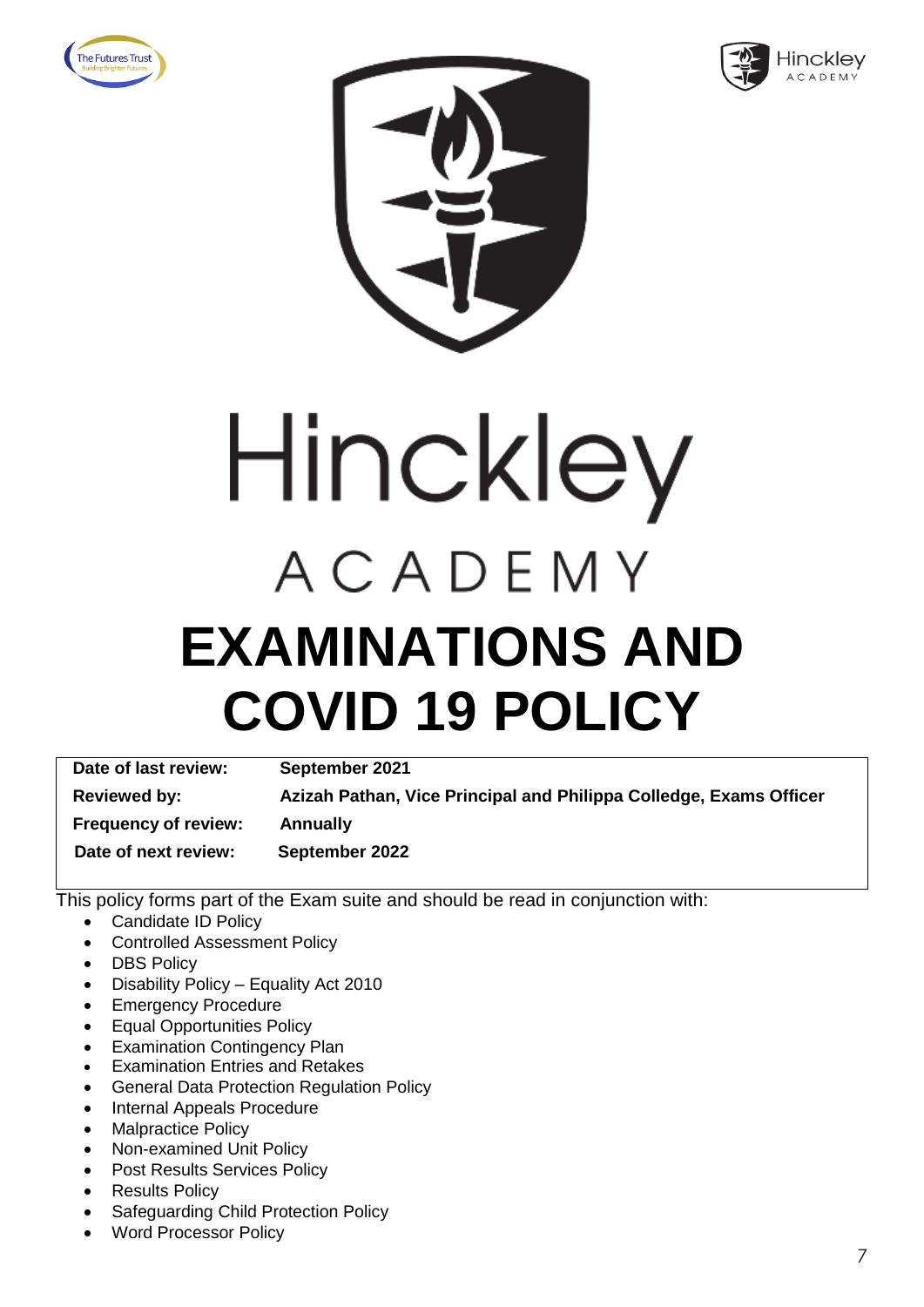





# Hinckley ACADEMY **EXAMINATIONS AND COVID 19 POLICY**

| Date of last review:        | September 2021                                                     |
|-----------------------------|--------------------------------------------------------------------|
| <b>Reviewed by:</b>         | Azizah Pathan, Vice Principal and Philippa Colledge, Exams Officer |
| <b>Frequency of review:</b> | <b>Annually</b>                                                    |
| Date of next review:        | September 2022                                                     |

- Candidate ID Policy
- Controlled Assessment Policy
- DBS Policy
- Disability Policy Equality Act 2010
- Emergency Procedure
- Equal Opportunities Policy
- Examination Contingency Plan
- Examination Entries and Retakes
- General Data Protection Regulation Policy
- Internal Appeals Procedure
- Malpractice Policy
- Non-examined Unit Policy
- Post Results Services Policy
- Results Policy
- Safeguarding Child Protection Policy
- Word Processor Policy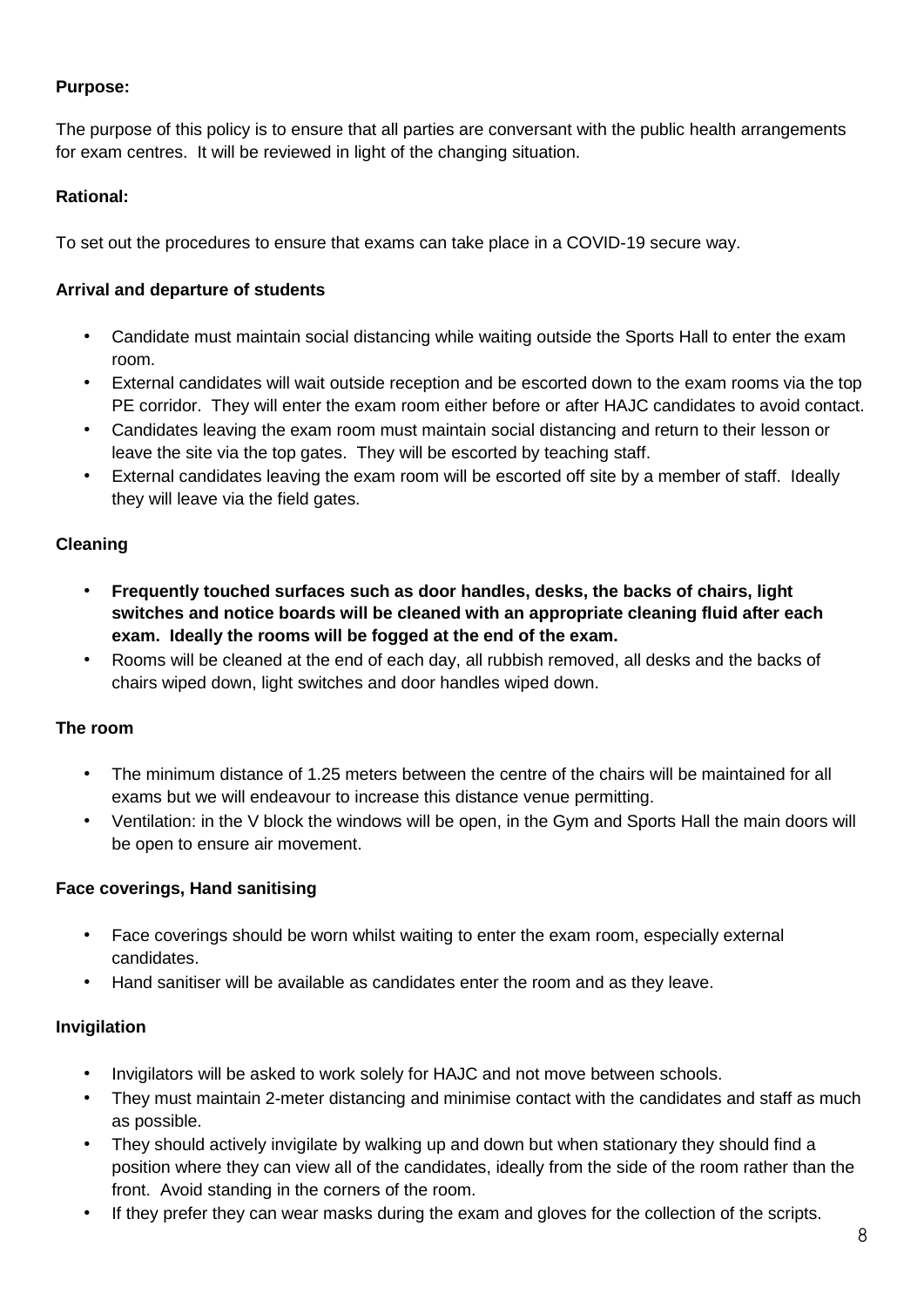The purpose of this policy is to ensure that all parties are conversant with the public health arrangements for exam centres. It will be reviewed in light of the changing situation.

#### **Rational:**

To set out the procedures to ensure that exams can take place in a COVID-19 secure way.

#### **Arrival and departure of students**

- Candidate must maintain social distancing while waiting outside the Sports Hall to enter the exam room.
- External candidates will wait outside reception and be escorted down to the exam rooms via the top PE corridor. They will enter the exam room either before or after HAJC candidates to avoid contact.
- Candidates leaving the exam room must maintain social distancing and return to their lesson or leave the site via the top gates. They will be escorted by teaching staff.
- External candidates leaving the exam room will be escorted off site by a member of staff. Ideally they will leave via the field gates.

#### **Cleaning**

- **Frequently touched surfaces such as door handles, desks, the backs of chairs, light switches and notice boards will be cleaned with an appropriate cleaning fluid after each exam. Ideally the rooms will be fogged at the end of the exam.**
- Rooms will be cleaned at the end of each day, all rubbish removed, all desks and the backs of chairs wiped down, light switches and door handles wiped down.

#### **The room**

- The minimum distance of 1.25 meters between the centre of the chairs will be maintained for all exams but we will endeavour to increase this distance venue permitting.
- Ventilation: in the V block the windows will be open, in the Gym and Sports Hall the main doors will be open to ensure air movement.

#### **Face coverings, Hand sanitising**

- Face coverings should be worn whilst waiting to enter the exam room, especially external candidates.
- Hand sanitiser will be available as candidates enter the room and as they leave.

#### **Invigilation**

- Invigilators will be asked to work solely for HAJC and not move between schools.
- They must maintain 2-meter distancing and minimise contact with the candidates and staff as much as possible.
- They should actively invigilate by walking up and down but when stationary they should find a position where they can view all of the candidates, ideally from the side of the room rather than the front. Avoid standing in the corners of the room.
- If they prefer they can wear masks during the exam and gloves for the collection of the scripts.